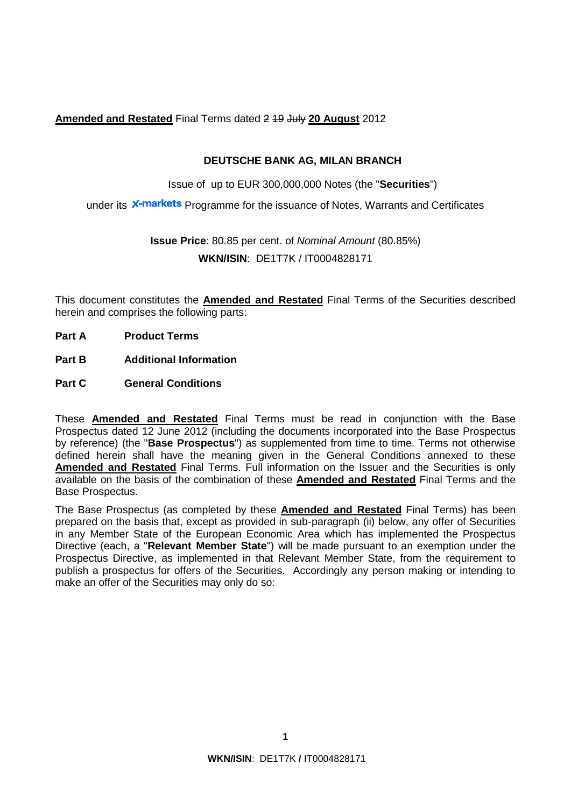# **Amended and Restated** Final Terms dated 2 19 July **20 August** 2012

# **DEUTSCHE BANK AG, MILAN BRANCH**

Issue of up to EUR 300,000,000 Notes (the "**Securities**")

under its **X-markets** Programme for the issuance of Notes, Warrants and Certificates

**Issue Price**: 80.85 per cent. of *Nominal Amount* (80.85%) **WKN/ISIN**: DE1T7K / IT0004828171

This document constitutes the **Amended and Restated** Final Terms of the Securities described herein and comprises the following parts:

- **Part A Product Terms**
- **Part B Additional Information**
- **Part C General Conditions**

These **Amended and Restated** Final Terms must be read in conjunction with the Base Prospectus dated 12 June 2012 (including the documents incorporated into the Base Prospectus by reference) (the "**Base Prospectus**") as supplemented from time to time. Terms not otherwise defined herein shall have the meaning given in the General Condition*s* annexed to these **Amended and Restated** Final Terms. Full information on the Issuer and the Securities is only available on the basis of the combination of these **Amended and Restated** Final Terms and the Base Prospectus.

The Base Prospectus (as completed by these **Amended and Restated** Final Terms) has been prepared on the basis that, except as provided in sub-paragraph (ii) below, any offer of Securities in any Member State of the European Economic Area which has implemented the Prospectus Directive (each, a "**Relevant Member State**") will be made pursuant to an exemption under the Prospectus Directive, as implemented in that Relevant Member State, from the requirement to publish a prospectus for offers of the Securities. Accordingly any person making or intending to make an offer of the Securities may only do so: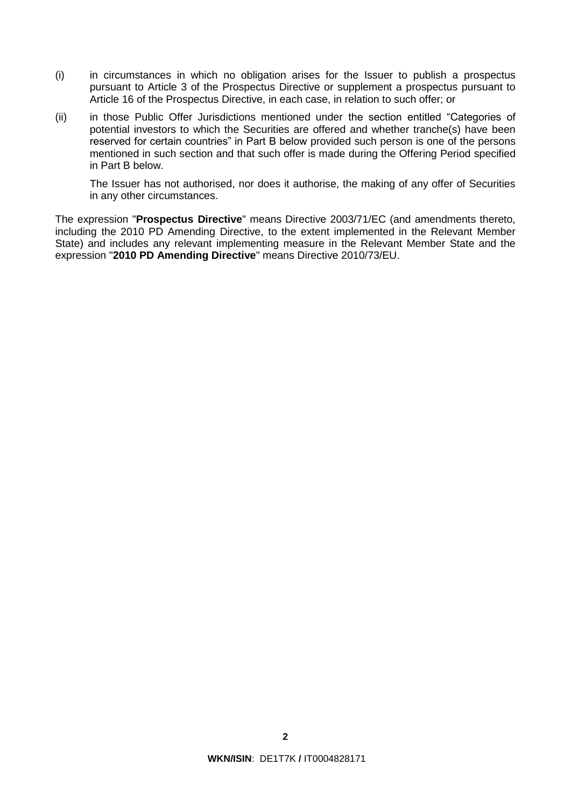- (i) in circumstances in which no obligation arises for the Issuer to publish a prospectus pursuant to Article 3 of the Prospectus Directive or supplement a prospectus pursuant to Article 16 of the Prospectus Directive, in each case, in relation to such offer; or
- (ii) in those Public Offer Jurisdictions mentioned under the section entitled "Categories of potential investors to which the Securities are offered and whether tranche(s) have been reserved for certain countries" in Part B below provided such person is one of the persons mentioned in such section and that such offer is made during the Offering Period specified in Part B below.

The Issuer has not authorised, nor does it authorise, the making of any offer of Securities in any other circumstances.

The expression "**Prospectus Directive**" means Directive 2003/71/EC (and amendments thereto, including the 2010 PD Amending Directive, to the extent implemented in the Relevant Member State) and includes any relevant implementing measure in the Relevant Member State and the expression "**2010 PD Amending Directive**" means Directive 2010/73/EU.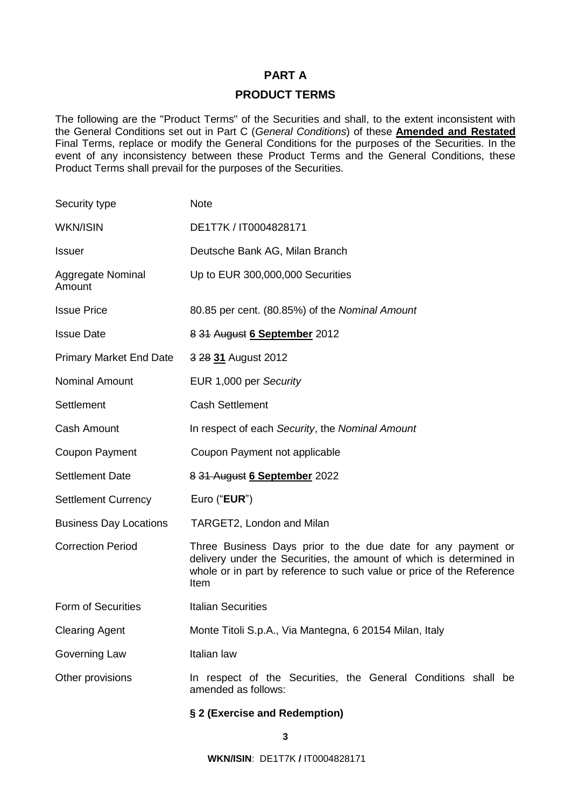# **PART A**

# **PRODUCT TERMS**

The following are the "Product Terms" of the Securities and shall, to the extent inconsistent with the General Conditions set out in Part C (*General Conditions*) of these **Amended and Restated** Final Terms, replace or modify the General Conditions for the purposes of the Securities. In the event of any inconsistency between these Product Terms and the General Conditions, these Product Terms shall prevail for the purposes of the Securities.

| Security type                  | <b>Note</b>                                                                                                                                                                                                          |
|--------------------------------|----------------------------------------------------------------------------------------------------------------------------------------------------------------------------------------------------------------------|
| <b>WKN/ISIN</b>                | DE1T7K / IT0004828171                                                                                                                                                                                                |
| <b>Issuer</b>                  | Deutsche Bank AG, Milan Branch                                                                                                                                                                                       |
| Aggregate Nominal<br>Amount    | Up to EUR 300,000,000 Securities                                                                                                                                                                                     |
| <b>Issue Price</b>             | 80.85 per cent. (80.85%) of the Nominal Amount                                                                                                                                                                       |
| <b>Issue Date</b>              | 8 31 August 6 September 2012                                                                                                                                                                                         |
| <b>Primary Market End Date</b> | 3 28 31 August 2012                                                                                                                                                                                                  |
| <b>Nominal Amount</b>          | EUR 1,000 per Security                                                                                                                                                                                               |
| Settlement                     | <b>Cash Settlement</b>                                                                                                                                                                                               |
| Cash Amount                    | In respect of each Security, the Nominal Amount                                                                                                                                                                      |
| <b>Coupon Payment</b>          | Coupon Payment not applicable                                                                                                                                                                                        |
| <b>Settlement Date</b>         | 8 31 August 6 September 2022                                                                                                                                                                                         |
| <b>Settlement Currency</b>     | Euro ("EUR")                                                                                                                                                                                                         |
| <b>Business Day Locations</b>  | TARGET2, London and Milan                                                                                                                                                                                            |
| <b>Correction Period</b>       | Three Business Days prior to the due date for any payment or<br>delivery under the Securities, the amount of which is determined in<br>whole or in part by reference to such value or price of the Reference<br>Item |
| Form of Securities             | <b>Italian Securities</b>                                                                                                                                                                                            |
| <b>Clearing Agent</b>          | Monte Titoli S.p.A., Via Mantegna, 6 20154 Milan, Italy                                                                                                                                                              |
| Governing Law                  | Italian law                                                                                                                                                                                                          |
| Other provisions               | In respect of the Securities, the General Conditions shall be<br>amended as follows:                                                                                                                                 |
|                                | § 2 (Exercise and Redemption)                                                                                                                                                                                        |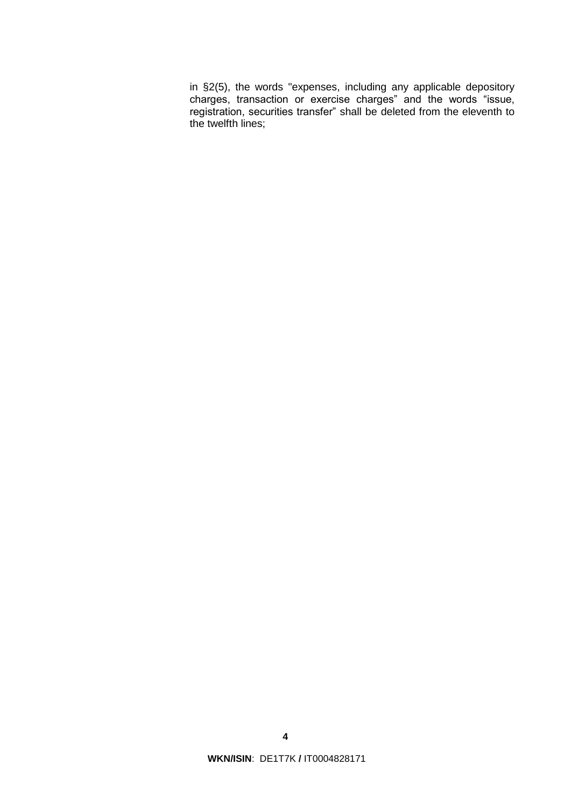in §2(5), the words "expenses, including any applicable depository charges, transaction or exercise charges" and the words "issue, registration, securities transfer" shall be deleted from the eleventh to the twelfth lines;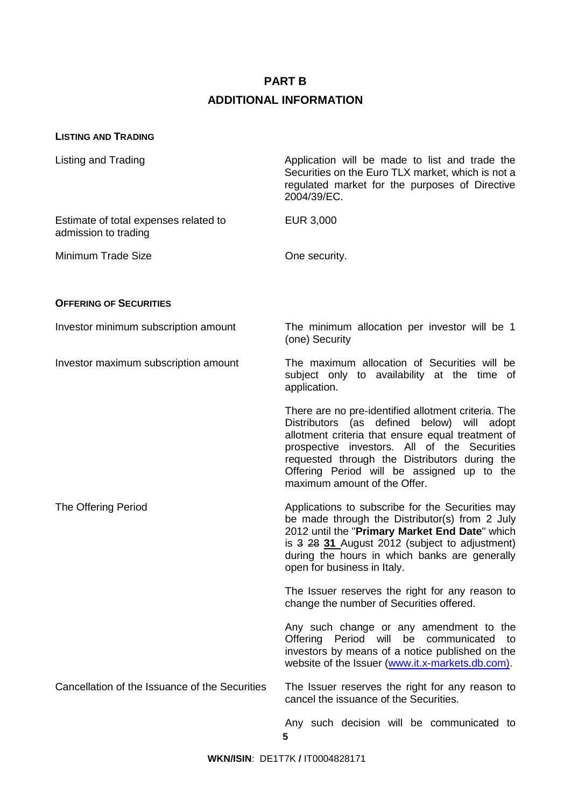# **PART B**

# **ADDITIONAL INFORMATION**

#### **LISTING AND TRADING**

Listing and Trading **Application** will be made to list and trade the

**5** Securities on the Euro TLX market, which is not a regulated market for the purposes of Directive 2004/39/EC. Estimate of total expenses related to admission to trading EUR 3,000 Minimum Trade Size **Confirming** One security. **OFFERING OF SECURITIES** Investor minimum subscription amount The minimum allocation per investor will be 1 (one) Security Investor maximum subscription amount The maximum allocation of Securities will be subject only to availability at the time of application. There are no pre-identified allotment criteria. The Distributors (as defined below) will adopt allotment criteria that ensure equal treatment of prospective investors. All of the Securities requested through the Distributors during the Offering Period will be assigned up to the maximum amount of the Offer. The Offering Period **Applications** to subscribe for the Securities may be made through the Distributor(s) from 2 July 2012 until the "**Primary Market End Date**" which is 3 28 **31** August 2012 (subject to adjustment) during the hours in which banks are generally open for business in Italy. The Issuer reserves the right for any reason to change the number of Securities offered. Any such change or any amendment to the Offering Period will be communicated to investors by means of a notice published on the website of the Issuer [\(www.it.x-markets.db.com\).](http://www.it.x-markets.db.com)/) Cancellation of the Issuance of the Securities The Issuer reserves the right for any reason to cancel the issuance of the Securities. Any such decision will be communicated to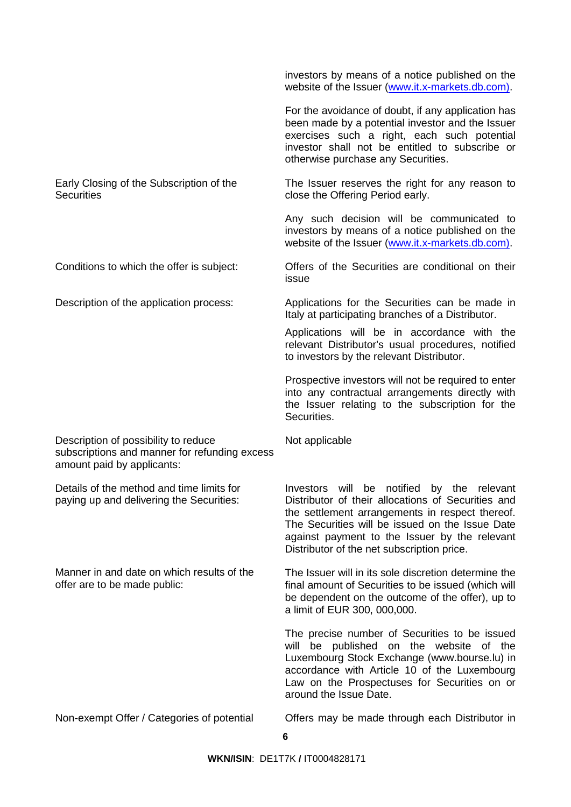investors by means of a notice published on the website of the Issuer [\(www.it.x-markets.db.com\).](http://www.it.x-markets.db.com)/)

> For the avoidance of doubt, if any application has been made by a potential investor and the Issuer exercises such a right, each such potential investor shall not be entitled to subscribe or otherwise purchase any Securities.

> The Issuer reserves the right for any reason to

Any such decision will be communicated to investors by means of a notice published on the website of the Issuer [\(www.it.x-markets.db.com\).](http://www.it.x-markets.db.com)/)

Italy at participating branches of a Distributor.

to investors by the relevant Distributor.

Applications will be in accordance with the relevant Distributor's usual procedures, notified

Prospective investors will not be required to enter into any contractual arrangements directly with the Issuer relating to the subscription for the

close the Offering Period early.

# Early Closing of the Subscription of the **Securities**

Conditions to which the offer is subject: Offers of the Securities are conditional on their

Description of the application process: Applications for the Securities can be made in

Description of possibility to reduce subscriptions and manner for refunding excess amount paid by applicants:

Details of the method and time limits for paying up and delivering the Securities:

Manner in and date on which results of the offer are to be made public:

Not applicable

Securities.

issue

Investors will be notified by the relevant Distributor of their allocations of Securities and the settlement arrangements in respect thereof. The Securities will be issued on the Issue Date against payment to the Issuer by the relevant Distributor of the net subscription price.

The Issuer will in its sole discretion determine the final amount of Securities to be issued (which will be dependent on the outcome of the offer), up to a limit of EUR 300, 000,000.

The precise number of Securities to be issued will be published on the website of the Luxembourg Stock Exchange [\(www.bourse.lu\)](http://www.bourse.lu)/) in accordance with Article 10 of the Luxembourg Law on the Prospectuses for Securities on or around the Issue Date.

Non-exempt Offer / Categories of potential Offers may be made through each Distributor in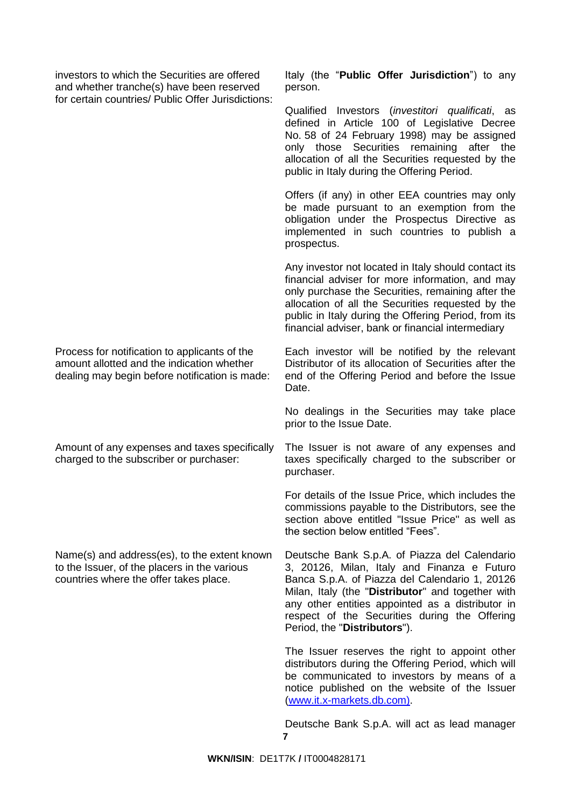investors to which the Securities are offered and whether tranche(s) have been reserved for certain countries/ Public Offer Jurisdictions:

Process for notification to applicants of the amount allotted and the indication whether dealing may begin before notification is made:

Amount of any expenses and taxes specifically charged to the subscriber or purchaser:

Name(s) and address(es), to the extent known to the Issuer, of the placers in the various countries where the offer takes place.

Italy (the "**Public Offer Jurisdiction**") to any person.

Qualified Investors (*investitori qualificati*, as defined in Article 100 of Legislative Decree No. 58 of 24 February 1998) may be assigned only those Securities remaining after the allocation of all the Securities requested by the public in Italy during the Offering Period.

Offers (if any) in other EEA countries may only be made pursuant to an exemption from the obligation under the Prospectus Directive as implemented in such countries to publish a prospectus.

Any investor not located in Italy should contact its financial adviser for more information, and may only purchase the Securities, remaining after the allocation of all the Securities requested by the public in Italy during the Offering Period, from its financial adviser, bank or financial intermediary

Each investor will be notified by the relevant Distributor of its allocation of Securities after the end of the Offering Period and before the Issue Date.

No dealings in the Securities may take place prior to the Issue Date.

The Issuer is not aware of any expenses and taxes specifically charged to the subscriber or purchaser.

For details of the Issue Price, which includes the commissions payable to the Distributors, see the section above entitled "Issue Price" as well as the section below entitled "Fees".

Deutsche Bank S.p.A. of Piazza del Calendario 3, 20126, Milan, Italy and Finanza e Futuro Banca S.p.A. of Piazza del Calendario 1, 20126 Milan, Italy (the "**Distributor**" and together with any other entities appointed as a distributor in respect of the Securities during the Offering Period, the "**Distributors**").

The Issuer reserves the right to appoint other distributors during the Offering Period, which will be communicated to investors by means of a notice published on the website of the Issuer [\(www.it.x-markets.db.com\).](http://www.it.x-markets.db.com)/)

**7** Deutsche Bank S.p.A. will act as lead manager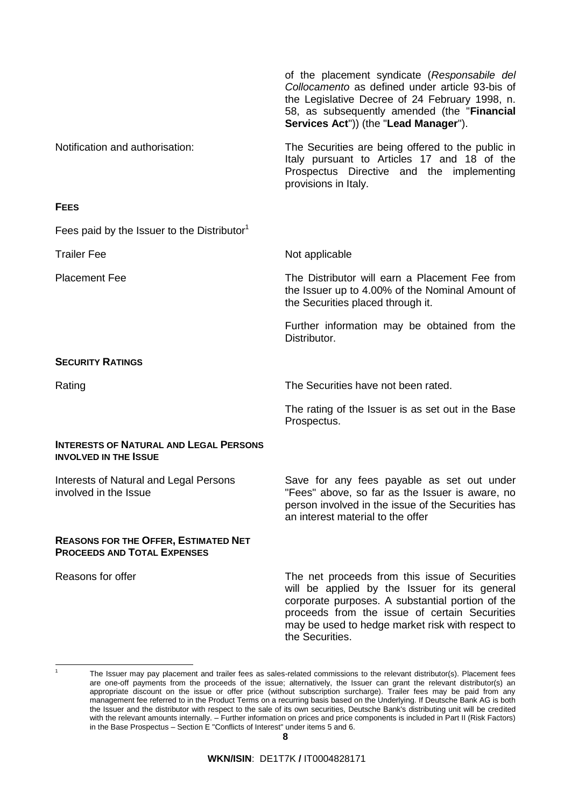|                                                                                   | of the placement syndicate (Responsabile del<br>Collocamento as defined under article 93-bis of<br>the Legislative Decree of 24 February 1998, n.<br>58, as subsequently amended (the "Financial<br>Services Act")) (the "Lead Manager"). |
|-----------------------------------------------------------------------------------|-------------------------------------------------------------------------------------------------------------------------------------------------------------------------------------------------------------------------------------------|
| Notification and authorisation:                                                   | The Securities are being offered to the public in<br>Italy pursuant to Articles 17 and 18 of the<br>Prospectus Directive and the implementing<br>provisions in Italy.                                                                     |
| <b>FEES</b>                                                                       |                                                                                                                                                                                                                                           |
| Fees paid by the Issuer to the Distributor <sup>1</sup>                           |                                                                                                                                                                                                                                           |
| <b>Trailer Fee</b>                                                                | Not applicable                                                                                                                                                                                                                            |
| <b>Placement Fee</b>                                                              | The Distributor will earn a Placement Fee from<br>the Issuer up to 4.00% of the Nominal Amount of<br>the Securities placed through it.                                                                                                    |
|                                                                                   | Further information may be obtained from the<br>Distributor.                                                                                                                                                                              |
| <b>SECURITY RATINGS</b>                                                           |                                                                                                                                                                                                                                           |
| Rating                                                                            | The Securities have not been rated.                                                                                                                                                                                                       |
|                                                                                   | The rating of the Issuer is as set out in the Base<br>Prospectus.                                                                                                                                                                         |
| <b>INTERESTS OF NATURAL AND LEGAL PERSONS</b><br><b>INVOLVED IN THE ISSUE</b>     |                                                                                                                                                                                                                                           |
| <b>Interests of Natural and Legal Persons</b><br>involved in the Issue            | Save for any fees payable as set out under<br>"Fees" above, so far as the Issuer is aware, no<br>person involved in the issue of the Securities has<br>an interest material to the offer                                                  |
| <b>REASONS FOR THE OFFER, ESTIMATED NET</b><br><b>PROCEEDS AND TOTAL EXPENSES</b> |                                                                                                                                                                                                                                           |
| Reasons for offer                                                                 | The net proceeds from this issue of Securities<br>will be applied by the Issuer for its general<br>corporate purposes. A substantial portion of the<br>proceeds from the issue of certain Securities                                      |

l

the Securities.

may be used to hedge market risk with respect to

<sup>1</sup>

The Issuer may pay placement and trailer fees as sales-related commissions to the relevant distributor(s). Placement fees are one-off payments from the proceeds of the issue; alternatively, the Issuer can grant the relevant distributor(s) an appropriate discount on the issue or offer price (without subscription surcharge). Trailer fees may be paid from any management fee referred to in the Product Terms on a recurring basis based on the Underlying. If Deutsche Bank AG is both the Issuer and the distributor with respect to the sale of its own securities, Deutsche Bank's distributing unit will be credited with the relevant amounts internally. – Further information on prices and price components is included in Part II (Risk Factors) in the Base Prospectus – Section E "Conflicts of Interest" under items 5 and 6.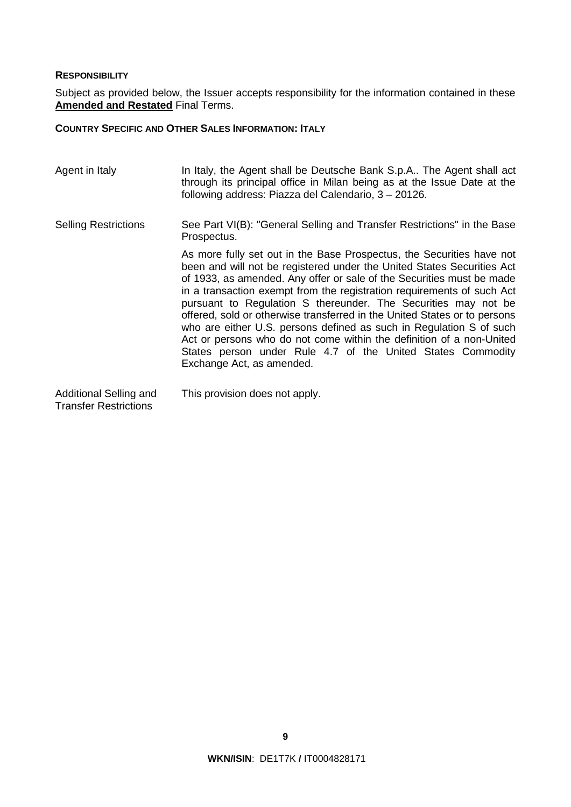### **RESPONSIBILITY**

Subject as provided below, the Issuer accepts responsibility for the information contained in these **Amended and Restated** Final Terms.

# **COUNTRY SPECIFIC AND OTHER SALES INFORMATION: ITALY**

| Agent in Italy                                                | In Italy, the Agent shall be Deutsche Bank S.p.A The Agent shall act<br>through its principal office in Milan being as at the Issue Date at the<br>following address: Piazza del Calendario, 3 - 20126.                                                                                                                                                                                                                                                                                                                                                                                                                                                                                      |
|---------------------------------------------------------------|----------------------------------------------------------------------------------------------------------------------------------------------------------------------------------------------------------------------------------------------------------------------------------------------------------------------------------------------------------------------------------------------------------------------------------------------------------------------------------------------------------------------------------------------------------------------------------------------------------------------------------------------------------------------------------------------|
| <b>Selling Restrictions</b>                                   | See Part VI(B): "General Selling and Transfer Restrictions" in the Base<br>Prospectus.                                                                                                                                                                                                                                                                                                                                                                                                                                                                                                                                                                                                       |
|                                                               | As more fully set out in the Base Prospectus, the Securities have not<br>been and will not be registered under the United States Securities Act<br>of 1933, as amended. Any offer or sale of the Securities must be made<br>in a transaction exempt from the registration requirements of such Act<br>pursuant to Regulation S thereunder. The Securities may not be<br>offered, sold or otherwise transferred in the United States or to persons<br>who are either U.S. persons defined as such in Regulation S of such<br>Act or persons who do not come within the definition of a non-United<br>States person under Rule 4.7 of the United States Commodity<br>Exchange Act, as amended. |
| <b>Additional Selling and</b><br><b>Transfer Restrictions</b> | This provision does not apply.                                                                                                                                                                                                                                                                                                                                                                                                                                                                                                                                                                                                                                                               |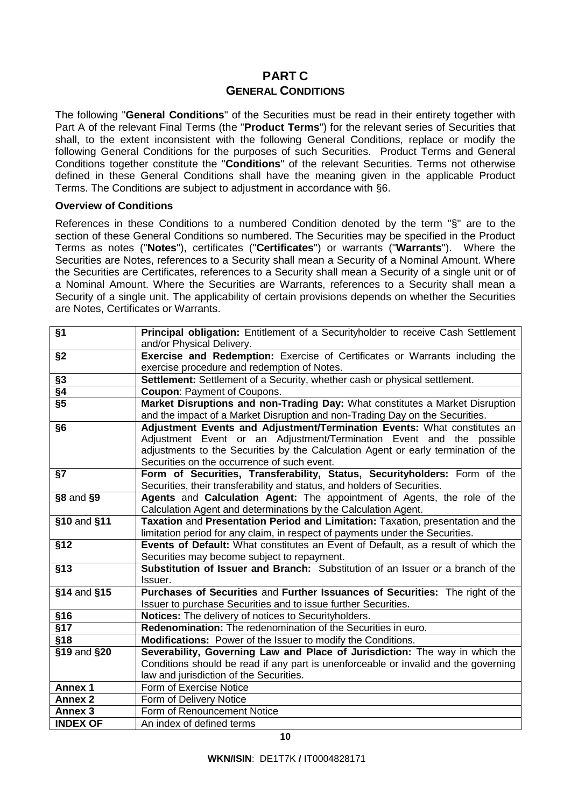# **PART C GENERAL CONDITIONS**

The following "**General Conditions**" of the Securities must be read in their entirety together with Part A of the relevant Final Terms (the "**Product Terms**") for the relevant series of Securities that shall, to the extent inconsistent with the following General Conditions, replace or modify the following General Conditions for the purposes of such Securities. Product Terms and General Conditions together constitute the "**Conditions**" of the relevant Securities. Terms not otherwise defined in these General Conditions shall have the meaning given in the applicable Product Terms. The Conditions are subject to adjustment in accordance with [§6.](#page-39-0)

# **Overview of Conditions**

References in these Conditions to a numbered Condition denoted by the term "§" are to the section of these General Conditions so numbered. The Securities may be specified in the Product Terms as notes ("**Notes**"), certificates ("**Certificates**") or warrants ("**Warrants**"). Where the Securities are Notes, references to a Security shall mean a Security of a Nominal Amount. Where the Securities are Certificates, references to a Security shall mean a Security of a single unit or of a Nominal Amount. Where the Securities are Warrants, references to a Security shall mean a Security of a single unit. The applicability of certain provisions depends on whether the Securities are Notes, Certificates or Warrants.

| § <sub>1</sub>   | <b>Principal obligation:</b> Entitlement of a Securityholder to receive Cash Settlement  |
|------------------|------------------------------------------------------------------------------------------|
|                  | and/or Physical Delivery.                                                                |
| $\S2$            | Exercise and Redemption: Exercise of Certificates or Warrants including the              |
|                  | exercise procedure and redemption of Notes.                                              |
| $\S3$            | Settlement: Settlement of a Security, whether cash or physical settlement.               |
| $\overline{\S4}$ | <b>Coupon: Payment of Coupons.</b>                                                       |
| $\overline{\S5}$ | Market Disruptions and non-Trading Day: What constitutes a Market Disruption             |
|                  | and the impact of a Market Disruption and non-Trading Day on the Securities.             |
| §6               | Adjustment Events and Adjustment/Termination Events: What constitutes an                 |
|                  | Adjustment Event or an Adjustment/Termination Event and the possible                     |
|                  | adjustments to the Securities by the Calculation Agent or early termination of the       |
|                  | Securities on the occurrence of such event.                                              |
| §7               | Form of Securities, Transferability, Status, Securityholders: Form of the                |
|                  | Securities, their transferability and status, and holders of Securities.                 |
| §8 and §9        | Agents and Calculation Agent: The appointment of Agents, the role of the                 |
|                  | Calculation Agent and determinations by the Calculation Agent.                           |
| §10 and §11      | Taxation and Presentation Period and Limitation: Taxation, presentation and the          |
|                  | limitation period for any claim, in respect of payments under the Securities.            |
| §12              | <b>Events of Default:</b> What constitutes an Event of Default, as a result of which the |
|                  | Securities may become subject to repayment.                                              |
| §13              | Substitution of Issuer and Branch: Substitution of an Issuer or a branch of the          |
|                  | Issuer.                                                                                  |
| §14 and §15      | Purchases of Securities and Further Issuances of Securities: The right of the            |
|                  | Issuer to purchase Securities and to issue further Securities.                           |
| §16              | Notices: The delivery of notices to Securityholders.                                     |
| §17              | Redenomination: The redenomination of the Securities in euro.                            |
| §18              | Modifications: Power of the Issuer to modify the Conditions.                             |
| §19 and §20      | Severability, Governing Law and Place of Jurisdiction: The way in which the              |
|                  | Conditions should be read if any part is unenforceable or invalid and the governing      |
|                  | law and jurisdiction of the Securities.                                                  |
| <b>Annex 1</b>   | Form of Exercise Notice                                                                  |
| <b>Annex 2</b>   | Form of Delivery Notice                                                                  |
| <b>Annex 3</b>   | Form of Renouncement Notice                                                              |
| <b>INDEX OF</b>  | An index of defined terms                                                                |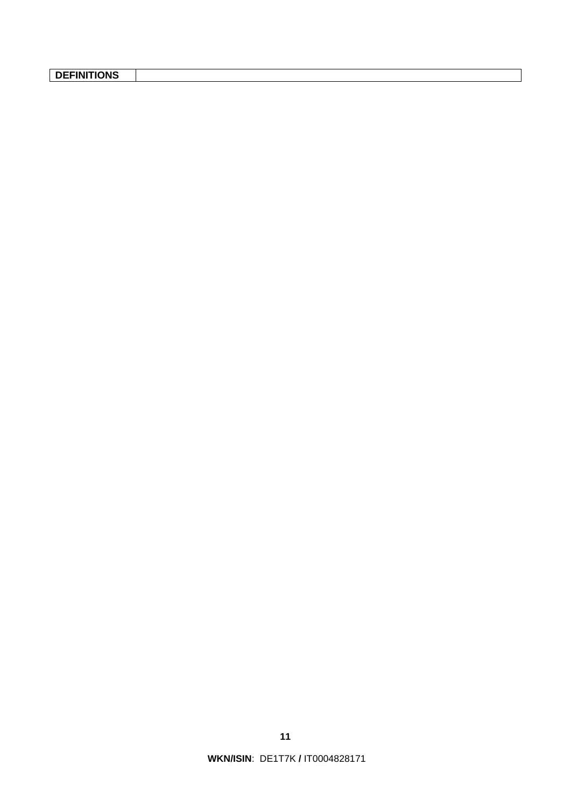| <b>DEFINITIONS</b> |  |
|--------------------|--|
|--------------------|--|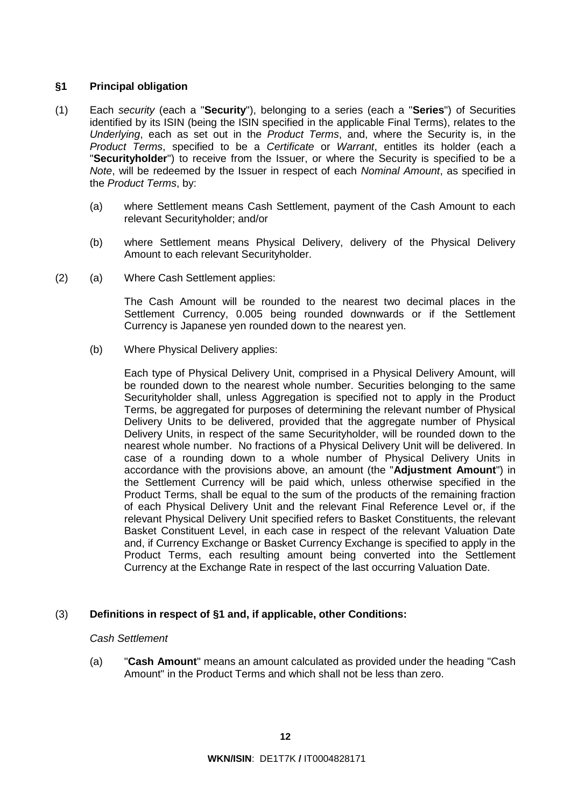# <span id="page-11-0"></span>**§1 Principal obligation**

- <span id="page-11-1"></span>(1) Each *security* (each a "**Security**"), belonging to a series (each a "**Series**") of Securities identified by its ISIN (being the ISIN specified in the applicable Final Terms), relates to the *Underlying*, each as set out in the *Product Terms*, and, where the Security is, in the *Product Terms*, specified to be a *Certificate* or *Warrant*, entitles its holder (each a "**Securityholder**") to receive from the Issuer, or where the Security is specified to be a *Note*, will be redeemed by the Issuer in respect of each *Nominal Amount*, as specified in the *Product Terms*, by:
	- (a) where Settlement means Cash Settlement, payment of the Cash Amount to each relevant Securityholder; and/or
	- (b) where Settlement means Physical Delivery, delivery of the Physical Delivery Amount to each relevant Securityholder.
- (2) (a) Where Cash Settlement applies:

The Cash Amount will be rounded to the nearest two decimal places in the Settlement Currency, 0.005 being rounded downwards or if the Settlement Currency is Japanese yen rounded down to the nearest yen.

(b) Where Physical Delivery applies:

Each type of Physical Delivery Unit, comprised in a Physical Delivery Amount, will be rounded down to the nearest whole number. Securities belonging to the same Securityholder shall, unless Aggregation is specified not to apply in the Product Terms, be aggregated for purposes of determining the relevant number of Physical Delivery Units to be delivered, provided that the aggregate number of Physical Delivery Units, in respect of the same Securityholder, will be rounded down to the nearest whole number. No fractions of a Physical Delivery Unit will be delivered. In case of a rounding down to a whole number of Physical Delivery Units in accordance with the provisions above, an amount (the "**Adjustment Amount**") in the Settlement Currency will be paid which, unless otherwise specified in the Product Terms, shall be equal to the sum of the products of the remaining fraction of each Physical Delivery Unit and the relevant Final Reference Level or, if the relevant Physical Delivery Unit specified refers to Basket Constituents, the relevant Basket Constituent Level, in each case in respect of the relevant Valuation Date and, if Currency Exchange or Basket Currency Exchange is specified to apply in the Product Terms, each resulting amount being converted into the Settlement Currency at the Exchange Rate in respect of the last occurring Valuation Date.

# (3) **Definitions in respect of [§1](#page-11-0) and, if applicable, other Conditions:**

# *Cash Settlement*

(a) "**Cash Amount**" means an amount calculated as provided under the heading "Cash Amount" in the Product Terms and which shall not be less than zero.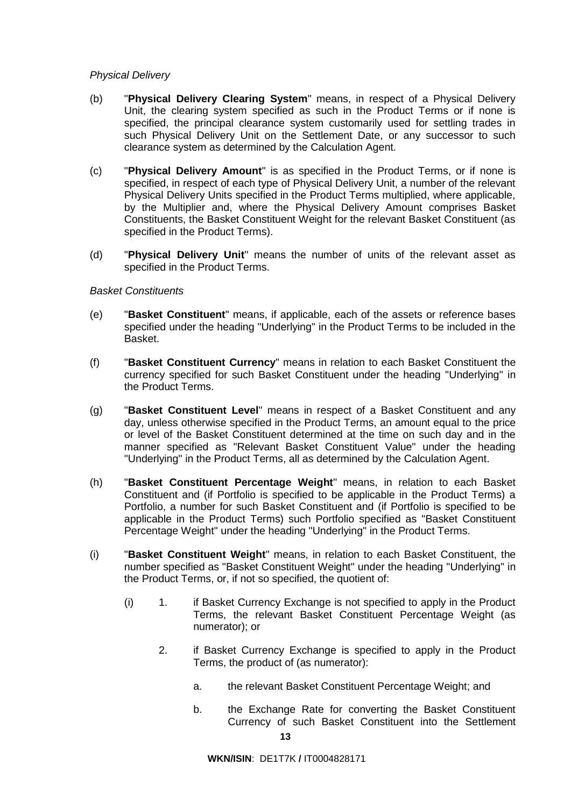#### *Physical Delivery*

- (b) "**Physical Delivery Clearing System**" means, in respect of a Physical Delivery Unit, the clearing system specified as such in the Product Terms or if none is specified, the principal clearance system customarily used for settling trades in such Physical Delivery Unit on the Settlement Date, or any successor to such clearance system as determined by the Calculation Agent.
- (c) "**Physical Delivery Amount**" is as specified in the Product Terms, or if none is specified, in respect of each type of Physical Delivery Unit, a number of the relevant Physical Delivery Units specified in the Product Terms multiplied, where applicable, by the Multiplier and, where the Physical Delivery Amount comprises Basket Constituents, the Basket Constituent Weight for the relevant Basket Constituent (as specified in the Product Terms).
- (d) "**Physical Delivery Unit**" means the number of units of the relevant asset as specified in the Product Terms.

### *Basket Constituents*

- (e) "**Basket Constituent**" means, if applicable, each of the assets or reference bases specified under the heading "Underlying" in the Product Terms to be included in the Basket.
- (f) "**Basket Constituent Currency**" means in relation to each Basket Constituent the currency specified for such Basket Constituent under the heading "Underlying" in the Product Terms.
- (g) "**Basket Constituent Level**" means in respect of a Basket Constituent and any day, unless otherwise specified in the Product Terms, an amount equal to the price or level of the Basket Constituent determined at the time on such day and in the manner specified as "Relevant Basket Constituent Value" under the heading "Underlying" in the Product Terms, all as determined by the Calculation Agent.
- (h) "**Basket Constituent Percentage Weight**" means, in relation to each Basket Constituent and (if Portfolio is specified to be applicable in the Product Terms) a Portfolio, a number for such Basket Constituent and (if Portfolio is specified to be applicable in the Product Terms) such Portfolio specified as "Basket Constituent Percentage Weight" under the heading "Underlying" in the Product Terms.
- (i) "**Basket Constituent Weight**" means, in relation to each Basket Constituent, the number specified as "Basket Constituent Weight" under the heading "Underlying" in the Product Terms, or, if not so specified, the quotient of:
	- (i) 1. if Basket Currency Exchange is not specified to apply in the Product Terms, the relevant Basket Constituent Percentage Weight (as numerator); or
		- 2. if Basket Currency Exchange is specified to apply in the Product Terms, the product of (as numerator):
			- a. the relevant Basket Constituent Percentage Weight; and
			- b. the Exchange Rate for converting the Basket Constituent Currency of such Basket Constituent into the Settlement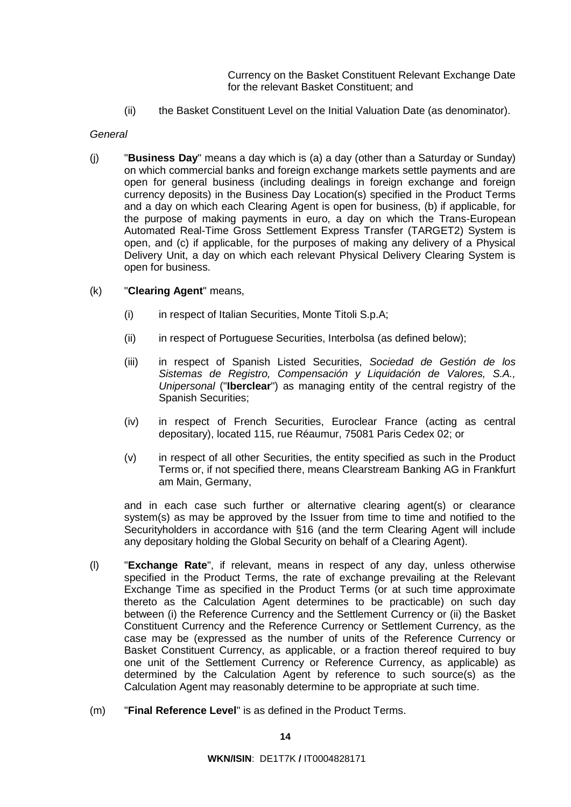Currency on the Basket Constituent Relevant Exchange Date for the relevant Basket Constituent; and

(ii) the Basket Constituent Level on the Initial Valuation Date (as denominator).

*General*

- (j) "**Business Day**" means a day which is (a) a day (other than a Saturday or Sunday) on which commercial banks and foreign exchange markets settle payments and are open for general business (including dealings in foreign exchange and foreign currency deposits) in the Business Day Location(s) specified in the Product Terms and a day on which each Clearing Agent is open for business, (b) if applicable, for the purpose of making payments in euro, a day on which the Trans-European Automated Real-Time Gross Settlement Express Transfer (TARGET2) System is open, and (c) if applicable, for the purposes of making any delivery of a Physical Delivery Unit, a day on which each relevant Physical Delivery Clearing System is open for business.
- (k) "**Clearing Agent**" means,
	- (i) in respect of Italian Securities, Monte Titoli S.p.A;
	- (ii) in respect of Portuguese Securities, Interbolsa (as defined below);
	- (iii) in respect of Spanish Listed Securities, *Sociedad de Gestión de los Sistemas de Registro, Compensación y Liquidación de Valores, S.A., Unipersonal* ("**Iberclear**") as managing entity of the central registry of the Spanish Securities;
	- (iv) in respect of French Securities, Euroclear France (acting as central depositary), located 115, rue Réaumur, 75081 Paris Cedex 02; or
	- (v) in respect of all other Securities, the entity specified as such in the Product Terms or, if not specified there, means Clearstream Banking AG in Frankfurt am Main, Germany,

and in each case such further or alternative clearing agent(s) or clearance system(s) as may be approved by the Issuer from time to time and notified to the Securityholders in accordance with [§16](#page-70-0) (and the term Clearing Agent will include any depositary holding the Global Security on behalf of a Clearing Agent).

- (l) "**Exchange Rate**", if relevant, means in respect of any day, unless otherwise specified in the Product Terms, the rate of exchange prevailing at the Relevant Exchange Time as specified in the Product Terms (or at such time approximate thereto as the Calculation Agent determines to be practicable) on such day between (i) the Reference Currency and the Settlement Currency or (ii) the Basket Constituent Currency and the Reference Currency or Settlement Currency, as the case may be (expressed as the number of units of the Reference Currency or Basket Constituent Currency, as applicable, or a fraction thereof required to buy one unit of the Settlement Currency or Reference Currency, as applicable) as determined by the Calculation Agent by reference to such source(s) as the Calculation Agent may reasonably determine to be appropriate at such time.
- (m) "**Final Reference Level**" is as defined in the Product Terms.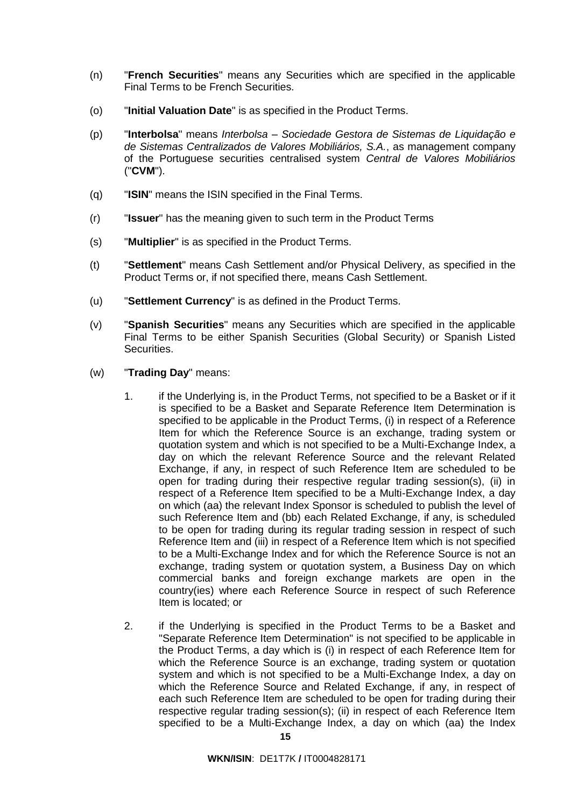- (n) "**French Securities**" means any Securities which are specified in the applicable Final Terms to be French Securities.
- (o) "**Initial Valuation Date**" is as specified in the Product Terms.
- (p) "**Interbolsa**" means *Interbolsa – Sociedade Gestora de Sistemas de Liquidação e de Sistemas Centralizados de Valores Mobiliários, S.A.*, as management company of the Portuguese securities centralised system *Central de Valores Mobiliários* ("**CVM**").
- (q) "**ISIN**" means the ISIN specified in the Final Terms.
- (r) "**Issuer**" has the meaning given to such term in the Product Terms
- (s) "**Multiplier**" is as specified in the Product Terms.
- (t) "**Settlement**" means Cash Settlement and/or Physical Delivery, as specified in the Product Terms or, if not specified there, means Cash Settlement.
- (u) "**Settlement Currency**" is as defined in the Product Terms.
- (v) "**Spanish Securities**" means any Securities which are specified in the applicable Final Terms to be either Spanish Securities (Global Security) or Spanish Listed Securities.
- (w) "**Trading Day**" means:
	- 1. if the Underlying is, in the Product Terms, not specified to be a Basket or if it is specified to be a Basket and Separate Reference Item Determination is specified to be applicable in the Product Terms, (i) in respect of a Reference Item for which the Reference Source is an exchange, trading system or quotation system and which is not specified to be a Multi-Exchange Index, a day on which the relevant Reference Source and the relevant Related Exchange, if any, in respect of such Reference Item are scheduled to be open for trading during their respective regular trading session(s), (ii) in respect of a Reference Item specified to be a Multi-Exchange Index, a day on which (aa) the relevant Index Sponsor is scheduled to publish the level of such Reference Item and (bb) each Related Exchange, if any, is scheduled to be open for trading during its regular trading session in respect of such Reference Item and (iii) in respect of a Reference Item which is not specified to be a Multi-Exchange Index and for which the Reference Source is not an exchange, trading system or quotation system, a Business Day on which commercial banks and foreign exchange markets are open in the country(ies) where each Reference Source in respect of such Reference Item is located; or
	- 2. if the Underlying is specified in the Product Terms to be a Basket and "Separate Reference Item Determination" is not specified to be applicable in the Product Terms, a day which is (i) in respect of each Reference Item for which the Reference Source is an exchange, trading system or quotation system and which is not specified to be a Multi-Exchange Index, a day on which the Reference Source and Related Exchange, if any, in respect of each such Reference Item are scheduled to be open for trading during their respective regular trading session(s); (ii) in respect of each Reference Item specified to be a Multi-Exchange Index, a day on which (aa) the Index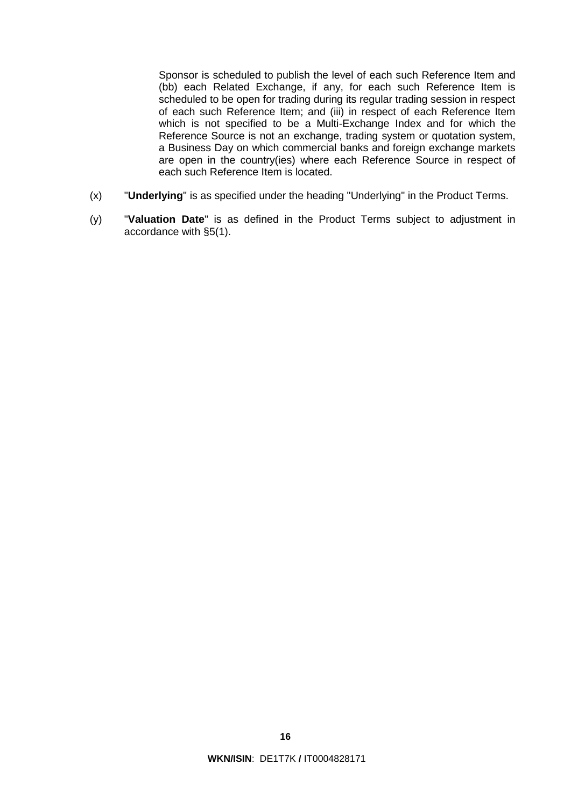Sponsor is scheduled to publish the level of each such Reference Item and (bb) each Related Exchange, if any, for each such Reference Item is scheduled to be open for trading during its regular trading session in respect of each such Reference Item; and (iii) in respect of each Reference Item which is not specified to be a Multi-Exchange Index and for which the Reference Source is not an exchange, trading system or quotation system, a Business Day on which commercial banks and foreign exchange markets are open in the country(ies) where each Reference Source in respect of each such Reference Item is located.

- (x) "**Underlying**" is as specified under the heading "Underlying" in the Product Terms.
- (y) "**Valuation Date**" is as defined in the Product Terms subject to adjustment in accordance with [§5\(1\).](#page-31-1)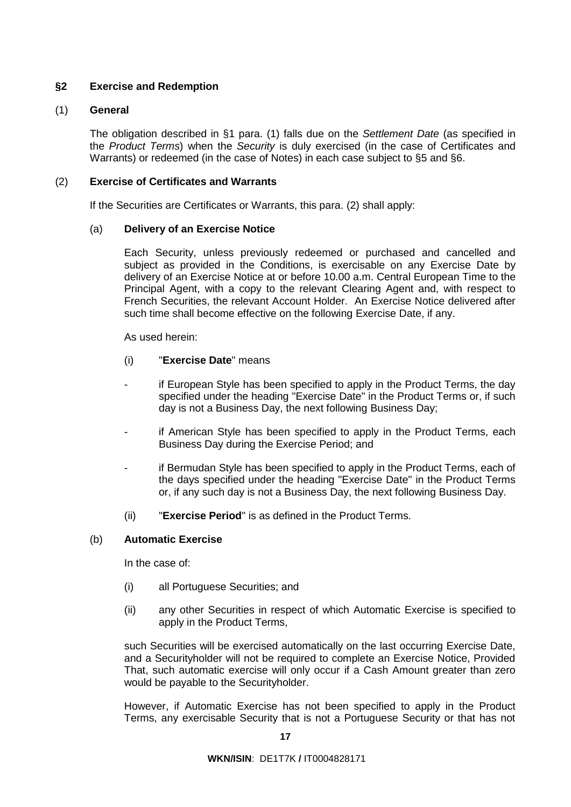# <span id="page-16-0"></span>**§2 Exercise and Redemption**

### (1) **General**

The obligation described in [§1](#page-11-0) para. [\(1\)](#page-11-1) falls due on the *Settlement Date* (as specified in the *Product Terms*) when the *Security* is duly exercised (in the case of Certificates and Warrants) or redeemed (in the case of Notes) in each case subject to [§5](#page-31-0) and [§6.](#page-39-0)

### <span id="page-16-1"></span>(2) **Exercise of Certificates and Warrants**

If the Securities are Certificates or Warrants, this para. [\(2\)](#page-16-1) shall apply:

### (a) **Delivery of an Exercise Notice**

Each Security, unless previously redeemed or purchased and cancelled and subject as provided in the Conditions, is exercisable on any Exercise Date by delivery of an Exercise Notice at or before 10.00 a.m. Central European Time to the Principal Agent, with a copy to the relevant Clearing Agent and, with respect to French Securities, the relevant Account Holder. An Exercise Notice delivered after such time shall become effective on the following Exercise Date, if any.

As used herein:

### (i) "**Exercise Date**" means

- if European Style has been specified to apply in the Product Terms, the day specified under the heading "Exercise Date" in the Product Terms or, if such day is not a Business Day, the next following Business Day;
- if American Style has been specified to apply in the Product Terms, each Business Day during the Exercise Period; and
- if Bermudan Style has been specified to apply in the Product Terms, each of the days specified under the heading "Exercise Date" in the Product Terms or, if any such day is not a Business Day, the next following Business Day.
- (ii) "**Exercise Period**" is as defined in the Product Terms.

### <span id="page-16-2"></span>(b) **Automatic Exercise**

In the case of:

- (i) all Portuguese Securities; and
- (ii) any other Securities in respect of which Automatic Exercise is specified to apply in the Product Terms,

such Securities will be exercised automatically on the last occurring Exercise Date, and a Securityholder will not be required to complete an Exercise Notice, Provided That, such automatic exercise will only occur if a Cash Amount greater than zero would be payable to the Securityholder.

However, if Automatic Exercise has not been specified to apply in the Product Terms, any exercisable Security that is not a Portuguese Security or that has not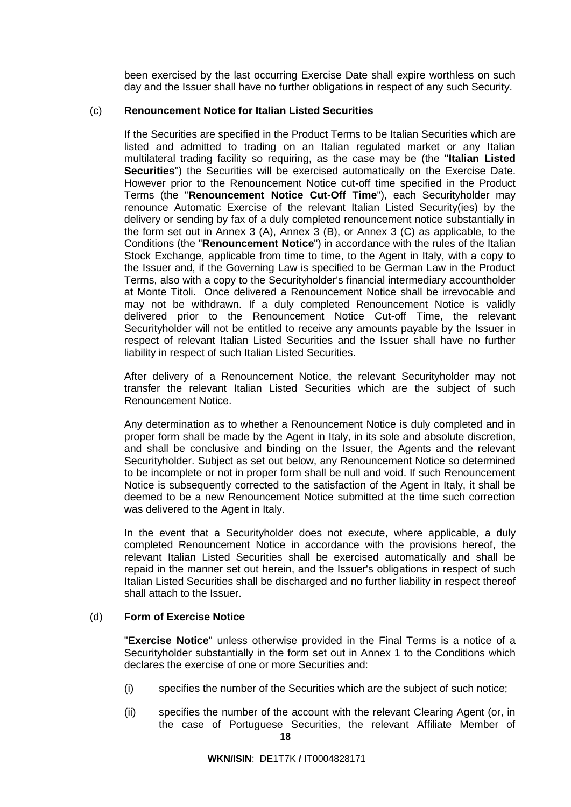been exercised by the last occurring Exercise Date shall expire worthless on such day and the Issuer shall have no further obligations in respect of any such Security.

### (c) **Renouncement Notice for Italian Listed Securities**

If the Securities are specified in the Product Terms to be Italian Securities which are listed and admitted to trading on an Italian regulated market or any Italian multilateral trading facility so requiring, as the case may be (the "**Italian Listed Securities**") the Securities will be exercised automatically on the Exercise Date. However prior to the Renouncement Notice cut-off time specified in the Product Terms (the "**Renouncement Notice Cut-Off Time**"), each Securityholder may renounce Automatic Exercise of the relevant Italian Listed Security(ies) by the delivery or sending by fax of a duly completed renouncement notice substantially in the form set out in Annex 3 (A), Annex 3 (B), or Annex 3 (C) as applicable, to the Conditions (the "**Renouncement Notice**") in accordance with the rules of the Italian Stock Exchange, applicable from time to time, to the Agent in Italy, with a copy to the Issuer and, if the Governing Law is specified to be German Law in the Product Terms, also with a copy to the Securityholder's financial intermediary accountholder at Monte Titoli. Once delivered a Renouncement Notice shall be irrevocable and may not be withdrawn. If a duly completed Renouncement Notice is validly delivered prior to the Renouncement Notice Cut-off Time, the relevant Securityholder will not be entitled to receive any amounts payable by the Issuer in respect of relevant Italian Listed Securities and the Issuer shall have no further liability in respect of such Italian Listed Securities.

After delivery of a Renouncement Notice, the relevant Securityholder may not transfer the relevant Italian Listed Securities which are the subject of such Renouncement Notice.

Any determination as to whether a Renouncement Notice is duly completed and in proper form shall be made by the Agent in Italy, in its sole and absolute discretion, and shall be conclusive and binding on the Issuer, the Agents and the relevant Securityholder. Subject as set out below, any Renouncement Notice so determined to be incomplete or not in proper form shall be null and void. If such Renouncement Notice is subsequently corrected to the satisfaction of the Agent in Italy, it shall be deemed to be a new Renouncement Notice submitted at the time such correction was delivered to the Agent in Italy.

In the event that a Securityholder does not execute, where applicable, a duly completed Renouncement Notice in accordance with the provisions hereof, the relevant Italian Listed Securities shall be exercised automatically and shall be repaid in the manner set out herein, and the Issuer's obligations in respect of such Italian Listed Securities shall be discharged and no further liability in respect thereof shall attach to the Issuer.

# (d) **Form of Exercise Notice**

"**Exercise Notice**" unless otherwise provided in the Final Terms is a notice of a Securityholder substantially in the form set out in Annex 1 to the Conditions which declares the exercise of one or more Securities and:

- (i) specifies the number of the Securities which are the subject of such notice;
- (ii) specifies the number of the account with the relevant Clearing Agent (or, in the case of Portuguese Securities, the relevant Affiliate Member of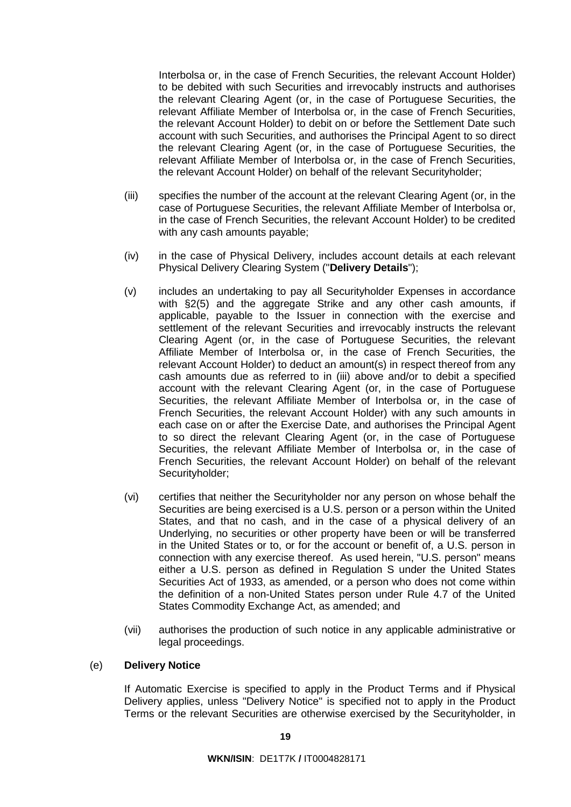Interbolsa or, in the case of French Securities, the relevant Account Holder) to be debited with such Securities and irrevocably instructs and authorises the relevant Clearing Agent (or, in the case of Portuguese Securities, the relevant Affiliate Member of Interbolsa or, in the case of French Securities, the relevant Account Holder) to debit on or before the Settlement Date such account with such Securities, and authorises the Principal Agent to so direct the relevant Clearing Agent (or, in the case of Portuguese Securities, the relevant Affiliate Member of Interbolsa or, in the case of French Securities, the relevant Account Holder) on behalf of the relevant Securityholder;

- <span id="page-18-0"></span>(iii) specifies the number of the account at the relevant Clearing Agent (or, in the case of Portuguese Securities, the relevant Affiliate Member of Interbolsa or, in the case of French Securities, the relevant Account Holder) to be credited with any cash amounts payable;
- (iv) in the case of Physical Delivery, includes account details at each relevant Physical Delivery Clearing System ("**Delivery Details**");
- (v) includes an undertaking to pay all Securityholder Expenses in accordance with [§2\(5\)](#page-21-0) and the aggregate Strike and any other cash amounts, if applicable, payable to the Issuer in connection with the exercise and settlement of the relevant Securities and irrevocably instructs the relevant Clearing Agent (or, in the case of Portuguese Securities, the relevant Affiliate Member of Interbolsa or, in the case of French Securities, the relevant Account Holder) to deduct an amount(s) in respect thereof from any cash amounts due as referred to in [\(iii\) above](#page-18-0) and/or to debit a specified account with the relevant Clearing Agent (or, in the case of Portuguese Securities, the relevant Affiliate Member of Interbolsa or, in the case of French Securities, the relevant Account Holder) with any such amounts in each case on or after the Exercise Date, and authorises the Principal Agent to so direct the relevant Clearing Agent (or, in the case of Portuguese Securities, the relevant Affiliate Member of Interbolsa or, in the case of French Securities, the relevant Account Holder) on behalf of the relevant Securityholder;
- (vi) certifies that neither the Securityholder nor any person on whose behalf the Securities are being exercised is a U.S. person or a person within the United States, and that no cash, and in the case of a physical delivery of an Underlying, no securities or other property have been or will be transferred in the United States or to, or for the account or benefit of, a U.S. person in connection with any exercise thereof. As used herein, "U.S. person" means either a U.S. person as defined in Regulation S under the United States Securities Act of 1933, as amended, or a person who does not come within the definition of a non-United States person under Rule 4.7 of the United States Commodity Exchange Act, as amended; and
- (vii) authorises the production of such notice in any applicable administrative or legal proceedings.

### (e) **Delivery Notice**

If Automatic Exercise is specified to apply in the Product Terms and if Physical Delivery applies, unless "Delivery Notice" is specified not to apply in the Product Terms or the relevant Securities are otherwise exercised by the Securityholder, in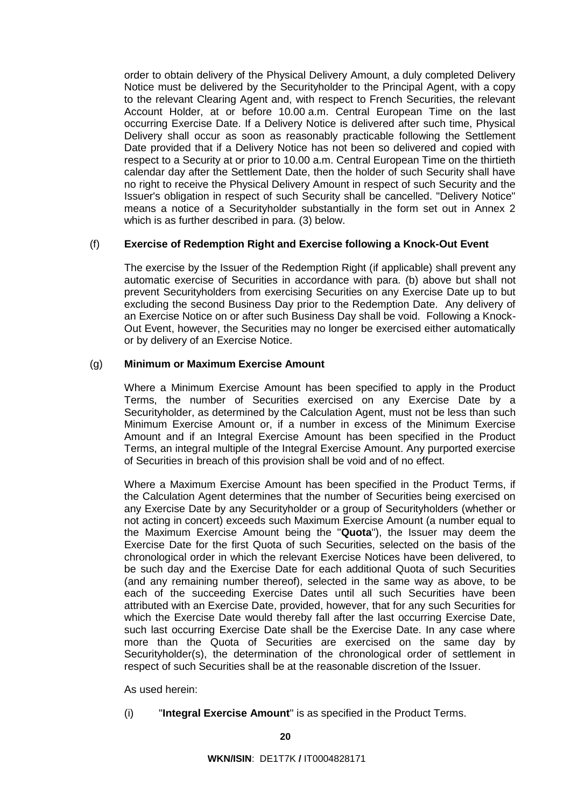order to obtain delivery of the Physical Delivery Amount, a duly completed Delivery Notice must be delivered by the Securityholder to the Principal Agent, with a copy to the relevant Clearing Agent and, with respect to French Securities, the relevant Account Holder, at or before 10.00 a.m. Central European Time on the last occurring Exercise Date. If a Delivery Notice is delivered after such time, Physical Delivery shall occur as soon as reasonably practicable following the Settlement Date provided that if a Delivery Notice has not been so delivered and copied with respect to a Security at or prior to 10.00 a.m. Central European Time on the thirtieth calendar day after the Settlement Date, then the holder of such Security shall have no right to receive the Physical Delivery Amount in respect of such Security and the Issuer's obligation in respect of such Security shall be cancelled. "Delivery Notice" means a notice of a Securityholder substantially in the form set out in Annex 2 which is as further described in para. [\(3\) below.](#page-20-0)

### (f) **Exercise of Redemption Right and Exercise following a Knock-Out Event**

The exercise by the Issuer of the Redemption Right (if applicable) shall prevent any automatic exercise of Securities in accordance with para. [\(b\) above](#page-16-2) but shall not prevent Securityholders from exercising Securities on any Exercise Date up to but excluding the second Business Day prior to the Redemption Date. Any delivery of an Exercise Notice on or after such Business Day shall be void. Following a Knock-Out Event, however, the Securities may no longer be exercised either automatically or by delivery of an Exercise Notice.

#### (g) **Minimum or Maximum Exercise Amount**

Where a Minimum Exercise Amount has been specified to apply in the Product Terms, the number of Securities exercised on any Exercise Date by a Securityholder, as determined by the Calculation Agent, must not be less than such Minimum Exercise Amount or, if a number in excess of the Minimum Exercise Amount and if an Integral Exercise Amount has been specified in the Product Terms, an integral multiple of the Integral Exercise Amount. Any purported exercise of Securities in breach of this provision shall be void and of no effect.

Where a Maximum Exercise Amount has been specified in the Product Terms, if the Calculation Agent determines that the number of Securities being exercised on any Exercise Date by any Securityholder or a group of Securityholders (whether or not acting in concert) exceeds such Maximum Exercise Amount (a number equal to the Maximum Exercise Amount being the "**Quota**"), the Issuer may deem the Exercise Date for the first Quota of such Securities, selected on the basis of the chronological order in which the relevant Exercise Notices have been delivered, to be such day and the Exercise Date for each additional Quota of such Securities (and any remaining number thereof), selected in the same way as above, to be each of the succeeding Exercise Dates until all such Securities have been attributed with an Exercise Date, provided, however, that for any such Securities for which the Exercise Date would thereby fall after the last occurring Exercise Date, such last occurring Exercise Date shall be the Exercise Date. In any case where more than the Quota of Securities are exercised on the same day by Securityholder(s), the determination of the chronological order of settlement in respect of such Securities shall be at the reasonable discretion of the Issuer.

As used herein:

(i) "**Integral Exercise Amount**" is as specified in the Product Terms.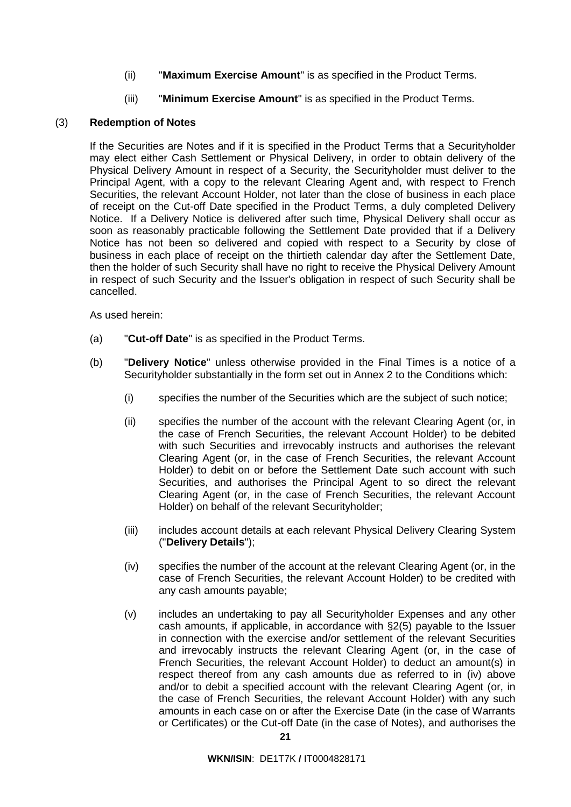- (ii) "**Maximum Exercise Amount**" is as specified in the Product Terms.
- (iii) "**Minimum Exercise Amount**" is as specified in the Product Terms.

# <span id="page-20-0"></span>(3) **Redemption of Notes**

If the Securities are Notes and if it is specified in the Product Terms that a Securityholder may elect either Cash Settlement or Physical Delivery, in order to obtain delivery of the Physical Delivery Amount in respect of a Security, the Securityholder must deliver to the Principal Agent, with a copy to the relevant Clearing Agent and, with respect to French Securities, the relevant Account Holder, not later than the close of business in each place of receipt on the Cut-off Date specified in the Product Terms, a duly completed Delivery Notice. If a Delivery Notice is delivered after such time, Physical Delivery shall occur as soon as reasonably practicable following the Settlement Date provided that if a Delivery Notice has not been so delivered and copied with respect to a Security by close of business in each place of receipt on the thirtieth calendar day after the Settlement Date, then the holder of such Security shall have no right to receive the Physical Delivery Amount in respect of such Security and the Issuer's obligation in respect of such Security shall be cancelled.

As used herein:

- (a) "**Cut-off Date**" is as specified in the Product Terms.
- <span id="page-20-1"></span>(b) "**Delivery Notice**" unless otherwise provided in the Final Times is a notice of a Securityholder substantially in the form set out in Annex 2 to the Conditions which:
	- (i) specifies the number of the Securities which are the subject of such notice;
	- (ii) specifies the number of the account with the relevant Clearing Agent (or, in the case of French Securities, the relevant Account Holder) to be debited with such Securities and irrevocably instructs and authorises the relevant Clearing Agent (or, in the case of French Securities, the relevant Account Holder) to debit on or before the Settlement Date such account with such Securities, and authorises the Principal Agent to so direct the relevant Clearing Agent (or, in the case of French Securities, the relevant Account Holder) on behalf of the relevant Securityholder;
	- (iii) includes account details at each relevant Physical Delivery Clearing System ("**Delivery Details**");
	- (iv) specifies the number of the account at the relevant Clearing Agent (or, in the case of French Securities, the relevant Account Holder) to be credited with any cash amounts payable;
	- (v) includes an undertaking to pay all Securityholder Expenses and any other cash amounts, if applicable, in accordance with [§2\(5\)](#page-21-0) payable to the Issuer in connection with the exercise and/or settlement of the relevant Securities and irrevocably instructs the relevant Clearing Agent (or, in the case of French Securities, the relevant Account Holder) to deduct an amount(s) in respect thereof from any cash amounts due as referred to in [\(iv\) above](#page-20-1) and/or to debit a specified account with the relevant Clearing Agent (or, in the case of French Securities, the relevant Account Holder) with any such amounts in each case on or after the Exercise Date (in the case of Warrants or Certificates) or the Cut-off Date (in the case of Notes), and authorises the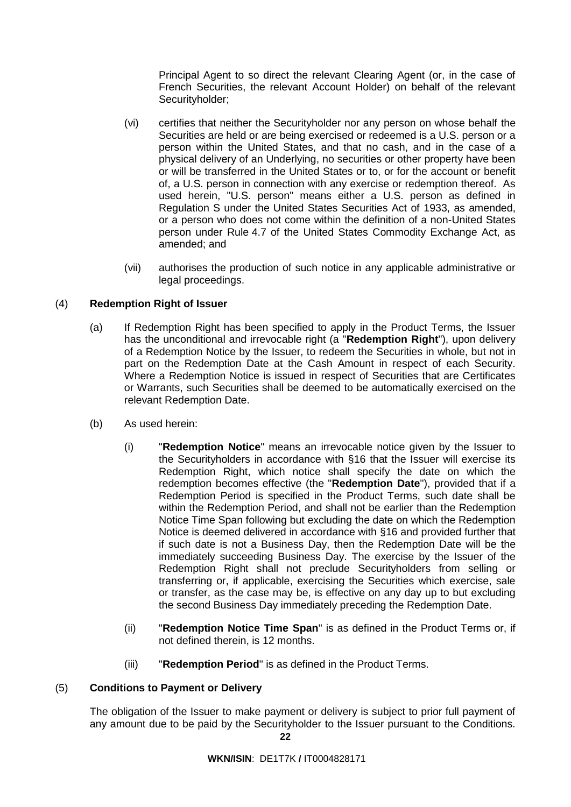Principal Agent to so direct the relevant Clearing Agent (or, in the case of French Securities, the relevant Account Holder) on behalf of the relevant Securityholder;

- (vi) certifies that neither the Securityholder nor any person on whose behalf the Securities are held or are being exercised or redeemed is a U.S. person or a person within the United States, and that no cash, and in the case of a physical delivery of an Underlying, no securities or other property have been or will be transferred in the United States or to, or for the account or benefit of, a U.S. person in connection with any exercise or redemption thereof. As used herein, "U.S. person" means either a U.S. person as defined in Regulation S under the United States Securities Act of 1933, as amended, or a person who does not come within the definition of a non-United States person under Rule 4.7 of the United States Commodity Exchange Act, as amended; and
- (vii) authorises the production of such notice in any applicable administrative or legal proceedings.

# (4) **Redemption Right of Issuer**

- (a) If Redemption Right has been specified to apply in the Product Terms, the Issuer has the unconditional and irrevocable right (a "**Redemption Right**"), upon delivery of a Redemption Notice by the Issuer, to redeem the Securities in whole, but not in part on the Redemption Date at the Cash Amount in respect of each Security. Where a Redemption Notice is issued in respect of Securities that are Certificates or Warrants, such Securities shall be deemed to be automatically exercised on the relevant Redemption Date.
- (b) As used herein:
	- (i) "**Redemption Notice**" means an irrevocable notice given by the Issuer to the Securityholders in accordance with [§16](#page-70-0) that the Issuer will exercise its Redemption Right, which notice shall specify the date on which the redemption becomes effective (the "**Redemption Date**"), provided that if a Redemption Period is specified in the Product Terms, such date shall be within the Redemption Period, and shall not be earlier than the Redemption Notice Time Span following but excluding the date on which the Redemption Notice is deemed delivered in accordance with [§16](#page-70-0) and provided further that if such date is not a Business Day, then the Redemption Date will be the immediately succeeding Business Day. The exercise by the Issuer of the Redemption Right shall not preclude Securityholders from selling or transferring or, if applicable, exercising the Securities which exercise, sale or transfer, as the case may be, is effective on any day up to but excluding the second Business Day immediately preceding the Redemption Date.
	- (ii) "**Redemption Notice Time Span**" is as defined in the Product Terms or, if not defined therein, is 12 months.
	- (iii) "**Redemption Period**" is as defined in the Product Terms.

#### <span id="page-21-0"></span>(5) **Conditions to Payment or Delivery**

The obligation of the Issuer to make payment or delivery is subject to prior full payment of any amount due to be paid by the Securityholder to the Issuer pursuant to the Conditions.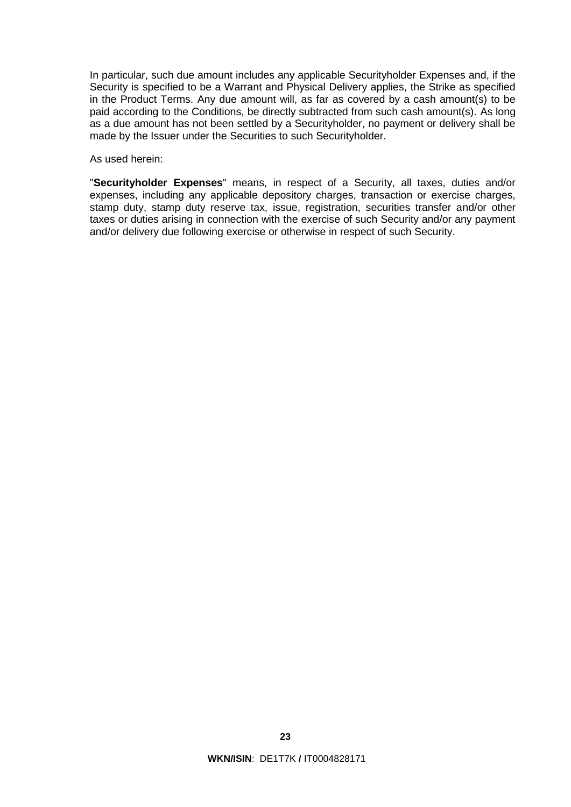In particular, such due amount includes any applicable Securityholder Expenses and, if the Security is specified to be a Warrant and Physical Delivery applies, the Strike as specified in the Product Terms. Any due amount will, as far as covered by a cash amount(s) to be paid according to the Conditions, be directly subtracted from such cash amount(s). As long as a due amount has not been settled by a Securityholder, no payment or delivery shall be made by the Issuer under the Securities to such Securityholder.

As used herein:

"**Securityholder Expenses**" means, in respect of a Security, all taxes, duties and/or expenses, including any applicable depository charges, transaction or exercise charges, stamp duty, stamp duty reserve tax, issue, registration, securities transfer and/or other taxes or duties arising in connection with the exercise of such Security and/or any payment and/or delivery due following exercise or otherwise in respect of such Security.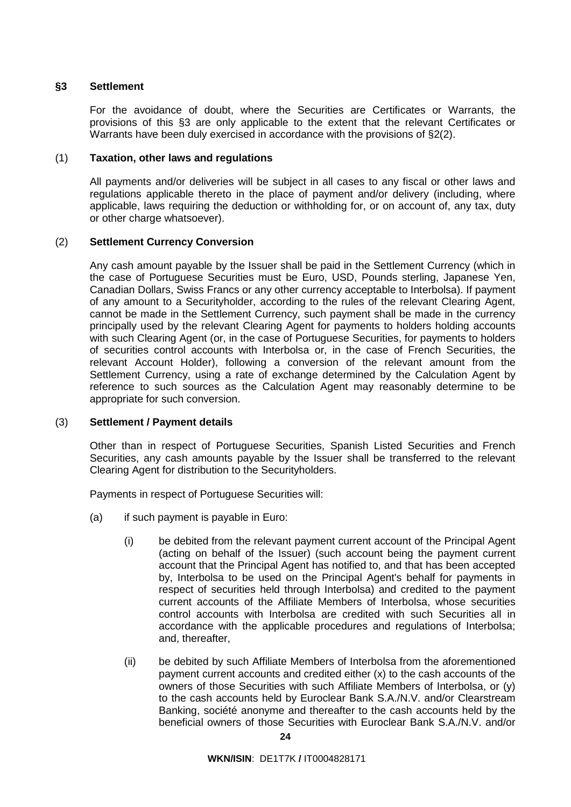### <span id="page-23-0"></span>**§3 Settlement**

For the avoidance of doubt, where the Securities are Certificates or Warrants, the provisions of this §3 are only applicable to the extent that the relevant Certificates or Warrants have been duly exercised in accordance with the provisions of §2(2).

### (1) **Taxation, other laws and regulations**

All payments and/or deliveries will be subject in all cases to any fiscal or other laws and regulations applicable thereto in the place of payment and/or delivery (including, where applicable, laws requiring the deduction or withholding for, or on account of, any tax, duty or other charge whatsoever).

### (2) **Settlement Currency Conversion**

Any cash amount payable by the Issuer shall be paid in the Settlement Currency (which in the case of Portuguese Securities must be Euro, USD, Pounds sterling, Japanese Yen, Canadian Dollars, Swiss Francs or any other currency acceptable to Interbolsa). If payment of any amount to a Securityholder, according to the rules of the relevant Clearing Agent, cannot be made in the Settlement Currency, such payment shall be made in the currency principally used by the relevant Clearing Agent for payments to holders holding accounts with such Clearing Agent (or, in the case of Portuguese Securities, for payments to holders of securities control accounts with Interbolsa or, in the case of French Securities, the relevant Account Holder), following a conversion of the relevant amount from the Settlement Currency, using a rate of exchange determined by the Calculation Agent by reference to such sources as the Calculation Agent may reasonably determine to be appropriate for such conversion.

# (3) **Settlement / Payment details**

Other than in respect of Portuguese Securities, Spanish Listed Securities and French Securities, any cash amounts payable by the Issuer shall be transferred to the relevant Clearing Agent for distribution to the Securityholders.

Payments in respect of Portuguese Securities will:

- (a) if such payment is payable in Euro:
	- (i) be debited from the relevant payment current account of the Principal Agent (acting on behalf of the Issuer) (such account being the payment current account that the Principal Agent has notified to, and that has been accepted by, Interbolsa to be used on the Principal Agent's behalf for payments in respect of securities held through Interbolsa) and credited to the payment current accounts of the Affiliate Members of Interbolsa, whose securities control accounts with Interbolsa are credited with such Securities all in accordance with the applicable procedures and regulations of Interbolsa; and, thereafter,
	- (ii) be debited by such Affiliate Members of Interbolsa from the aforementioned payment current accounts and credited either (x) to the cash accounts of the owners of those Securities with such Affiliate Members of Interbolsa, or (y) to the cash accounts held by Euroclear Bank S.A./N.V. and/or Clearstream Banking, société anonyme and thereafter to the cash accounts held by the beneficial owners of those Securities with Euroclear Bank S.A./N.V. and/or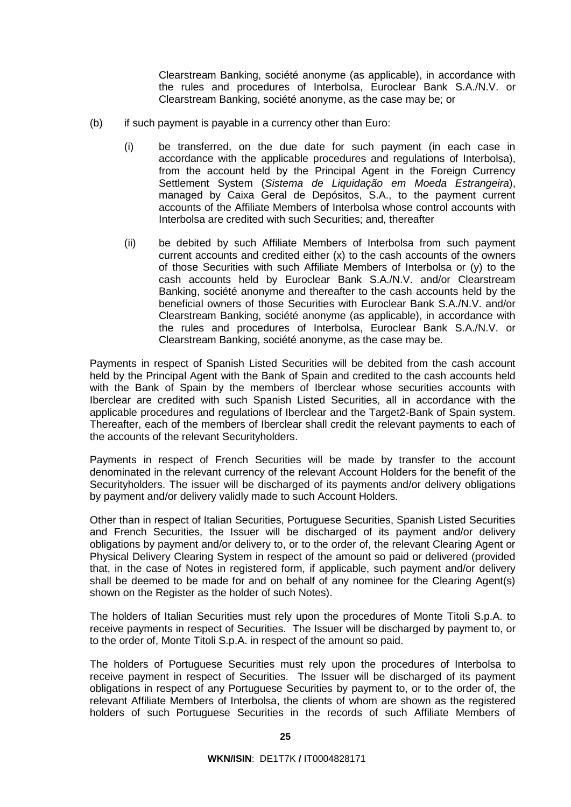Clearstream Banking, société anonyme (as applicable), in accordance with the rules and procedures of Interbolsa, Euroclear Bank S.A./N.V. or Clearstream Banking, société anonyme, as the case may be; or

- (b) if such payment is payable in a currency other than Euro:
	- (i) be transferred, on the due date for such payment (in each case in accordance with the applicable procedures and regulations of Interbolsa), from the account held by the Principal Agent in the Foreign Currency Settlement System (*Sistema de Liquidação em Moeda Estrangeira*), managed by Caixa Geral de Depósitos, S.A., to the payment current accounts of the Affiliate Members of Interbolsa whose control accounts with Interbolsa are credited with such Securities; and, thereafter
	- (ii) be debited by such Affiliate Members of Interbolsa from such payment current accounts and credited either (x) to the cash accounts of the owners of those Securities with such Affiliate Members of Interbolsa or (y) to the cash accounts held by Euroclear Bank S.A./N.V. and/or Clearstream Banking, société anonyme and thereafter to the cash accounts held by the beneficial owners of those Securities with Euroclear Bank S.A./N.V. and/or Clearstream Banking, société anonyme (as applicable), in accordance with the rules and procedures of Interbolsa, Euroclear Bank S.A./N.V. or Clearstream Banking, société anonyme, as the case may be.

Payments in respect of Spanish Listed Securities will be debited from the cash account held by the Principal Agent with the Bank of Spain and credited to the cash accounts held with the Bank of Spain by the members of Iberclear whose securities accounts with Iberclear are credited with such Spanish Listed Securities, all in accordance with the applicable procedures and regulations of Iberclear and the Target2-Bank of Spain system. Thereafter, each of the members of Iberclear shall credit the relevant payments to each of the accounts of the relevant Securityholders.

Payments in respect of French Securities will be made by transfer to the account denominated in the relevant currency of the relevant Account Holders for the benefit of the Securityholders. The issuer will be discharged of its payments and/or delivery obligations by payment and/or delivery validly made to such Account Holders.

Other than in respect of Italian Securities, Portuguese Securities, Spanish Listed Securities and French Securities, the Issuer will be discharged of its payment and/or delivery obligations by payment and/or delivery to, or to the order of, the relevant Clearing Agent or Physical Delivery Clearing System in respect of the amount so paid or delivered (provided that, in the case of Notes in registered form, if applicable, such payment and/or delivery shall be deemed to be made for and on behalf of any nominee for the Clearing Agent(s) shown on the Register as the holder of such Notes).

The holders of Italian Securities must rely upon the procedures of Monte Titoli S.p.A. to receive payments in respect of Securities. The Issuer will be discharged by payment to, or to the order of, Monte Titoli S.p.A. in respect of the amount so paid.

The holders of Portuguese Securities must rely upon the procedures of Interbolsa to receive payment in respect of Securities. The Issuer will be discharged of its payment obligations in respect of any Portuguese Securities by payment to, or to the order of, the relevant Affiliate Members of Interbolsa, the clients of whom are shown as the registered holders of such Portuguese Securities in the records of such Affiliate Members of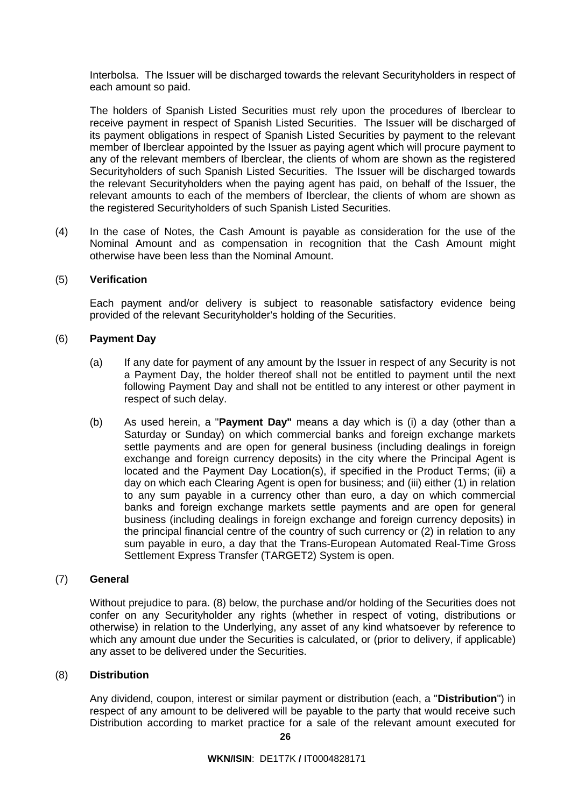Interbolsa. The Issuer will be discharged towards the relevant Securityholders in respect of each amount so paid.

The holders of Spanish Listed Securities must rely upon the procedures of Iberclear to receive payment in respect of Spanish Listed Securities. The Issuer will be discharged of its payment obligations in respect of Spanish Listed Securities by payment to the relevant member of Iberclear appointed by the Issuer as paying agent which will procure payment to any of the relevant members of Iberclear, the clients of whom are shown as the registered Securityholders of such Spanish Listed Securities. The Issuer will be discharged towards the relevant Securityholders when the paying agent has paid, on behalf of the Issuer, the relevant amounts to each of the members of Iberclear, the clients of whom are shown as the registered Securityholders of such Spanish Listed Securities.

(4) In the case of Notes, the Cash Amount is payable as consideration for the use of the Nominal Amount and as compensation in recognition that the Cash Amount might otherwise have been less than the Nominal Amount.

### (5) **Verification**

Each payment and/or delivery is subject to reasonable satisfactory evidence being provided of the relevant Securityholder's holding of the Securities.

### (6) **Payment Day**

- (a) If any date for payment of any amount by the Issuer in respect of any Security is not a Payment Day, the holder thereof shall not be entitled to payment until the next following Payment Day and shall not be entitled to any interest or other payment in respect of such delay.
- (b) As used herein, a "**Payment Day"** means a day which is (i) a day (other than a Saturday or Sunday) on which commercial banks and foreign exchange markets settle payments and are open for general business (including dealings in foreign exchange and foreign currency deposits) in the city where the Principal Agent is located and the Payment Day Location(s), if specified in the Product Terms; (ii) a day on which each Clearing Agent is open for business; and (iii) either (1) in relation to any sum payable in a currency other than euro, a day on which commercial banks and foreign exchange markets settle payments and are open for general business (including dealings in foreign exchange and foreign currency deposits) in the principal financial centre of the country of such currency or (2) in relation to any sum payable in euro, a day that the Trans-European Automated Real-Time Gross Settlement Express Transfer (TARGET2) System is open.

### (7) **General**

Without prejudice to para. [\(8\) below,](#page-25-0) the purchase and/or holding of the Securities does not confer on any Securityholder any rights (whether in respect of voting, distributions or otherwise) in relation to the Underlying, any asset of any kind whatsoever by reference to which any amount due under the Securities is calculated, or (prior to delivery, if applicable) any asset to be delivered under the Securities.

#### <span id="page-25-0"></span>(8) **Distribution**

Any dividend, coupon, interest or similar payment or distribution (each, a "**Distribution**") in respect of any amount to be delivered will be payable to the party that would receive such Distribution according to market practice for a sale of the relevant amount executed for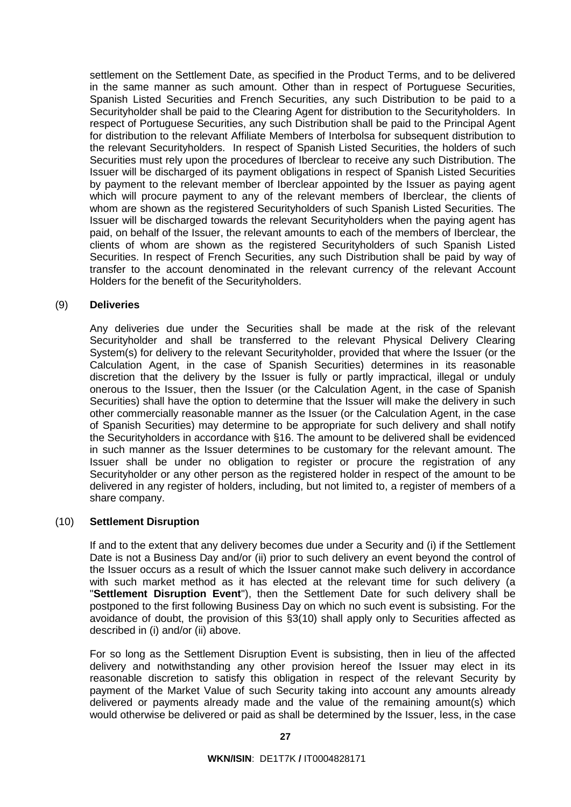settlement on the Settlement Date, as specified in the Product Terms, and to be delivered in the same manner as such amount. Other than in respect of Portuguese Securities, Spanish Listed Securities and French Securities, any such Distribution to be paid to a Securityholder shall be paid to the Clearing Agent for distribution to the Securityholders. In respect of Portuguese Securities, any such Distribution shall be paid to the Principal Agent for distribution to the relevant Affiliate Members of Interbolsa for subsequent distribution to the relevant Securityholders. In respect of Spanish Listed Securities, the holders of such Securities must rely upon the procedures of Iberclear to receive any such Distribution. The Issuer will be discharged of its payment obligations in respect of Spanish Listed Securities by payment to the relevant member of Iberclear appointed by the Issuer as paying agent which will procure payment to any of the relevant members of Iberclear, the clients of whom are shown as the registered Securityholders of such Spanish Listed Securities. The Issuer will be discharged towards the relevant Securityholders when the paying agent has paid, on behalf of the Issuer, the relevant amounts to each of the members of Iberclear, the clients of whom are shown as the registered Securityholders of such Spanish Listed Securities. In respect of French Securities, any such Distribution shall be paid by way of transfer to the account denominated in the relevant currency of the relevant Account Holders for the benefit of the Securityholders.

#### (9) **Deliveries**

Any deliveries due under the Securities shall be made at the risk of the relevant Securityholder and shall be transferred to the relevant Physical Delivery Clearing System(s) for delivery to the relevant Securityholder, provided that where the Issuer (or the Calculation Agent, in the case of Spanish Securities) determines in its reasonable discretion that the delivery by the Issuer is fully or partly impractical, illegal or unduly onerous to the Issuer, then the Issuer (or the Calculation Agent, in the case of Spanish Securities) shall have the option to determine that the Issuer will make the delivery in such other commercially reasonable manner as the Issuer (or the Calculation Agent, in the case of Spanish Securities) may determine to be appropriate for such delivery and shall notify the Securityholders in accordance with [§16.](#page-70-0) The amount to be delivered shall be evidenced in such manner as the Issuer determines to be customary for the relevant amount. The Issuer shall be under no obligation to register or procure the registration of any Securityholder or any other person as the registered holder in respect of the amount to be delivered in any register of holders, including, but not limited to, a register of members of a share company.

#### (10) **Settlement Disruption**

If and to the extent that any delivery becomes due under a Security and (i) if the Settlement Date is not a Business Day and/or (ii) prior to such delivery an event beyond the control of the Issuer occurs as a result of which the Issuer cannot make such delivery in accordance with such market method as it has elected at the relevant time for such delivery (a "**Settlement Disruption Event**"), then the Settlement Date for such delivery shall be postponed to the first following Business Day on which no such event is subsisting. For the avoidance of doubt, the provision of this §3(10) shall apply only to Securities affected as described in (i) and/or (ii) above.

For so long as the Settlement Disruption Event is subsisting, then in lieu of the affected delivery and notwithstanding any other provision hereof the Issuer may elect in its reasonable discretion to satisfy this obligation in respect of the relevant Security by payment of the Market Value of such Security taking into account any amounts already delivered or payments already made and the value of the remaining amount(s) which would otherwise be delivered or paid as shall be determined by the Issuer, less, in the case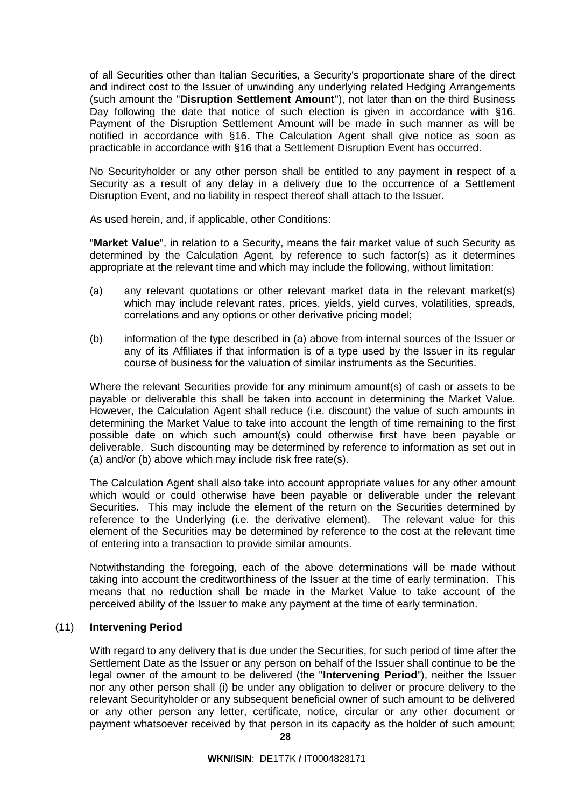of all Securities other than Italian Securities, a Security's proportionate share of the direct and indirect cost to the Issuer of unwinding any underlying related Hedging Arrangements (such amount the "**Disruption Settlement Amount**"), not later than on the third Business Day following the date that notice of such election is given in accordance with [§16.](#page-70-0) Payment of the Disruption Settlement Amount will be made in such manner as will be notified in accordance with [§16.](#page-70-0) The Calculation Agent shall give notice as soon as practicable in accordance with [§16](#page-70-0) that a Settlement Disruption Event has occurred.

No Securityholder or any other person shall be entitled to any payment in respect of a Security as a result of any delay in a delivery due to the occurrence of a Settlement Disruption Event, and no liability in respect thereof shall attach to the Issuer.

As used herein, and, if applicable, other Conditions:

"**Market Value**", in relation to a Security, means the fair market value of such Security as determined by the Calculation Agent, by reference to such factor(s) as it determines appropriate at the relevant time and which may include the following, without limitation:

- (a) any relevant quotations or other relevant market data in the relevant market(s) which may include relevant rates, prices, yields, yield curves, volatilities, spreads, correlations and any options or other derivative pricing model;
- (b) information of the type described in (a) above from internal sources of the Issuer or any of its Affiliates if that information is of a type used by the Issuer in its regular course of business for the valuation of similar instruments as the Securities.

Where the relevant Securities provide for any minimum amount(s) of cash or assets to be payable or deliverable this shall be taken into account in determining the Market Value. However, the Calculation Agent shall reduce (i.e. discount) the value of such amounts in determining the Market Value to take into account the length of time remaining to the first possible date on which such amount(s) could otherwise first have been payable or deliverable. Such discounting may be determined by reference to information as set out in (a) and/or (b) above which may include risk free rate(s).

The Calculation Agent shall also take into account appropriate values for any other amount which would or could otherwise have been payable or deliverable under the relevant Securities. This may include the element of the return on the Securities determined by reference to the Underlying (i.e. the derivative element). The relevant value for this element of the Securities may be determined by reference to the cost at the relevant time of entering into a transaction to provide similar amounts.

Notwithstanding the foregoing, each of the above determinations will be made without taking into account the creditworthiness of the Issuer at the time of early termination. This means that no reduction shall be made in the Market Value to take account of the perceived ability of the Issuer to make any payment at the time of early termination.

### (11) **Intervening Period**

With regard to any delivery that is due under the Securities, for such period of time after the Settlement Date as the Issuer or any person on behalf of the Issuer shall continue to be the legal owner of the amount to be delivered (the "**Intervening Period**"), neither the Issuer nor any other person shall (i) be under any obligation to deliver or procure delivery to the relevant Securityholder or any subsequent beneficial owner of such amount to be delivered or any other person any letter, certificate, notice, circular or any other document or payment whatsoever received by that person in its capacity as the holder of such amount;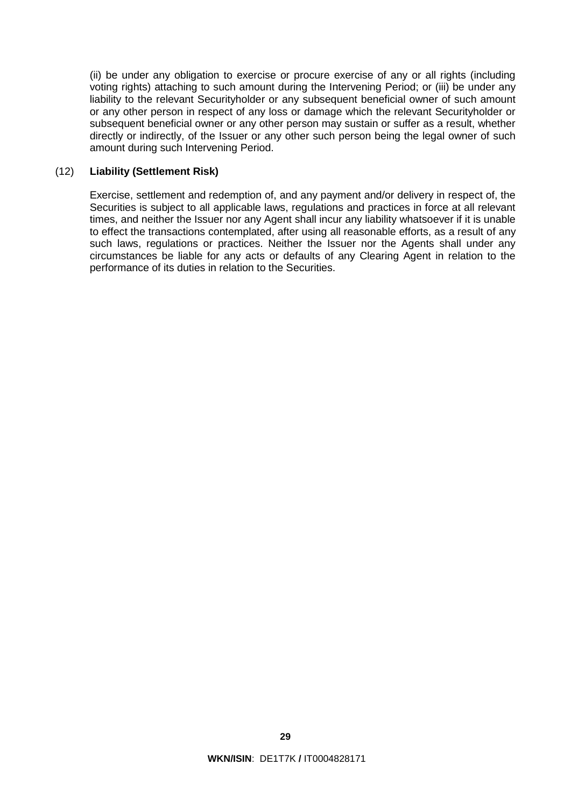(ii) be under any obligation to exercise or procure exercise of any or all rights (including voting rights) attaching to such amount during the Intervening Period; or (iii) be under any liability to the relevant Securityholder or any subsequent beneficial owner of such amount or any other person in respect of any loss or damage which the relevant Securityholder or subsequent beneficial owner or any other person may sustain or suffer as a result, whether directly or indirectly, of the Issuer or any other such person being the legal owner of such amount during such Intervening Period.

### (12) **Liability (Settlement Risk)**

Exercise, settlement and redemption of, and any payment and/or delivery in respect of, the Securities is subject to all applicable laws, regulations and practices in force at all relevant times, and neither the Issuer nor any Agent shall incur any liability whatsoever if it is unable to effect the transactions contemplated, after using all reasonable efforts, as a result of any such laws, regulations or practices. Neither the Issuer nor the Agents shall under any circumstances be liable for any acts or defaults of any Clearing Agent in relation to the performance of its duties in relation to the Securities.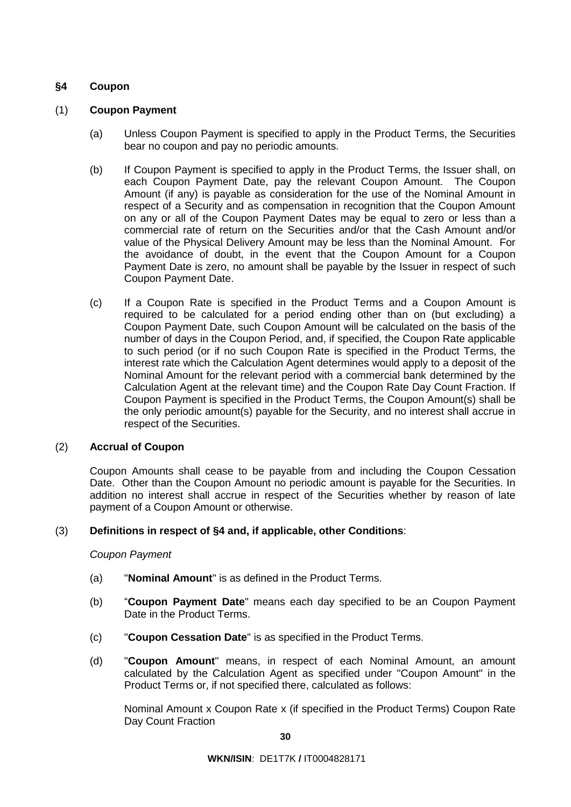# <span id="page-29-0"></span>**§4 Coupon**

### (1) **Coupon Payment**

- (a) Unless Coupon Payment is specified to apply in the Product Terms, the Securities bear no coupon and pay no periodic amounts.
- (b) If Coupon Payment is specified to apply in the Product Terms, the Issuer shall, on each Coupon Payment Date, pay the relevant Coupon Amount. The Coupon Amount (if any) is payable as consideration for the use of the Nominal Amount in respect of a Security and as compensation in recognition that the Coupon Amount on any or all of the Coupon Payment Dates may be equal to zero or less than a commercial rate of return on the Securities and/or that the Cash Amount and/or value of the Physical Delivery Amount may be less than the Nominal Amount. For the avoidance of doubt, in the event that the Coupon Amount for a Coupon Payment Date is zero, no amount shall be payable by the Issuer in respect of such Coupon Payment Date.
- (c) If a Coupon Rate is specified in the Product Terms and a Coupon Amount is required to be calculated for a period ending other than on (but excluding) a Coupon Payment Date, such Coupon Amount will be calculated on the basis of the number of days in the Coupon Period, and, if specified, the Coupon Rate applicable to such period (or if no such Coupon Rate is specified in the Product Terms, the interest rate which the Calculation Agent determines would apply to a deposit of the Nominal Amount for the relevant period with a commercial bank determined by the Calculation Agent at the relevant time) and the Coupon Rate Day Count Fraction. If Coupon Payment is specified in the Product Terms, the Coupon Amount(s) shall be the only periodic amount(s) payable for the Security, and no interest shall accrue in respect of the Securities.

# (2) **Accrual of Coupon**

Coupon Amounts shall cease to be payable from and including the Coupon Cessation Date. Other than the Coupon Amount no periodic amount is payable for the Securities. In addition no interest shall accrue in respect of the Securities whether by reason of late payment of a Coupon Amount or otherwise.

### (3) **Definitions in respect of [§4](#page-29-0) and, if applicable, other Conditions**:

#### *Coupon Payment*

- (a) "**Nominal Amount**" is as defined in the Product Terms.
- (b) "**Coupon Payment Date**" means each day specified to be an Coupon Payment Date in the Product Terms.
- (c) "**Coupon Cessation Date**" is as specified in the Product Terms.
- (d) "**Coupon Amount**" means, in respect of each Nominal Amount, an amount calculated by the Calculation Agent as specified under "Coupon Amount" in the Product Terms or, if not specified there, calculated as follows:

Nominal Amount x Coupon Rate x (if specified in the Product Terms) Coupon Rate Day Count Fraction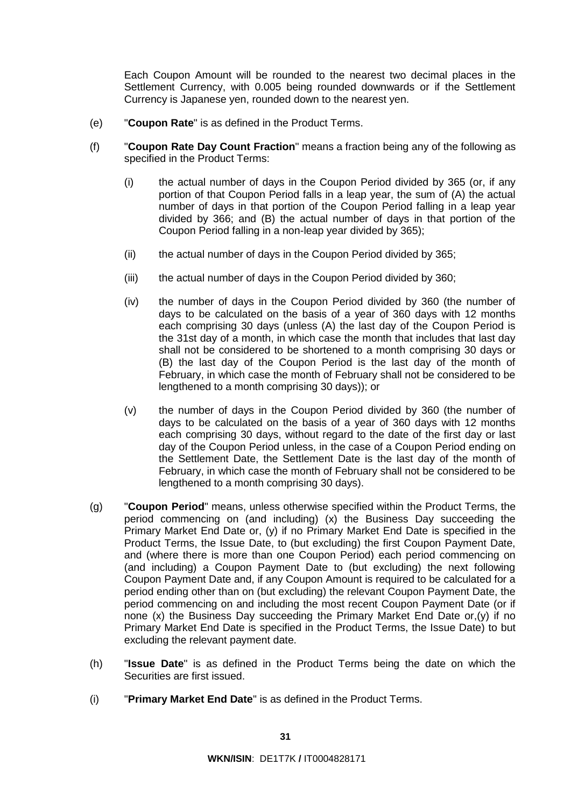Each Coupon Amount will be rounded to the nearest two decimal places in the Settlement Currency, with 0.005 being rounded downwards or if the Settlement Currency is Japanese yen, rounded down to the nearest yen.

- (e) "**Coupon Rate**" is as defined in the Product Terms.
- (f) "**Coupon Rate Day Count Fraction**" means a fraction being any of the following as specified in the Product Terms:
	- (i) the actual number of days in the Coupon Period divided by 365 (or, if any portion of that Coupon Period falls in a leap year, the sum of (A) the actual number of days in that portion of the Coupon Period falling in a leap year divided by 366; and (B) the actual number of days in that portion of the Coupon Period falling in a non-leap year divided by 365);
	- (ii) the actual number of days in the Coupon Period divided by 365;
	- (iii) the actual number of days in the Coupon Period divided by 360;
	- (iv) the number of days in the Coupon Period divided by 360 (the number of days to be calculated on the basis of a year of 360 days with 12 months each comprising 30 days (unless (A) the last day of the Coupon Period is the 31st day of a month, in which case the month that includes that last day shall not be considered to be shortened to a month comprising 30 days or (B) the last day of the Coupon Period is the last day of the month of February, in which case the month of February shall not be considered to be lengthened to a month comprising 30 days)); or
	- (v) the number of days in the Coupon Period divided by 360 (the number of days to be calculated on the basis of a year of 360 days with 12 months each comprising 30 days, without regard to the date of the first day or last day of the Coupon Period unless, in the case of a Coupon Period ending on the Settlement Date, the Settlement Date is the last day of the month of February, in which case the month of February shall not be considered to be lengthened to a month comprising 30 days).
- (g) "**Coupon Period**" means, unless otherwise specified within the Product Terms, the period commencing on (and including) (x) the Business Day succeeding the Primary Market End Date or, (y) if no Primary Market End Date is specified in the Product Terms, the Issue Date, to (but excluding) the first Coupon Payment Date, and (where there is more than one Coupon Period) each period commencing on (and including) a Coupon Payment Date to (but excluding) the next following Coupon Payment Date and, if any Coupon Amount is required to be calculated for a period ending other than on (but excluding) the relevant Coupon Payment Date, the period commencing on and including the most recent Coupon Payment Date (or if none (x) the Business Day succeeding the Primary Market End Date or,(y) if no Primary Market End Date is specified in the Product Terms, the Issue Date) to but excluding the relevant payment date.
- (h) "**Issue Date**" is as defined in the Product Terms being the date on which the Securities are first issued.
- (i) "**Primary Market End Date**" is as defined in the Product Terms.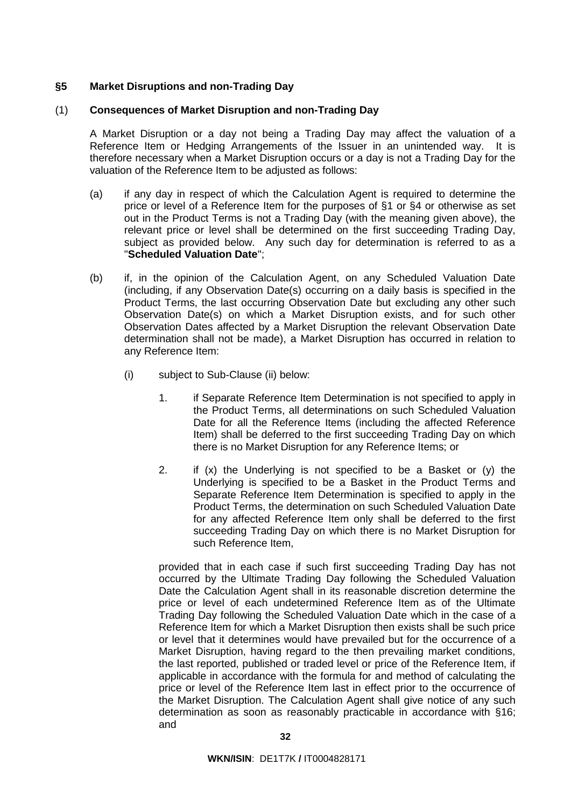# <span id="page-31-0"></span>**§5 Market Disruptions and non-Trading Day**

### <span id="page-31-1"></span>(1) **Consequences of Market Disruption and non-Trading Day**

A Market Disruption or a day not being a Trading Day may affect the valuation of a Reference Item or Hedging Arrangements of the Issuer in an unintended way. It is therefore necessary when a Market Disruption occurs or a day is not a Trading Day for the valuation of the Reference Item to be adjusted as follows:

- <span id="page-31-2"></span>(a) if any day in respect of which the Calculation Agent is required to determine the price or level of a Reference Item for the purposes of [§1](#page-11-0) or [§4](#page-29-0) or otherwise as set out in the Product Terms is not a Trading Day (with the meaning given above), the relevant price or level shall be determined on the first succeeding Trading Day, subject as provided below. Any such day for determination is referred to as a "**Scheduled Valuation Date**";
- <span id="page-31-3"></span>(b) if, in the opinion of the Calculation Agent, on any Scheduled Valuation Date (including, if any Observation Date(s) occurring on a daily basis is specified in the Product Terms, the last occurring Observation Date but excluding any other such Observation Date(s) on which a Market Disruption exists, and for such other Observation Dates affected by a Market Disruption the relevant Observation Date determination shall not be made), a Market Disruption has occurred in relation to any Reference Item:
	- (i) subject to Sub-Clause [\(ii\) below:](#page-32-0)
		- 1. if Separate Reference Item Determination is not specified to apply in the Product Terms, all determinations on such Scheduled Valuation Date for all the Reference Items (including the affected Reference Item) shall be deferred to the first succeeding Trading Day on which there is no Market Disruption for any Reference Items; or
		- 2. if (x) the Underlying is not specified to be a Basket or (y) the Underlying is specified to be a Basket in the Product Terms and Separate Reference Item Determination is specified to apply in the Product Terms, the determination on such Scheduled Valuation Date for any affected Reference Item only shall be deferred to the first succeeding Trading Day on which there is no Market Disruption for such Reference Item,

provided that in each case if such first succeeding Trading Day has not occurred by the Ultimate Trading Day following the Scheduled Valuation Date the Calculation Agent shall in its reasonable discretion determine the price or level of each undetermined Reference Item as of the Ultimate Trading Day following the Scheduled Valuation Date which in the case of a Reference Item for which a Market Disruption then exists shall be such price or level that it determines would have prevailed but for the occurrence of a Market Disruption, having regard to the then prevailing market conditions, the last reported, published or traded level or price of the Reference Item, if applicable in accordance with the formula for and method of calculating the price or level of the Reference Item last in effect prior to the occurrence of the Market Disruption. The Calculation Agent shall give notice of any such determination as soon as reasonably practicable in accordance with [§16;](#page-70-0) and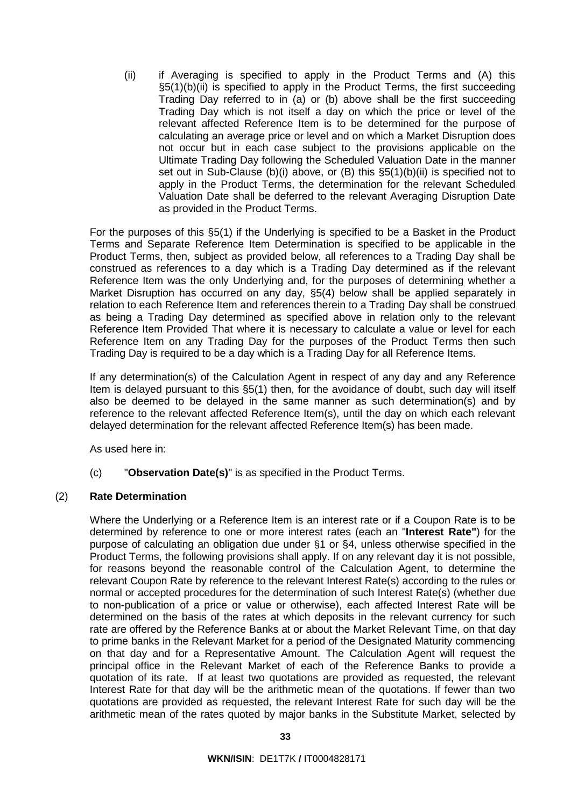<span id="page-32-0"></span>(ii) if Averaging is specified to apply in the Product Terms and (A) this §5(1)(b)(ii) is specified to apply in the Product Terms, the first succeeding Trading Day referred to in [\(a\)](#page-31-2) or [\(b\) above](#page-31-3) shall be the first succeeding Trading Day which is not itself a day on which the price or level of the relevant affected Reference Item is to be determined for the purpose of calculating an average price or level and on which a Market Disruption does not occur but in each case subject to the provisions applicable on the Ultimate Trading Day following the Scheduled Valuation Date in the manner set out in Sub-Clause [\(b\)\(i\) above,](#page-31-3) or (B) this §5(1)(b)(ii) is specified not to apply in the Product Terms, the determination for the relevant Scheduled Valuation Date shall be deferred to the relevant Averaging Disruption Date as provided in the Product Terms.

For the purposes of this [§5\(1\)](#page-31-1) if the Underlying is specified to be a Basket in the Product Terms and Separate Reference Item Determination is specified to be applicable in the Product Terms, then, subject as provided below, all references to a Trading Day shall be construed as references to a day which is a Trading Day determined as if the relevant Reference Item was the only Underlying and, for the purposes of determining whether a Market Disruption has occurred on any day, [§5\(4\) below](#page-33-0) shall be applied separately in relation to each Reference Item and references therein to a Trading Day shall be construed as being a Trading Day determined as specified above in relation only to the relevant Reference Item Provided That where it is necessary to calculate a value or level for each Reference Item on any Trading Day for the purposes of the Product Terms then such Trading Day is required to be a day which is a Trading Day for all Reference Items.

If any determination(s) of the Calculation Agent in respect of any day and any Reference Item is delayed pursuant to this §5(1) then, for the avoidance of doubt, such day will itself also be deemed to be delayed in the same manner as such determination(s) and by reference to the relevant affected Reference Item(s), until the day on which each relevant delayed determination for the relevant affected Reference Item(s) has been made.

As used here in:

(c) "**Observation Date(s)**" is as specified in the Product Terms.

# <span id="page-32-1"></span>(2) **Rate Determination**

Where the Underlying or a Reference Item is an interest rate or if a Coupon Rate is to be determined by reference to one or more interest rates (each an "**Interest Rate"**) for the purpose of calculating an obligation due under §1 or [§4,](#page-29-0) unless otherwise specified in the Product Terms, the following provisions shall apply. If on any relevant day it is not possible, for reasons beyond the reasonable control of the Calculation Agent, to determine the relevant Coupon Rate by reference to the relevant Interest Rate(s) according to the rules or normal or accepted procedures for the determination of such Interest Rate(s) (whether due to non-publication of a price or value or otherwise), each affected Interest Rate will be determined on the basis of the rates at which deposits in the relevant currency for such rate are offered by the Reference Banks at or about the Market Relevant Time, on that day to prime banks in the Relevant Market for a period of the Designated Maturity commencing on that day and for a Representative Amount. The Calculation Agent will request the principal office in the Relevant Market of each of the Reference Banks to provide a quotation of its rate. If at least two quotations are provided as requested, the relevant Interest Rate for that day will be the arithmetic mean of the quotations. If fewer than two quotations are provided as requested, the relevant Interest Rate for such day will be the arithmetic mean of the rates quoted by major banks in the Substitute Market, selected by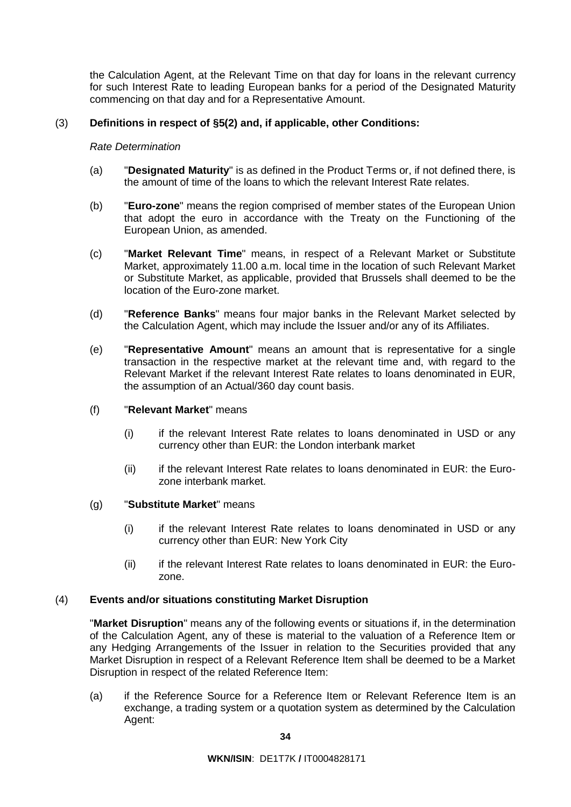the Calculation Agent, at the Relevant Time on that day for loans in the relevant currency for such Interest Rate to leading European banks for a period of the Designated Maturity commencing on that day and for a Representative Amount.

### (3) **Definitions in respect of [§5\(2\)](#page-32-1) and, if applicable, other Conditions:**

#### *Rate Determination*

- (a) "**Designated Maturity**" is as defined in the Product Terms or, if not defined there, is the amount of time of the loans to which the relevant Interest Rate relates.
- (b) "**Euro-zone**" means the region comprised of member states of the European Union that adopt the euro in accordance with the Treaty on the Functioning of the European Union, as amended.
- (c) "**Market Relevant Time**" means, in respect of a Relevant Market or Substitute Market, approximately 11.00 a.m. local time in the location of such Relevant Market or Substitute Market, as applicable, provided that Brussels shall deemed to be the location of the Euro-zone market.
- (d) "**Reference Banks**" means four major banks in the Relevant Market selected by the Calculation Agent, which may include the Issuer and/or any of its Affiliates.
- (e) "**Representative Amount**" means an amount that is representative for a single transaction in the respective market at the relevant time and, with regard to the Relevant Market if the relevant Interest Rate relates to loans denominated in EUR, the assumption of an Actual/360 day count basis.
- (f) "**Relevant Market**" means
	- (i) if the relevant Interest Rate relates to loans denominated in USD or any currency other than EUR: the London interbank market
	- (ii) if the relevant Interest Rate relates to loans denominated in EUR: the Eurozone interbank market.
- (g) "**Substitute Market**" means
	- (i) if the relevant Interest Rate relates to loans denominated in USD or any currency other than EUR: New York City
	- (ii) if the relevant Interest Rate relates to loans denominated in EUR: the Eurozone.

# <span id="page-33-0"></span>(4) **Events and/or situations constituting Market Disruption**

"**Market Disruption**" means any of the following events or situations if, in the determination of the Calculation Agent, any of these is material to the valuation of a Reference Item or any Hedging Arrangements of the Issuer in relation to the Securities provided that any Market Disruption in respect of a Relevant Reference Item shall be deemed to be a Market Disruption in respect of the related Reference Item:

(a) if the Reference Source for a Reference Item or Relevant Reference Item is an exchange, a trading system or a quotation system as determined by the Calculation Agent: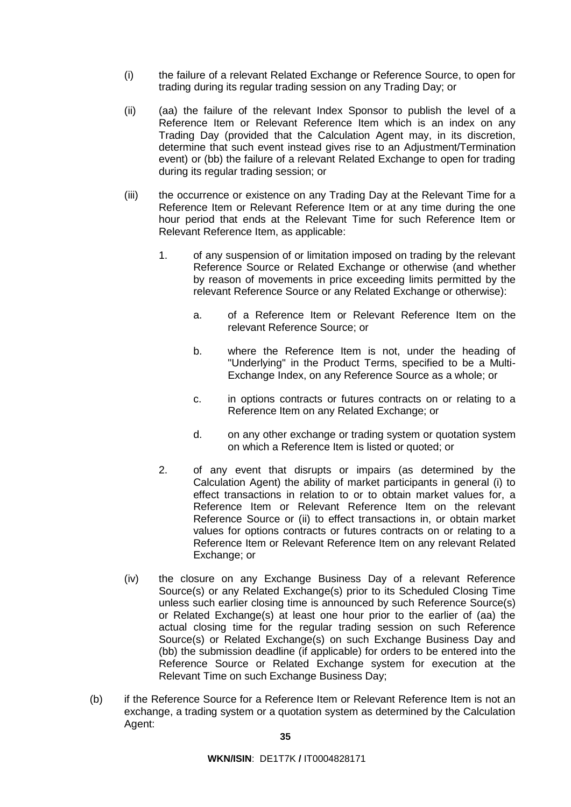- (i) the failure of a relevant Related Exchange or Reference Source, to open for trading during its regular trading session on any Trading Day; or
- (ii) (aa) the failure of the relevant Index Sponsor to publish the level of a Reference Item or Relevant Reference Item which is an index on any Trading Day (provided that the Calculation Agent may, in its discretion, determine that such event instead gives rise to an Adjustment/Termination event) or (bb) the failure of a relevant Related Exchange to open for trading during its regular trading session; or
- (iii) the occurrence or existence on any Trading Day at the Relevant Time for a Reference Item or Relevant Reference Item or at any time during the one hour period that ends at the Relevant Time for such Reference Item or Relevant Reference Item, as applicable:
	- 1. of any suspension of or limitation imposed on trading by the relevant Reference Source or Related Exchange or otherwise (and whether by reason of movements in price exceeding limits permitted by the relevant Reference Source or any Related Exchange or otherwise):
		- a. of a Reference Item or Relevant Reference Item on the relevant Reference Source; or
		- b. where the Reference Item is not, under the heading of "Underlying" in the Product Terms, specified to be a Multi-Exchange Index, on any Reference Source as a whole; or
		- c. in options contracts or futures contracts on or relating to a Reference Item on any Related Exchange; or
		- d. on any other exchange or trading system or quotation system on which a Reference Item is listed or quoted; or
	- 2. of any event that disrupts or impairs (as determined by the Calculation Agent) the ability of market participants in general (i) to effect transactions in relation to or to obtain market values for, a Reference Item or Relevant Reference Item on the relevant Reference Source or (ii) to effect transactions in, or obtain market values for options contracts or futures contracts on or relating to a Reference Item or Relevant Reference Item on any relevant Related Exchange; or
- (iv) the closure on any Exchange Business Day of a relevant Reference Source(s) or any Related Exchange(s) prior to its Scheduled Closing Time unless such earlier closing time is announced by such Reference Source(s) or Related Exchange(s) at least one hour prior to the earlier of (aa) the actual closing time for the regular trading session on such Reference Source(s) or Related Exchange(s) on such Exchange Business Day and (bb) the submission deadline (if applicable) for orders to be entered into the Reference Source or Related Exchange system for execution at the Relevant Time on such Exchange Business Day;
- (b) if the Reference Source for a Reference Item or Relevant Reference Item is not an exchange, a trading system or a quotation system as determined by the Calculation Agent: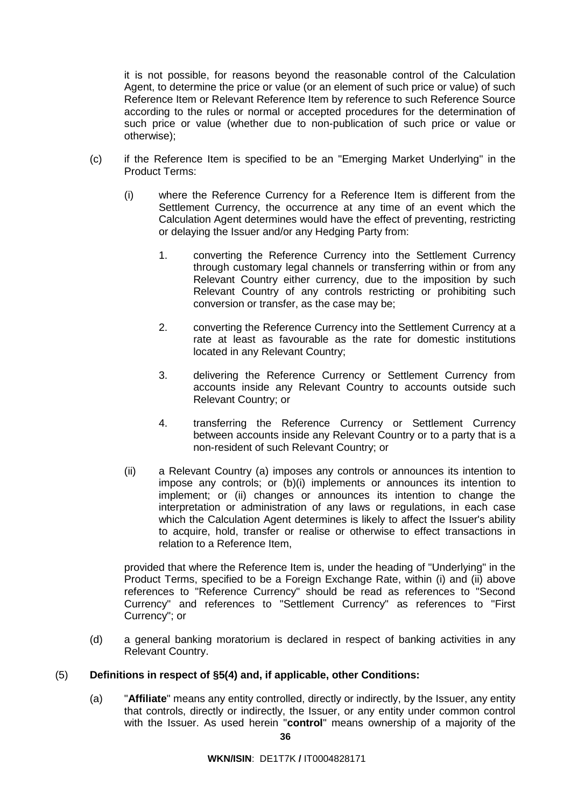it is not possible, for reasons beyond the reasonable control of the Calculation Agent, to determine the price or value (or an element of such price or value) of such Reference Item or Relevant Reference Item by reference to such Reference Source according to the rules or normal or accepted procedures for the determination of such price or value (whether due to non-publication of such price or value or otherwise);

- <span id="page-35-0"></span>(c) if the Reference Item is specified to be an "Emerging Market Underlying" in the Product Terms:
	- (i) where the Reference Currency for a Reference Item is different from the Settlement Currency, the occurrence at any time of an event which the Calculation Agent determines would have the effect of preventing, restricting or delaying the Issuer and/or any Hedging Party from:
		- 1. converting the Reference Currency into the Settlement Currency through customary legal channels or transferring within or from any Relevant Country either currency, due to the imposition by such Relevant Country of any controls restricting or prohibiting such conversion or transfer, as the case may be;
		- 2. converting the Reference Currency into the Settlement Currency at a rate at least as favourable as the rate for domestic institutions located in any Relevant Country;
		- 3. delivering the Reference Currency or Settlement Currency from accounts inside any Relevant Country to accounts outside such Relevant Country; or
		- 4. transferring the Reference Currency or Settlement Currency between accounts inside any Relevant Country or to a party that is a non-resident of such Relevant Country; or
	- (ii) a Relevant Country (a) imposes any controls or announces its intention to impose any controls; or (b)(i) implements or announces its intention to implement; or (ii) changes or announces its intention to change the interpretation or administration of any laws or regulations, in each case which the Calculation Agent determines is likely to affect the Issuer's ability to acquire, hold, transfer or realise or otherwise to effect transactions in relation to a Reference Item,

<span id="page-35-1"></span>provided that where the Reference Item is, under the heading of "Underlying" in the Product Terms, specified to be a Foreign Exchange Rate, within [\(i\)](#page-35-0) and [\(ii\) above](#page-35-1) references to "Reference Currency" should be read as references to "Second Currency" and references to "Settlement Currency" as references to "First Currency"; or

(d) a general banking moratorium is declared in respect of banking activities in any Relevant Country.

# (5) **Definitions in respect of [§5\(4\)](#page-33-0) and, if applicable, other Conditions:**

(a) "**Affiliate**" means any entity controlled, directly or indirectly, by the Issuer, any entity that controls, directly or indirectly, the Issuer, or any entity under common control with the Issuer. As used herein "**control**" means ownership of a majority of the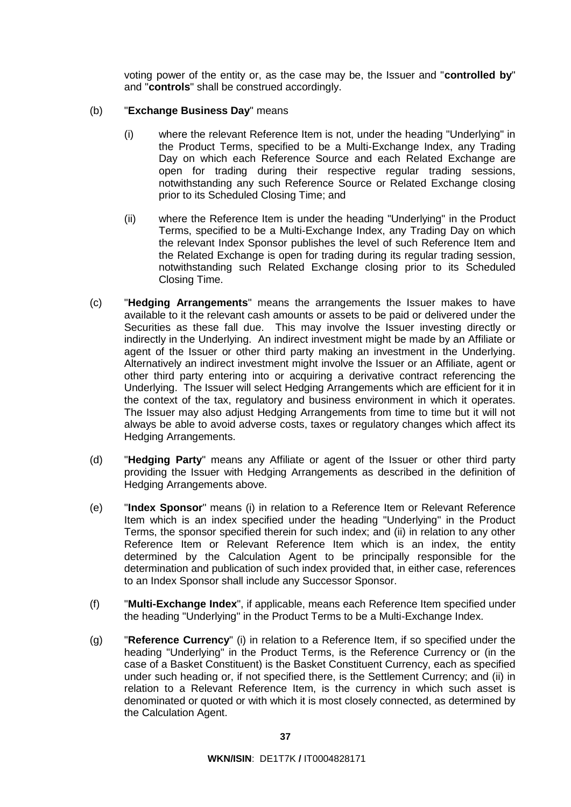voting power of the entity or, as the case may be, the Issuer and "**controlled by**" and "**controls**" shall be construed accordingly.

# (b) "**Exchange Business Day**" means

- (i) where the relevant Reference Item is not, under the heading "Underlying" in the Product Terms, specified to be a Multi-Exchange Index, any Trading Day on which each Reference Source and each Related Exchange are open for trading during their respective regular trading sessions, notwithstanding any such Reference Source or Related Exchange closing prior to its Scheduled Closing Time; and
- (ii) where the Reference Item is under the heading "Underlying" in the Product Terms, specified to be a Multi-Exchange Index, any Trading Day on which the relevant Index Sponsor publishes the level of such Reference Item and the Related Exchange is open for trading during its regular trading session, notwithstanding such Related Exchange closing prior to its Scheduled Closing Time.
- (c) "**Hedging Arrangements**" means the arrangements the Issuer makes to have available to it the relevant cash amounts or assets to be paid or delivered under the Securities as these fall due. This may involve the Issuer investing directly or indirectly in the Underlying. An indirect investment might be made by an Affiliate or agent of the Issuer or other third party making an investment in the Underlying. Alternatively an indirect investment might involve the Issuer or an Affiliate, agent or other third party entering into or acquiring a derivative contract referencing the Underlying. The Issuer will select Hedging Arrangements which are efficient for it in the context of the tax, regulatory and business environment in which it operates. The Issuer may also adjust Hedging Arrangements from time to time but it will not always be able to avoid adverse costs, taxes or regulatory changes which affect its Hedging Arrangements.
- (d) "**Hedging Party**" means any Affiliate or agent of the Issuer or other third party providing the Issuer with Hedging Arrangements as described in the definition of Hedging Arrangements above.
- (e) "**Index Sponsor**" means (i) in relation to a Reference Item or Relevant Reference Item which is an index specified under the heading "Underlying" in the Product Terms, the sponsor specified therein for such index; and (ii) in relation to any other Reference Item or Relevant Reference Item which is an index, the entity determined by the Calculation Agent to be principally responsible for the determination and publication of such index provided that, in either case, references to an Index Sponsor shall include any Successor Sponsor.
- (f) "**Multi-Exchange Index**", if applicable, means each Reference Item specified under the heading "Underlying" in the Product Terms to be a Multi-Exchange Index.
- (g) "**Reference Currency**" (i) in relation to a Reference Item, if so specified under the heading "Underlying" in the Product Terms, is the Reference Currency or (in the case of a Basket Constituent) is the Basket Constituent Currency, each as specified under such heading or, if not specified there, is the Settlement Currency; and (ii) in relation to a Relevant Reference Item, is the currency in which such asset is denominated or quoted or with which it is most closely connected, as determined by the Calculation Agent.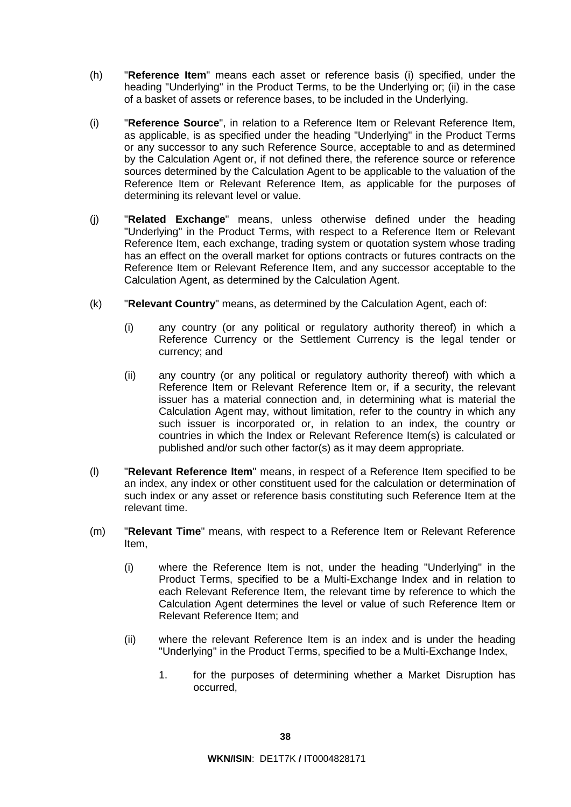- (h) "**Reference Item**" means each asset or reference basis (i) specified, under the heading "Underlying" in the Product Terms, to be the Underlying or; (ii) in the case of a basket of assets or reference bases, to be included in the Underlying.
- (i) "**Reference Source**", in relation to a Reference Item or Relevant Reference Item, as applicable, is as specified under the heading "Underlying" in the Product Terms or any successor to any such Reference Source, acceptable to and as determined by the Calculation Agent or, if not defined there, the reference source or reference sources determined by the Calculation Agent to be applicable to the valuation of the Reference Item or Relevant Reference Item, as applicable for the purposes of determining its relevant level or value.
- (j) "**Related Exchange**" means, unless otherwise defined under the heading "Underlying" in the Product Terms, with respect to a Reference Item or Relevant Reference Item, each exchange, trading system or quotation system whose trading has an effect on the overall market for options contracts or futures contracts on the Reference Item or Relevant Reference Item, and any successor acceptable to the Calculation Agent, as determined by the Calculation Agent.
- (k) "**Relevant Country**" means, as determined by the Calculation Agent, each of:
	- (i) any country (or any political or regulatory authority thereof) in which a Reference Currency or the Settlement Currency is the legal tender or currency; and
	- (ii) any country (or any political or regulatory authority thereof) with which a Reference Item or Relevant Reference Item or, if a security, the relevant issuer has a material connection and, in determining what is material the Calculation Agent may, without limitation, refer to the country in which any such issuer is incorporated or, in relation to an index, the country or countries in which the Index or Relevant Reference Item(s) is calculated or published and/or such other factor(s) as it may deem appropriate.
- (l) "**Relevant Reference Item**" means, in respect of a Reference Item specified to be an index, any index or other constituent used for the calculation or determination of such index or any asset or reference basis constituting such Reference Item at the relevant time.
- (m) "**Relevant Time**" means, with respect to a Reference Item or Relevant Reference Item,
	- (i) where the Reference Item is not, under the heading "Underlying" in the Product Terms, specified to be a Multi-Exchange Index and in relation to each Relevant Reference Item, the relevant time by reference to which the Calculation Agent determines the level or value of such Reference Item or Relevant Reference Item; and
	- (ii) where the relevant Reference Item is an index and is under the heading "Underlying" in the Product Terms, specified to be a Multi-Exchange Index,
		- 1. for the purposes of determining whether a Market Disruption has occurred,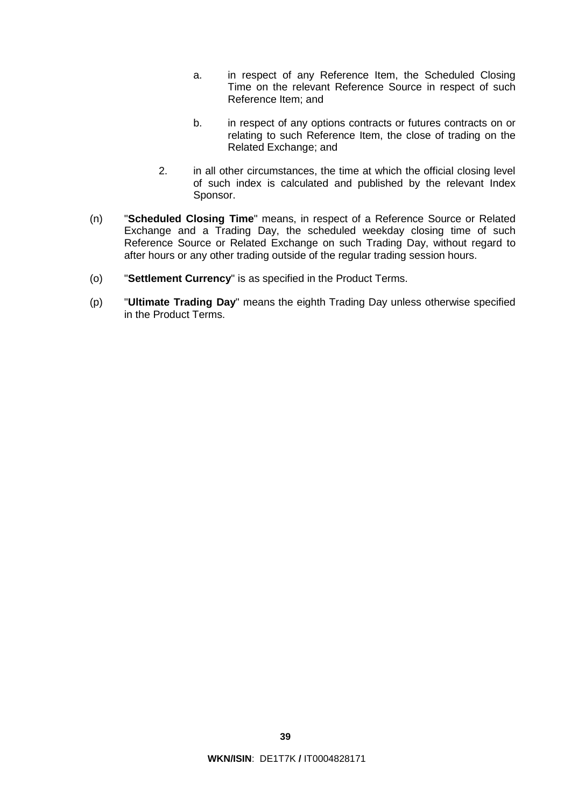- a. in respect of any Reference Item, the Scheduled Closing Time on the relevant Reference Source in respect of such Reference Item; and
- b. in respect of any options contracts or futures contracts on or relating to such Reference Item, the close of trading on the Related Exchange; and
- 2. in all other circumstances, the time at which the official closing level of such index is calculated and published by the relevant Index Sponsor.
- (n) "**Scheduled Closing Time**" means, in respect of a Reference Source or Related Exchange and a Trading Day, the scheduled weekday closing time of such Reference Source or Related Exchange on such Trading Day, without regard to after hours or any other trading outside of the regular trading session hours.
- (o) "**Settlement Currency**" is as specified in the Product Terms.
- (p) "**Ultimate Trading Day**" means the eighth Trading Day unless otherwise specified in the Product Terms.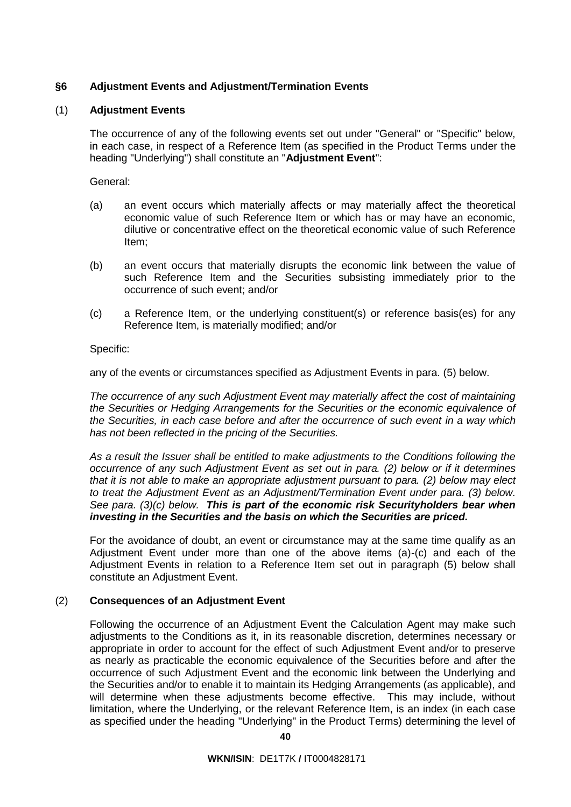# <span id="page-39-1"></span>**§6 Adjustment Events and Adjustment/Termination Events**

## (1) **Adjustment Events**

The occurrence of any of the following events set out under "General" or "Specific" below, in each case, in respect of a Reference Item (as specified in the Product Terms under the heading "Underlying") shall constitute an "**Adjustment Event**":

General:

- (a) an event occurs which materially affects or may materially affect the theoretical economic value of such Reference Item or which has or may have an economic, dilutive or concentrative effect on the theoretical economic value of such Reference Item;
- (b) an event occurs that materially disrupts the economic link between the value of such Reference Item and the Securities subsisting immediately prior to the occurrence of such event; and/or
- (c) a Reference Item, or the underlying constituent(s) or reference basis(es) for any Reference Item, is materially modified; and/or

Specific:

any of the events or circumstances specified as Adjustment Events in para. [\(5\) below.](#page-43-0)

*The occurrence of any such Adjustment Event may materially affect the cost of maintaining the Securities or Hedging Arrangements for the Securities or the economic equivalence of the Securities, in each case before and after the occurrence of such event in a way which has not been reflected in the pricing of the Securities.*

*As a result the Issuer shall be entitled to make adjustments to the Conditions following the occurrence of any such Adjustment Event as set out in para. [\(2\) below](#page-39-0) or if it determines that it is not able to make an appropriate adjustment pursuant to para. [\(2\) below](#page-39-0) may elect to treat the Adjustment Event as an Adjustment/Termination Event under para. [\(3\) below.](#page-40-0) See para. [\(3\)\(c\) below.](#page-40-0) This is part of the economic risk Securityholders bear when investing in the Securities and the basis on which the Securities are priced.*

For the avoidance of doubt, an event or circumstance may at the same time qualify as an Adjustment Event under more than one of the above items (a)-(c) and each of the Adjustment Events in relation to a Reference Item set out in paragraph (5) below shall constitute an Adjustment Event.

# <span id="page-39-0"></span>(2) **Consequences of an Adjustment Event**

Following the occurrence of an Adjustment Event the Calculation Agent may make such adjustments to the Conditions as it, in its reasonable discretion, determines necessary or appropriate in order to account for the effect of such Adjustment Event and/or to preserve as nearly as practicable the economic equivalence of the Securities before and after the occurrence of such Adjustment Event and the economic link between the Underlying and the Securities and/or to enable it to maintain its Hedging Arrangements (as applicable), and will determine when these adjustments become effective. This may include, without limitation, where the Underlying, or the relevant Reference Item, is an index (in each case as specified under the heading "Underlying" in the Product Terms) determining the level of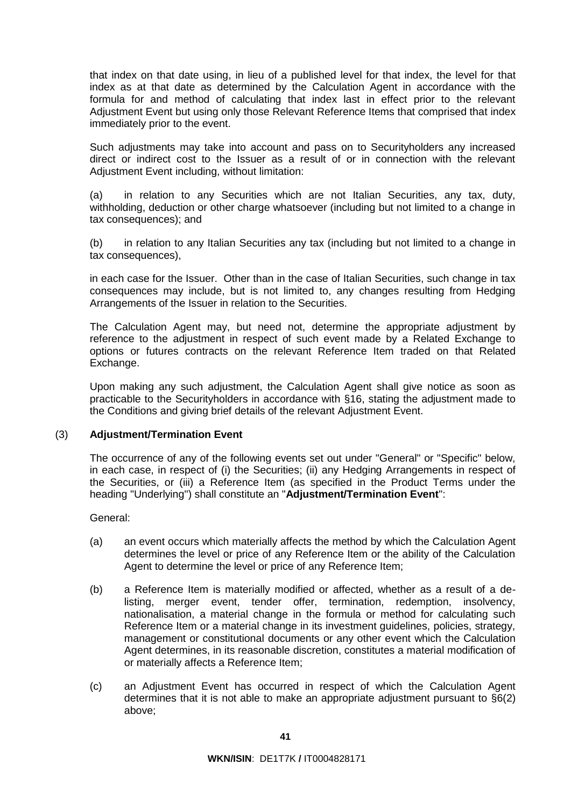that index on that date using, in lieu of a published level for that index, the level for that index as at that date as determined by the Calculation Agent in accordance with the formula for and method of calculating that index last in effect prior to the relevant Adjustment Event but using only those Relevant Reference Items that comprised that index immediately prior to the event.

Such adjustments may take into account and pass on to Securityholders any increased direct or indirect cost to the Issuer as a result of or in connection with the relevant Adjustment Event including, without limitation:

(a) in relation to any Securities which are not Italian Securities, any tax, duty, withholding, deduction or other charge whatsoever (including but not limited to a change in tax consequences); and

(b) in relation to any Italian Securities any tax (including but not limited to a change in tax consequences),

in each case for the Issuer. Other than in the case of Italian Securities, such change in tax consequences may include, but is not limited to, any changes resulting from Hedging Arrangements of the Issuer in relation to the Securities.

The Calculation Agent may, but need not, determine the appropriate adjustment by reference to the adjustment in respect of such event made by a Related Exchange to options or futures contracts on the relevant Reference Item traded on that Related Exchange.

Upon making any such adjustment, the Calculation Agent shall give notice as soon as practicable to the Securityholders in accordance with [§16,](#page-70-0) stating the adjustment made to the Conditions and giving brief details of the relevant Adjustment Event.

#### <span id="page-40-0"></span>(3) **Adjustment/Termination Event**

The occurrence of any of the following events set out under "General" or "Specific" below, in each case, in respect of (i) the Securities; (ii) any Hedging Arrangements in respect of the Securities, or (iii) a Reference Item (as specified in the Product Terms under the heading "Underlying") shall constitute an "**Adjustment/Termination Event**":

General:

- (a) an event occurs which materially affects the method by which the Calculation Agent determines the level or price of any Reference Item or the ability of the Calculation Agent to determine the level or price of any Reference Item;
- (b) a Reference Item is materially modified or affected, whether as a result of a delisting, merger event, tender offer, termination, redemption, insolvency, nationalisation, a material change in the formula or method for calculating such Reference Item or a material change in its investment guidelines, policies, strategy, management or constitutional documents or any other event which the Calculation Agent determines, in its reasonable discretion, constitutes a material modification of or materially affects a Reference Item;
- <span id="page-40-1"></span>(c) an Adjustment Event has occurred in respect of which the Calculation Agent determines that it is not able to make an appropriate adjustment pursuant to [§6\(2\)](#page-39-0)  [above;](#page-39-0)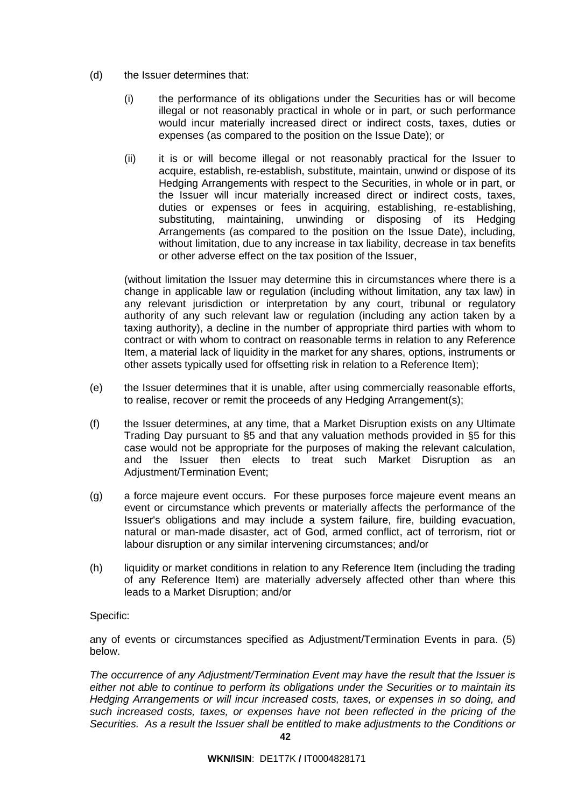- (d) the Issuer determines that:
	- (i) the performance of its obligations under the Securities has or will become illegal or not reasonably practical in whole or in part, or such performance would incur materially increased direct or indirect costs, taxes, duties or expenses (as compared to the position on the Issue Date); or
	- (ii) it is or will become illegal or not reasonably practical for the Issuer to acquire, establish, re-establish, substitute, maintain, unwind or dispose of its Hedging Arrangements with respect to the Securities, in whole or in part, or the Issuer will incur materially increased direct or indirect costs, taxes, duties or expenses or fees in acquiring, establishing, re-establishing, substituting, maintaining, unwinding or disposing of its Hedging Arrangements (as compared to the position on the Issue Date), including, without limitation, due to any increase in tax liability, decrease in tax benefits or other adverse effect on the tax position of the Issuer,

(without limitation the Issuer may determine this in circumstances where there is a change in applicable law or regulation (including without limitation, any tax law) in any relevant jurisdiction or interpretation by any court, tribunal or regulatory authority of any such relevant law or regulation (including any action taken by a taxing authority), a decline in the number of appropriate third parties with whom to contract or with whom to contract on reasonable terms in relation to any Reference Item, a material lack of liquidity in the market for any shares, options, instruments or other assets typically used for offsetting risk in relation to a Reference Item);

- (e) the Issuer determines that it is unable, after using commercially reasonable efforts, to realise, recover or remit the proceeds of any Hedging Arrangement(s);
- (f) the Issuer determines, at any time, that a Market Disruption exists on any Ultimate Trading Day pursuant to §5 and that any valuation methods provided in §5 for this case would not be appropriate for the purposes of making the relevant calculation, and the Issuer then elects to treat such Market Disruption as an Adjustment/Termination Event;
- (g) a force majeure event occurs. For these purposes force majeure event means an event or circumstance which prevents or materially affects the performance of the Issuer's obligations and may include a system failure, fire, building evacuation, natural or man-made disaster, act of God, armed conflict, act of terrorism, riot or labour disruption or any similar intervening circumstances; and/or
- (h) liquidity or market conditions in relation to any Reference Item (including the trading of any Reference Item) are materially adversely affected other than where this leads to a Market Disruption; and/or

# Specific:

any of events or circumstances specified as Adjustment/Termination Events in para. (5) below.

*The occurrence of any Adjustment/Termination Event may have the result that the Issuer is either not able to continue to perform its obligations under the Securities or to maintain its Hedging Arrangements or will incur increased costs, taxes, or expenses in so doing, and such increased costs, taxes, or expenses have not been reflected in the pricing of the Securities. As a result the Issuer shall be entitled to make adjustments to the Conditions or*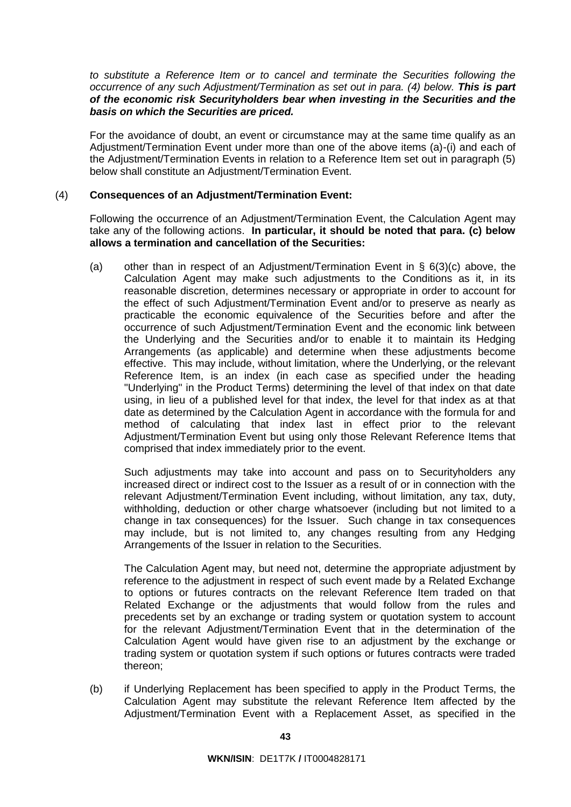*to substitute a Reference Item or to cancel and terminate the Securities following the occurrence of any such Adjustment/Termination as set out in para. (4) below. This is part of the economic risk Securityholders bear when investing in the Securities and the basis on which the Securities are priced.*

For the avoidance of doubt, an event or circumstance may at the same time qualify as an Adjustment/Termination Event under more than one of the above items (a)-(i) and each of the Adjustment/Termination Events in relation to a Reference Item set out in paragraph (5) below shall constitute an Adjustment/Termination Event.

### (4) **Consequences of an Adjustment/Termination Event:**

Following the occurrence of an Adjustment/Termination Event, the Calculation Agent may take any of the following actions. **In particular, it should be noted that para. (c) below allows a termination and cancellation of the Securities:**

<span id="page-42-0"></span>(a) other than in respect of an Adjustment/Termination Event in § [6\(3\)\(c\) above,](#page-40-1) the Calculation Agent may make such adjustments to the Conditions as it, in its reasonable discretion, determines necessary or appropriate in order to account for the effect of such Adjustment/Termination Event and/or to preserve as nearly as practicable the economic equivalence of the Securities before and after the occurrence of such Adjustment/Termination Event and the economic link between the Underlying and the Securities and/or to enable it to maintain its Hedging Arrangements (as applicable) and determine when these adjustments become effective. This may include, without limitation, where the Underlying, or the relevant Reference Item, is an index (in each case as specified under the heading "Underlying" in the Product Terms) determining the level of that index on that date using, in lieu of a published level for that index, the level for that index as at that date as determined by the Calculation Agent in accordance with the formula for and method of calculating that index last in effect prior to the relevant Adjustment/Termination Event but using only those Relevant Reference Items that comprised that index immediately prior to the event.

Such adjustments may take into account and pass on to Securityholders any increased direct or indirect cost to the Issuer as a result of or in connection with the relevant Adjustment/Termination Event including, without limitation, any tax, duty, withholding, deduction or other charge whatsoever (including but not limited to a change in tax consequences) for the Issuer. Such change in tax consequences may include, but is not limited to, any changes resulting from any Hedging Arrangements of the Issuer in relation to the Securities.

The Calculation Agent may, but need not, determine the appropriate adjustment by reference to the adjustment in respect of such event made by a Related Exchange to options or futures contracts on the relevant Reference Item traded on that Related Exchange or the adjustments that would follow from the rules and precedents set by an exchange or trading system or quotation system to account for the relevant Adjustment/Termination Event that in the determination of the Calculation Agent would have given rise to an adjustment by the exchange or trading system or quotation system if such options or futures contracts were traded thereon;

<span id="page-42-1"></span>(b) if Underlying Replacement has been specified to apply in the Product Terms, the Calculation Agent may substitute the relevant Reference Item affected by the Adjustment/Termination Event with a Replacement Asset, as specified in the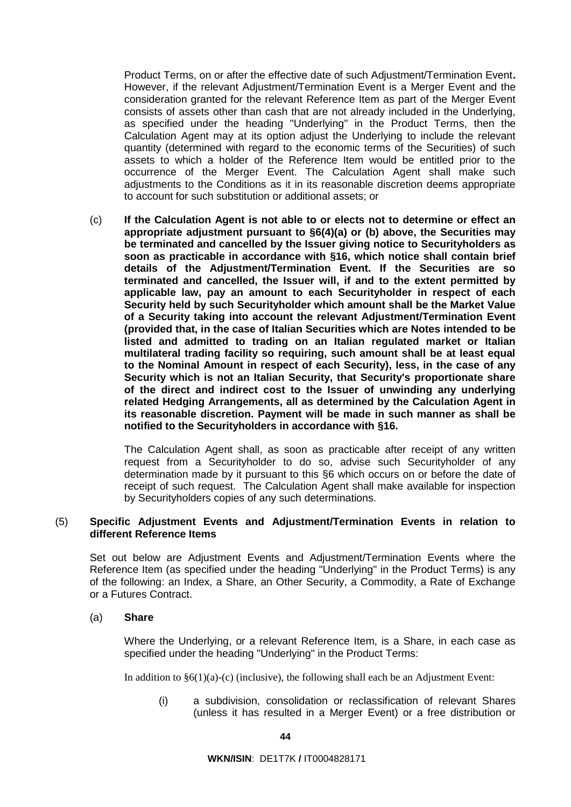Product Terms, on or after the effective date of such Adjustment/Termination Event**.**  However, if the relevant Adjustment/Termination Event is a Merger Event and the consideration granted for the relevant Reference Item as part of the Merger Event consists of assets other than cash that are not already included in the Underlying, as specified under the heading "Underlying" in the Product Terms, then the Calculation Agent may at its option adjust the Underlying to include the relevant quantity (determined with regard to the economic terms of the Securities) of such assets to which a holder of the Reference Item would be entitled prior to the occurrence of the Merger Event. The Calculation Agent shall make such adjustments to the Conditions as it in its reasonable discretion deems appropriate to account for such substitution or additional assets; or

(c) **If the Calculation Agent is not able to or elects not to determine or effect an appropriate adjustment pursuant to [§6\(4\)\(a\)](#page-42-0) or [\(b\) above,](#page-42-1) the Securities may be terminated and cancelled by the Issuer giving notice to Securityholders as soon as practicable in accordance with [§16,](#page-70-0) which notice shall contain brief details of the Adjustment/Termination Event. If the Securities are so terminated and cancelled, the Issuer will, if and to the extent permitted by applicable law, pay an amount to each Securityholder in respect of each Security held by such Securityholder which amount shall be the Market Value of a Security taking into account the relevant Adjustment/Termination Event (provided that, in the case of Italian Securities which are Notes intended to be listed and admitted to trading on an Italian regulated market or Italian multilateral trading facility so requiring, such amount shall be at least equal to the Nominal Amount in respect of each Security), less, in the case of any Security which is not an Italian Security, that Security's proportionate share of the direct and indirect cost to the Issuer of unwinding any underlying related Hedging Arrangements, all as determined by the Calculation Agent in its reasonable discretion. Payment will be made in such manner as shall be notified to the Securityholders in accordance with [§16.](#page-70-0)** 

The Calculation Agent shall, as soon as practicable after receipt of any written request from a Securityholder to do so, advise such Securityholder of any determination made by it pursuant to this [§6](#page-39-1) which occurs on or before the date of receipt of such request. The Calculation Agent shall make available for inspection by Securityholders copies of any such determinations.

### <span id="page-43-0"></span>(5) **Specific Adjustment Events and Adjustment/Termination Events in relation to different Reference Items**

Set out below are Adjustment Events and Adjustment/Termination Events where the Reference Item (as specified under the heading "Underlying" in the Product Terms) is any of the following: an Index, a Share, an Other Security, a Commodity, a Rate of Exchange or a Futures Contract.

#### (a) **Share**

Where the Underlying, or a relevant Reference Item, is a Share, in each case as specified under the heading "Underlying" in the Product Terms:

In addition to  $\S6(1)(a)$ -(c) (inclusive), the following shall each be an Adjustment Event:

(i) a subdivision, consolidation or reclassification of relevant Shares (unless it has resulted in a Merger Event) or a free distribution or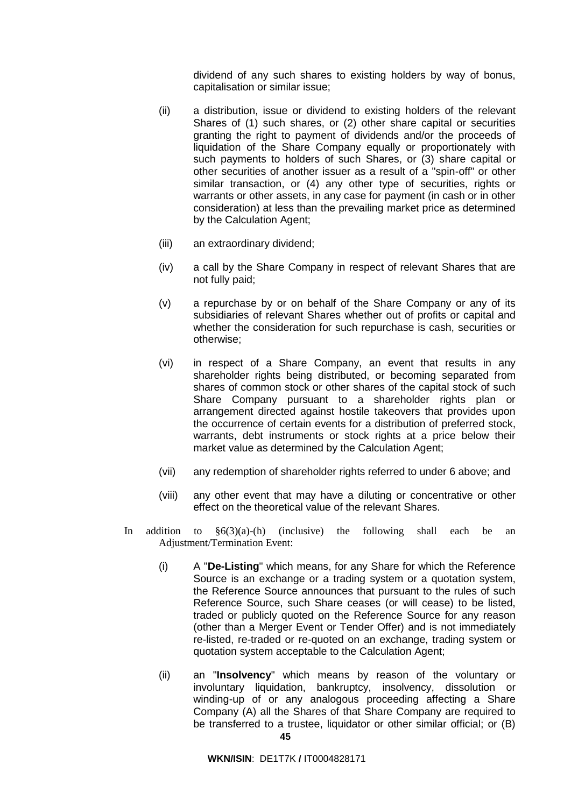dividend of any such shares to existing holders by way of bonus, capitalisation or similar issue;

- (ii) a distribution, issue or dividend to existing holders of the relevant Shares of (1) such shares, or (2) other share capital or securities granting the right to payment of dividends and/or the proceeds of liquidation of the Share Company equally or proportionately with such payments to holders of such Shares, or (3) share capital or other securities of another issuer as a result of a "spin-off" or other similar transaction, or (4) any other type of securities, rights or warrants or other assets, in any case for payment (in cash or in other consideration) at less than the prevailing market price as determined by the Calculation Agent;
- (iii) an extraordinary dividend;
- (iv) a call by the Share Company in respect of relevant Shares that are not fully paid;
- (v) a repurchase by or on behalf of the Share Company or any of its subsidiaries of relevant Shares whether out of profits or capital and whether the consideration for such repurchase is cash, securities or otherwise;
- (vi) in respect of a Share Company, an event that results in any shareholder rights being distributed, or becoming separated from shares of common stock or other shares of the capital stock of such Share Company pursuant to a shareholder rights plan or arrangement directed against hostile takeovers that provides upon the occurrence of certain events for a distribution of preferred stock, warrants, debt instruments or stock rights at a price below their market value as determined by the Calculation Agent;
- (vii) any redemption of shareholder rights referred to under 6 above; and
- (viii) any other event that may have a diluting or concentrative or other effect on the theoretical value of the relevant Shares.
- In addition to  $\S(3)(a)$ -(h) (inclusive) the following shall each be an Adjustment/Termination Event:
	- (i) A "**De-Listing**" which means, for any Share for which the Reference Source is an exchange or a trading system or a quotation system, the Reference Source announces that pursuant to the rules of such Reference Source, such Share ceases (or will cease) to be listed, traded or publicly quoted on the Reference Source for any reason (other than a Merger Event or Tender Offer) and is not immediately re-listed, re-traded or re-quoted on an exchange, trading system or quotation system acceptable to the Calculation Agent;
	- (ii) an "**Insolvency**" which means by reason of the voluntary or involuntary liquidation, bankruptcy, insolvency, dissolution or winding-up of or any analogous proceeding affecting a Share Company (A) all the Shares of that Share Company are required to be transferred to a trustee, liquidator or other similar official; or (B)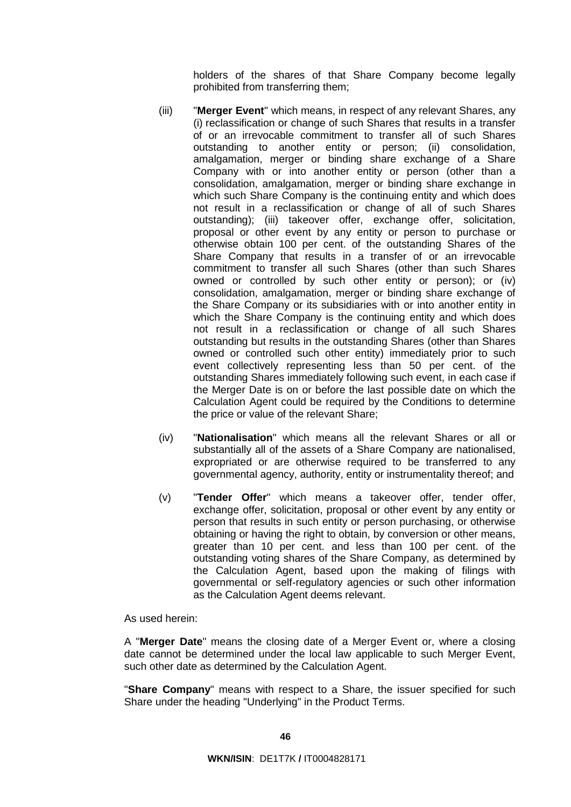holders of the shares of that Share Company become legally prohibited from transferring them;

- (iii) "**Merger Event**" which means, in respect of any relevant Shares, any (i) reclassification or change of such Shares that results in a transfer of or an irrevocable commitment to transfer all of such Shares outstanding to another entity or person; (ii) consolidation, amalgamation, merger or binding share exchange of a Share Company with or into another entity or person (other than a consolidation, amalgamation, merger or binding share exchange in which such Share Company is the continuing entity and which does not result in a reclassification or change of all of such Shares outstanding); (iii) takeover offer, exchange offer, solicitation, proposal or other event by any entity or person to purchase or otherwise obtain 100 per cent. of the outstanding Shares of the Share Company that results in a transfer of or an irrevocable commitment to transfer all such Shares (other than such Shares owned or controlled by such other entity or person); or (iv) consolidation, amalgamation, merger or binding share exchange of the Share Company or its subsidiaries with or into another entity in which the Share Company is the continuing entity and which does not result in a reclassification or change of all such Shares outstanding but results in the outstanding Shares (other than Shares owned or controlled such other entity) immediately prior to such event collectively representing less than 50 per cent. of the outstanding Shares immediately following such event, in each case if the Merger Date is on or before the last possible date on which the Calculation Agent could be required by the Conditions to determine the price or value of the relevant Share;
- (iv) "**Nationalisation**" which means all the relevant Shares or all or substantially all of the assets of a Share Company are nationalised, expropriated or are otherwise required to be transferred to any governmental agency, authority, entity or instrumentality thereof; and
- (v) "**Tender Offer**" which means a takeover offer, tender offer, exchange offer, solicitation, proposal or other event by any entity or person that results in such entity or person purchasing, or otherwise obtaining or having the right to obtain, by conversion or other means, greater than 10 per cent. and less than 100 per cent. of the outstanding voting shares of the Share Company, as determined by the Calculation Agent, based upon the making of filings with governmental or self-regulatory agencies or such other information as the Calculation Agent deems relevant.

As used herein:

A "**Merger Date**" means the closing date of a Merger Event or, where a closing date cannot be determined under the local law applicable to such Merger Event, such other date as determined by the Calculation Agent.

"**Share Company**" means with respect to a Share, the issuer specified for such Share under the heading "Underlying" in the Product Terms.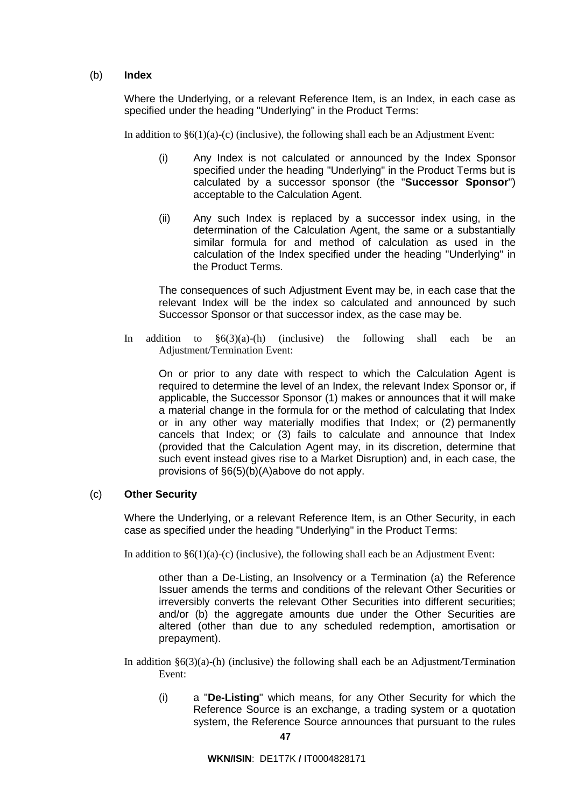### (b) **Index**

Where the Underlying, or a relevant Reference Item, is an Index, in each case as specified under the heading "Underlying" in the Product Terms:

In addition to  $\S6(1)(a)-(c)$  (inclusive), the following shall each be an Adjustment Event:

- (i) Any Index is not calculated or announced by the Index Sponsor specified under the heading "Underlying" in the Product Terms but is calculated by a successor sponsor (the "**Successor Sponsor**") acceptable to the Calculation Agent.
- (ii) Any such Index is replaced by a successor index using, in the determination of the Calculation Agent, the same or a substantially similar formula for and method of calculation as used in the calculation of the Index specified under the heading "Underlying" in the Product Terms.

The consequences of such Adjustment Event may be, in each case that the relevant Index will be the index so calculated and announced by such Successor Sponsor or that successor index, as the case may be.

In addition to  $\S6(3)(a)$ -(h) (inclusive) the following shall each be an Adjustment/Termination Event:

On or prior to any date with respect to which the Calculation Agent is required to determine the level of an Index, the relevant Index Sponsor or, if applicable, the Successor Sponsor (1) makes or announces that it will make a material change in the formula for or the method of calculating that Index or in any other way materially modifies that Index; or (2) permanently cancels that Index; or (3) fails to calculate and announce that Index (provided that the Calculation Agent may, in its discretion, determine that such event instead gives rise to a Market Disruption) and, in each case, the provisions of §6(5)(b)(A)above do not apply.

# (c) **Other Security**

Where the Underlying, or a relevant Reference Item, is an Other Security, in each case as specified under the heading "Underlying" in the Product Terms:

In addition to  $\S6(1)(a)-(c)$  (inclusive), the following shall each be an Adjustment Event:

other than a De-Listing, an Insolvency or a Termination (a) the Reference Issuer amends the terms and conditions of the relevant Other Securities or irreversibly converts the relevant Other Securities into different securities; and/or (b) the aggregate amounts due under the Other Securities are altered (other than due to any scheduled redemption, amortisation or prepayment).

- In addition  $\S6(3)(a)$ -(h) (inclusive) the following shall each be an Adjustment/Termination Event:
	- (i) a "**De-Listing**" which means, for any Other Security for which the Reference Source is an exchange, a trading system or a quotation system, the Reference Source announces that pursuant to the rules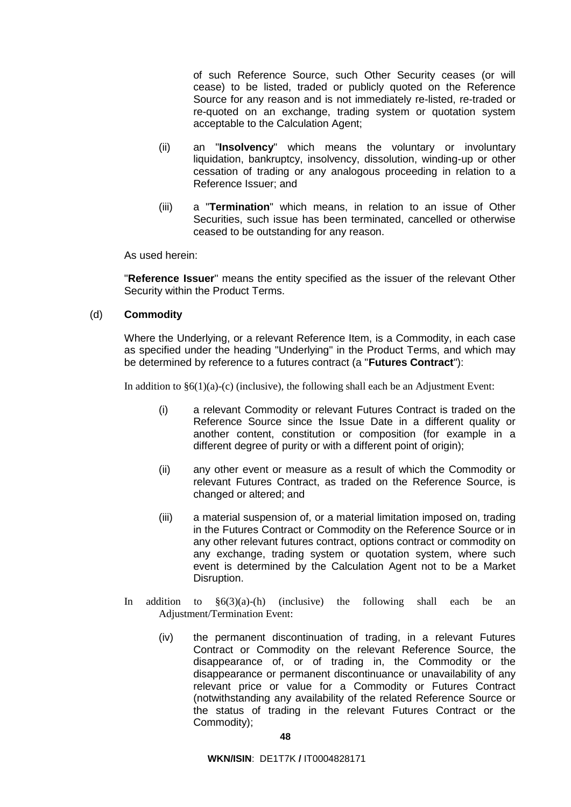of such Reference Source, such Other Security ceases (or will cease) to be listed, traded or publicly quoted on the Reference Source for any reason and is not immediately re-listed, re-traded or re-quoted on an exchange, trading system or quotation system acceptable to the Calculation Agent;

- (ii) an "**Insolvency**" which means the voluntary or involuntary liquidation, bankruptcy, insolvency, dissolution, winding-up or other cessation of trading or any analogous proceeding in relation to a Reference Issuer; and
- (iii) a "**Termination**" which means, in relation to an issue of Other Securities, such issue has been terminated, cancelled or otherwise ceased to be outstanding for any reason.

As used herein:

"**Reference Issuer**" means the entity specified as the issuer of the relevant Other Security within the Product Terms.

## (d) **Commodity**

Where the Underlying, or a relevant Reference Item, is a Commodity, in each case as specified under the heading "Underlying" in the Product Terms, and which may be determined by reference to a futures contract (a "**Futures Contract**"):

In addition to  $\S6(1)(a)-(c)$  (inclusive), the following shall each be an Adjustment Event:

- (i) a relevant Commodity or relevant Futures Contract is traded on the Reference Source since the Issue Date in a different quality or another content, constitution or composition (for example in a different degree of purity or with a different point of origin);
- (ii) any other event or measure as a result of which the Commodity or relevant Futures Contract, as traded on the Reference Source, is changed or altered; and
- (iii) a material suspension of, or a material limitation imposed on, trading in the Futures Contract or Commodity on the Reference Source or in any other relevant futures contract, options contract or commodity on any exchange, trading system or quotation system, where such event is determined by the Calculation Agent not to be a Market Disruption.
- In addition to §6(3)(a)-(h) (inclusive) the following shall each be an Adjustment/Termination Event:
	- (iv) the permanent discontinuation of trading, in a relevant Futures Contract or Commodity on the relevant Reference Source, the disappearance of, or of trading in, the Commodity or the disappearance or permanent discontinuance or unavailability of any relevant price or value for a Commodity or Futures Contract (notwithstanding any availability of the related Reference Source or the status of trading in the relevant Futures Contract or the Commodity);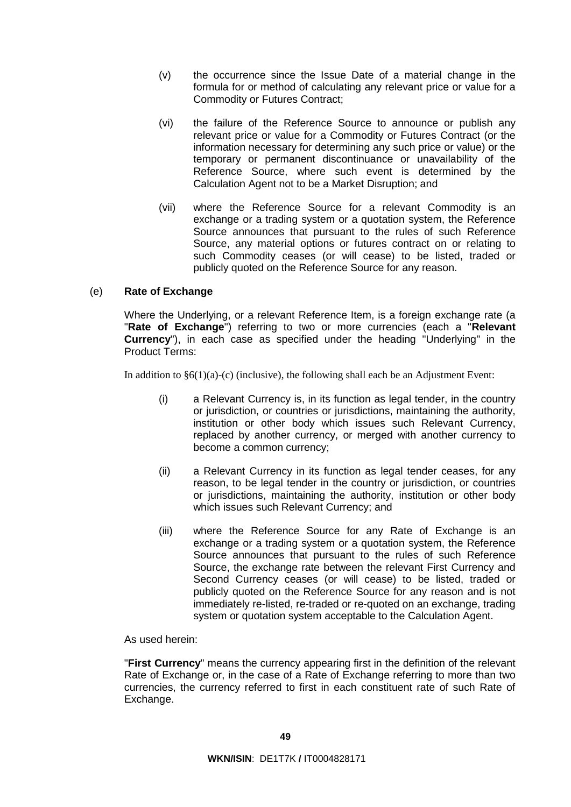- (v) the occurrence since the Issue Date of a material change in the formula for or method of calculating any relevant price or value for a Commodity or Futures Contract;
- (vi) the failure of the Reference Source to announce or publish any relevant price or value for a Commodity or Futures Contract (or the information necessary for determining any such price or value) or the temporary or permanent discontinuance or unavailability of the Reference Source, where such event is determined by the Calculation Agent not to be a Market Disruption; and
- (vii) where the Reference Source for a relevant Commodity is an exchange or a trading system or a quotation system, the Reference Source announces that pursuant to the rules of such Reference Source, any material options or futures contract on or relating to such Commodity ceases (or will cease) to be listed, traded or publicly quoted on the Reference Source for any reason.

# (e) **Rate of Exchange**

Where the Underlying, or a relevant Reference Item, is a foreign exchange rate (a "**Rate of Exchange**") referring to two or more currencies (each a "**Relevant Currency**"), in each case as specified under the heading "Underlying" in the Product Terms:

In addition to  $\S6(1)(a)-(c)$  (inclusive), the following shall each be an Adjustment Event:

- (i) a Relevant Currency is, in its function as legal tender, in the country or jurisdiction, or countries or jurisdictions, maintaining the authority, institution or other body which issues such Relevant Currency, replaced by another currency, or merged with another currency to become a common currency;
- (ii) a Relevant Currency in its function as legal tender ceases, for any reason, to be legal tender in the country or jurisdiction, or countries or jurisdictions, maintaining the authority, institution or other body which issues such Relevant Currency; and
- (iii) where the Reference Source for any Rate of Exchange is an exchange or a trading system or a quotation system, the Reference Source announces that pursuant to the rules of such Reference Source, the exchange rate between the relevant First Currency and Second Currency ceases (or will cease) to be listed, traded or publicly quoted on the Reference Source for any reason and is not immediately re-listed, re-traded or re-quoted on an exchange, trading system or quotation system acceptable to the Calculation Agent.

As used herein:

"**First Currency**" means the currency appearing first in the definition of the relevant Rate of Exchange or, in the case of a Rate of Exchange referring to more than two currencies, the currency referred to first in each constituent rate of such Rate of Exchange.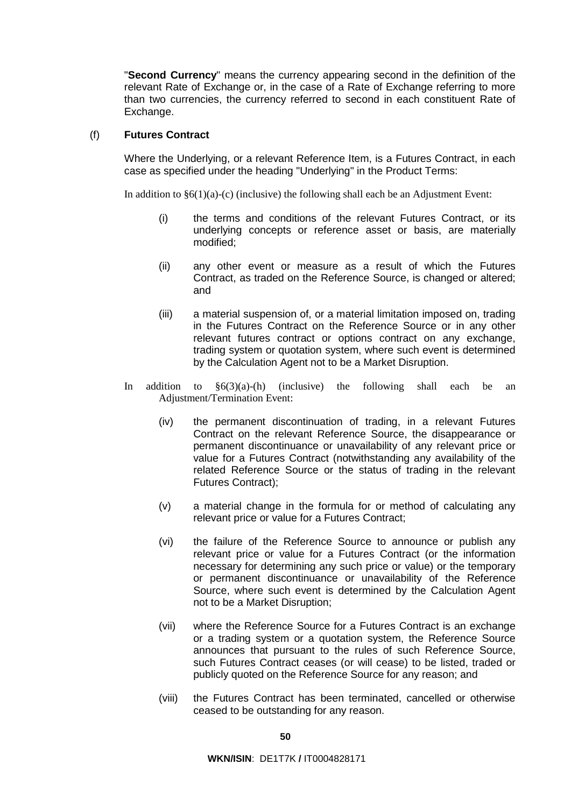"**Second Currency**" means the currency appearing second in the definition of the relevant Rate of Exchange or, in the case of a Rate of Exchange referring to more than two currencies, the currency referred to second in each constituent Rate of Exchange.

### (f) **Futures Contract**

Where the Underlying, or a relevant Reference Item, is a Futures Contract, in each case as specified under the heading "Underlying" in the Product Terms:

In addition to  $\S6(1)(a)$ -(c) (inclusive) the following shall each be an Adjustment Event:

- (i) the terms and conditions of the relevant Futures Contract, or its underlying concepts or reference asset or basis, are materially modified;
- (ii) any other event or measure as a result of which the Futures Contract, as traded on the Reference Source, is changed or altered; and
- (iii) a material suspension of, or a material limitation imposed on, trading in the Futures Contract on the Reference Source or in any other relevant futures contract or options contract on any exchange, trading system or quotation system, where such event is determined by the Calculation Agent not to be a Market Disruption.
- In addition to  $\S(3)(a)$ -(h) (inclusive) the following shall each be an Adjustment/Termination Event:
	- (iv) the permanent discontinuation of trading, in a relevant Futures Contract on the relevant Reference Source, the disappearance or permanent discontinuance or unavailability of any relevant price or value for a Futures Contract (notwithstanding any availability of the related Reference Source or the status of trading in the relevant Futures Contract);
	- (v) a material change in the formula for or method of calculating any relevant price or value for a Futures Contract;
	- (vi) the failure of the Reference Source to announce or publish any relevant price or value for a Futures Contract (or the information necessary for determining any such price or value) or the temporary or permanent discontinuance or unavailability of the Reference Source, where such event is determined by the Calculation Agent not to be a Market Disruption;
	- (vii) where the Reference Source for a Futures Contract is an exchange or a trading system or a quotation system, the Reference Source announces that pursuant to the rules of such Reference Source, such Futures Contract ceases (or will cease) to be listed, traded or publicly quoted on the Reference Source for any reason; and
	- (viii) the Futures Contract has been terminated, cancelled or otherwise ceased to be outstanding for any reason.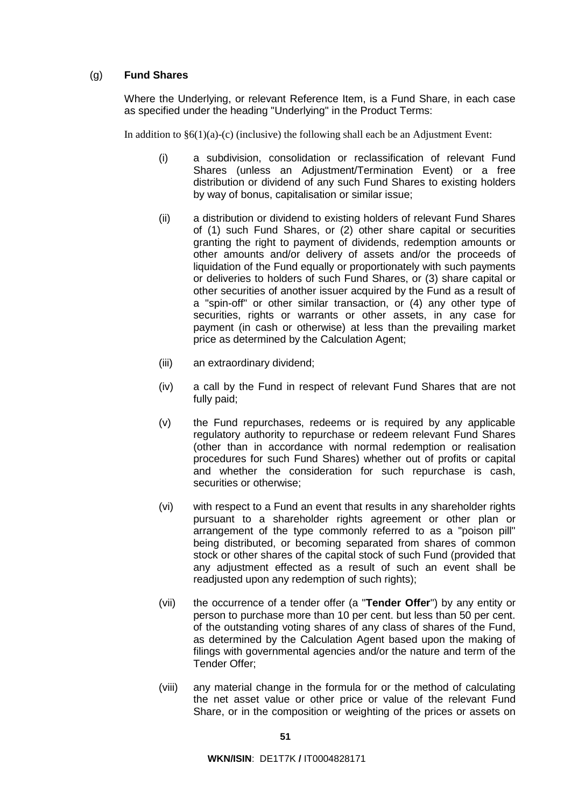## (g) **Fund Shares**

Where the Underlying, or relevant Reference Item, is a Fund Share, in each case as specified under the heading "Underlying" in the Product Terms:

In addition to  $\S6(1)(a)-(c)$  (inclusive) the following shall each be an Adjustment Event:

- (i) a subdivision, consolidation or reclassification of relevant Fund Shares (unless an Adjustment/Termination Event) or a free distribution or dividend of any such Fund Shares to existing holders by way of bonus, capitalisation or similar issue;
- (ii) a distribution or dividend to existing holders of relevant Fund Shares of (1) such Fund Shares, or (2) other share capital or securities granting the right to payment of dividends, redemption amounts or other amounts and/or delivery of assets and/or the proceeds of liquidation of the Fund equally or proportionately with such payments or deliveries to holders of such Fund Shares, or (3) share capital or other securities of another issuer acquired by the Fund as a result of a "spin-off" or other similar transaction, or (4) any other type of securities, rights or warrants or other assets, in any case for payment (in cash or otherwise) at less than the prevailing market price as determined by the Calculation Agent;
- (iii) an extraordinary dividend;
- (iv) a call by the Fund in respect of relevant Fund Shares that are not fully paid;
- (v) the Fund repurchases, redeems or is required by any applicable regulatory authority to repurchase or redeem relevant Fund Shares (other than in accordance with normal redemption or realisation procedures for such Fund Shares) whether out of profits or capital and whether the consideration for such repurchase is cash, securities or otherwise;
- (vi) with respect to a Fund an event that results in any shareholder rights pursuant to a shareholder rights agreement or other plan or arrangement of the type commonly referred to as a "poison pill" being distributed, or becoming separated from shares of common stock or other shares of the capital stock of such Fund (provided that any adjustment effected as a result of such an event shall be readjusted upon any redemption of such rights);
- (vii) the occurrence of a tender offer (a "**Tender Offer**") by any entity or person to purchase more than 10 per cent. but less than 50 per cent. of the outstanding voting shares of any class of shares of the Fund, as determined by the Calculation Agent based upon the making of filings with governmental agencies and/or the nature and term of the Tender Offer;
- (viii) any material change in the formula for or the method of calculating the net asset value or other price or value of the relevant Fund Share, or in the composition or weighting of the prices or assets on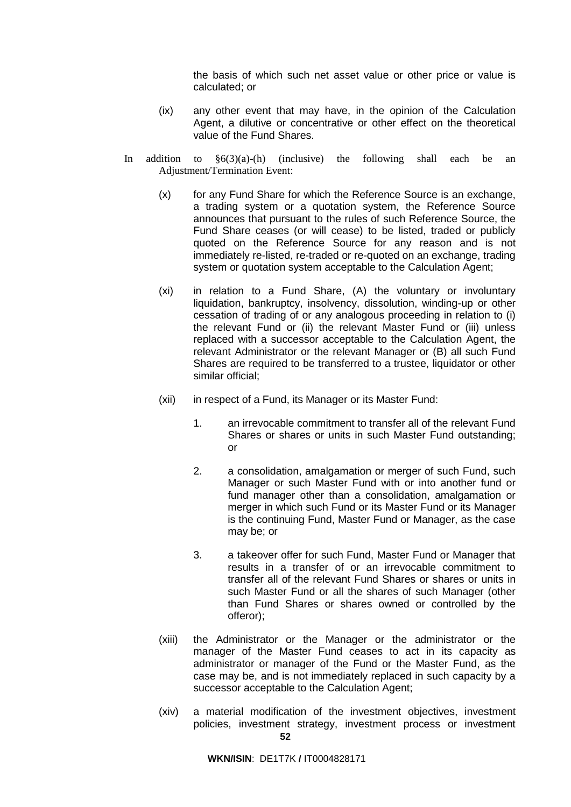the basis of which such net asset value or other price or value is calculated; or

- (ix) any other event that may have, in the opinion of the Calculation Agent, a dilutive or concentrative or other effect on the theoretical value of the Fund Shares.
- In addition to  $\S(3)(a)$ -(h) (inclusive) the following shall each be an Adjustment/Termination Event:
	- (x) for any Fund Share for which the Reference Source is an exchange, a trading system or a quotation system, the Reference Source announces that pursuant to the rules of such Reference Source, the Fund Share ceases (or will cease) to be listed, traded or publicly quoted on the Reference Source for any reason and is not immediately re-listed, re-traded or re-quoted on an exchange, trading system or quotation system acceptable to the Calculation Agent;
	- (xi) in relation to a Fund Share, (A) the voluntary or involuntary liquidation, bankruptcy, insolvency, dissolution, winding-up or other cessation of trading of or any analogous proceeding in relation to (i) the relevant Fund or (ii) the relevant Master Fund or (iii) unless replaced with a successor acceptable to the Calculation Agent, the relevant Administrator or the relevant Manager or (B) all such Fund Shares are required to be transferred to a trustee, liquidator or other similar official;
	- (xii) in respect of a Fund, its Manager or its Master Fund:
		- 1. an irrevocable commitment to transfer all of the relevant Fund Shares or shares or units in such Master Fund outstanding; or
		- 2. a consolidation, amalgamation or merger of such Fund, such Manager or such Master Fund with or into another fund or fund manager other than a consolidation, amalgamation or merger in which such Fund or its Master Fund or its Manager is the continuing Fund, Master Fund or Manager, as the case may be; or
		- 3. a takeover offer for such Fund, Master Fund or Manager that results in a transfer of or an irrevocable commitment to transfer all of the relevant Fund Shares or shares or units in such Master Fund or all the shares of such Manager (other than Fund Shares or shares owned or controlled by the offeror);
	- (xiii) the Administrator or the Manager or the administrator or the manager of the Master Fund ceases to act in its capacity as administrator or manager of the Fund or the Master Fund, as the case may be, and is not immediately replaced in such capacity by a successor acceptable to the Calculation Agent:
	- (xiv) a material modification of the investment objectives, investment policies, investment strategy, investment process or investment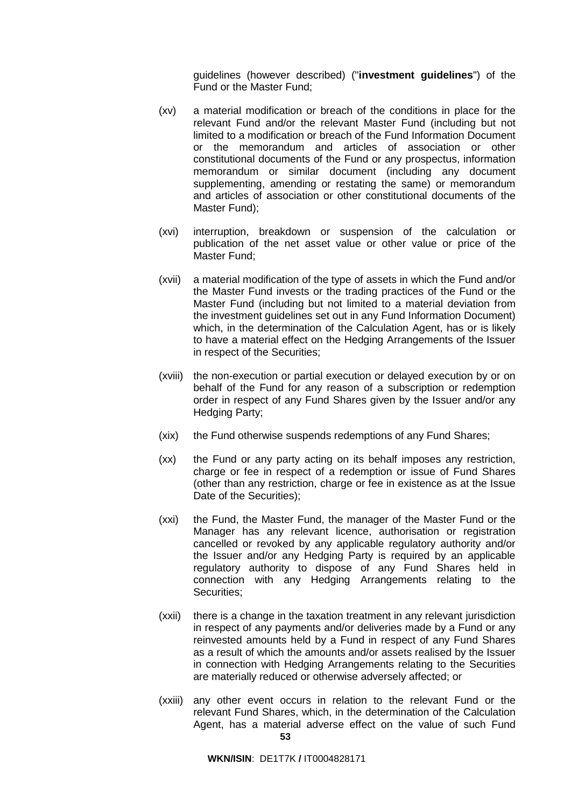guidelines (however described) ("**investment guidelines**") of the Fund or the Master Fund;

- (xv) a material modification or breach of the conditions in place for the relevant Fund and/or the relevant Master Fund (including but not limited to a modification or breach of the Fund Information Document or the memorandum and articles of association or other constitutional documents of the Fund or any prospectus, information memorandum or similar document (including any document supplementing, amending or restating the same) or memorandum and articles of association or other constitutional documents of the Master Fund);
- (xvi) interruption, breakdown or suspension of the calculation or publication of the net asset value or other value or price of the Master Fund;
- (xvii) a material modification of the type of assets in which the Fund and/or the Master Fund invests or the trading practices of the Fund or the Master Fund (including but not limited to a material deviation from the investment guidelines set out in any Fund Information Document) which, in the determination of the Calculation Agent, has or is likely to have a material effect on the Hedging Arrangements of the Issuer in respect of the Securities;
- (xviii) the non-execution or partial execution or delayed execution by or on behalf of the Fund for any reason of a subscription or redemption order in respect of any Fund Shares given by the Issuer and/or any Hedging Party;
- (xix) the Fund otherwise suspends redemptions of any Fund Shares;
- (xx) the Fund or any party acting on its behalf imposes any restriction, charge or fee in respect of a redemption or issue of Fund Shares (other than any restriction, charge or fee in existence as at the Issue Date of the Securities);
- (xxi) the Fund, the Master Fund, the manager of the Master Fund or the Manager has any relevant licence, authorisation or registration cancelled or revoked by any applicable regulatory authority and/or the Issuer and/or any Hedging Party is required by an applicable regulatory authority to dispose of any Fund Shares held in connection with any Hedging Arrangements relating to the Securities:
- (xxii) there is a change in the taxation treatment in any relevant jurisdiction in respect of any payments and/or deliveries made by a Fund or any reinvested amounts held by a Fund in respect of any Fund Shares as a result of which the amounts and/or assets realised by the Issuer in connection with Hedging Arrangements relating to the Securities are materially reduced or otherwise adversely affected; or
- (xxiii) any other event occurs in relation to the relevant Fund or the relevant Fund Shares, which, in the determination of the Calculation Agent, has a material adverse effect on the value of such Fund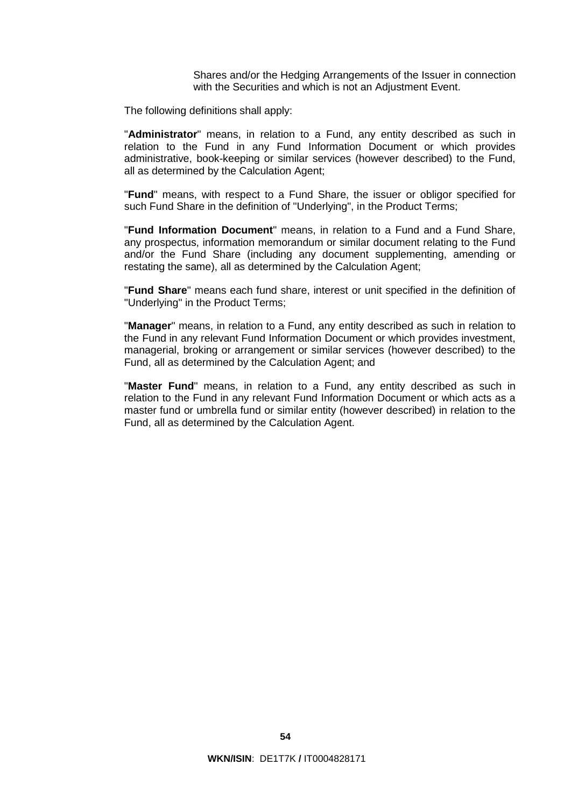Shares and/or the Hedging Arrangements of the Issuer in connection with the Securities and which is not an Adjustment Event.

The following definitions shall apply:

"**Administrator**" means, in relation to a Fund, any entity described as such in relation to the Fund in any Fund Information Document or which provides administrative, book-keeping or similar services (however described) to the Fund, all as determined by the Calculation Agent;

"**Fund**" means, with respect to a Fund Share, the issuer or obligor specified for such Fund Share in the definition of "Underlying", in the Product Terms;

"**Fund Information Document**" means, in relation to a Fund and a Fund Share, any prospectus, information memorandum or similar document relating to the Fund and/or the Fund Share (including any document supplementing, amending or restating the same), all as determined by the Calculation Agent;

"**Fund Share**" means each fund share, interest or unit specified in the definition of "Underlying" in the Product Terms;

"**Manager**" means, in relation to a Fund, any entity described as such in relation to the Fund in any relevant Fund Information Document or which provides investment, managerial, broking or arrangement or similar services (however described) to the Fund, all as determined by the Calculation Agent; and

"**Master Fund**" means, in relation to a Fund, any entity described as such in relation to the Fund in any relevant Fund Information Document or which acts as a master fund or umbrella fund or similar entity (however described) in relation to the Fund, all as determined by the Calculation Agent.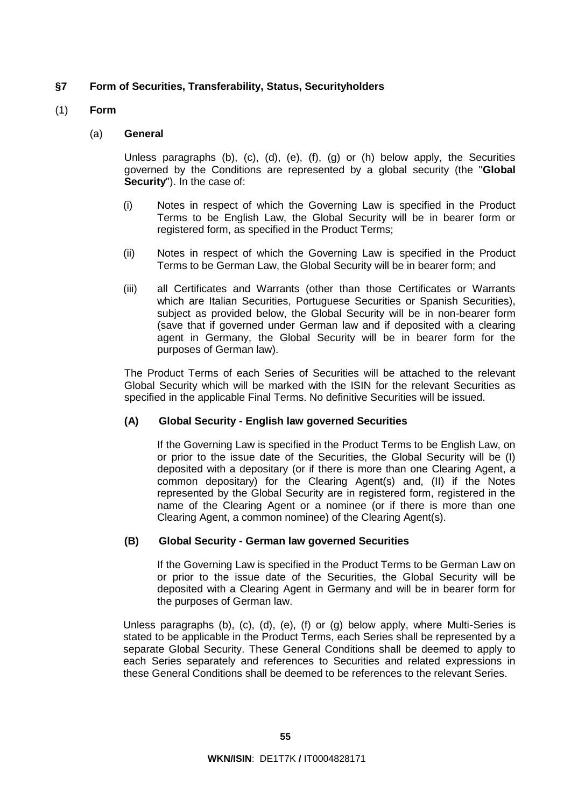# **§7 Form of Securities, Transferability, Status, Securityholders**

# (1) **Form**

# (a) **General**

Unless paragraphs (b), (c), (d), (e), (f), (g) or (h) below apply, the Securities governed by the Conditions are represented by a global security (the "**Global Security**"). In the case of:

- (i) Notes in respect of which the Governing Law is specified in the Product Terms to be English Law, the Global Security will be in bearer form or registered form, as specified in the Product Terms;
- (ii) Notes in respect of which the Governing Law is specified in the Product Terms to be German Law, the Global Security will be in bearer form; and
- (iii) all Certificates and Warrants (other than those Certificates or Warrants which are Italian Securities, Portuguese Securities or Spanish Securities), subject as provided below, the Global Security will be in non-bearer form (save that if governed under German law and if deposited with a clearing agent in Germany, the Global Security will be in bearer form for the purposes of German law).

The Product Terms of each Series of Securities will be attached to the relevant Global Security which will be marked with the ISIN for the relevant Securities as specified in the applicable Final Terms. No definitive Securities will be issued.

# **(A) Global Security - English law governed Securities**

If the Governing Law is specified in the Product Terms to be English Law, on or prior to the issue date of the Securities, the Global Security will be (I) deposited with a depositary (or if there is more than one Clearing Agent, a common depositary) for the Clearing Agent(s) and, (II) if the Notes represented by the Global Security are in registered form, registered in the name of the Clearing Agent or a nominee (or if there is more than one Clearing Agent, a common nominee) of the Clearing Agent(s).

# **(B) Global Security - German law governed Securities**

If the Governing Law is specified in the Product Terms to be German Law on or prior to the issue date of the Securities, the Global Security will be deposited with a Clearing Agent in Germany and will be in bearer form for the purposes of German law.

Unless paragraphs (b), (c), (d), (e), (f) or (g) below apply, where Multi-Series is stated to be applicable in the Product Terms, each Series shall be represented by a separate Global Security. These General Conditions shall be deemed to apply to each Series separately and references to Securities and related expressions in these General Conditions shall be deemed to be references to the relevant Series.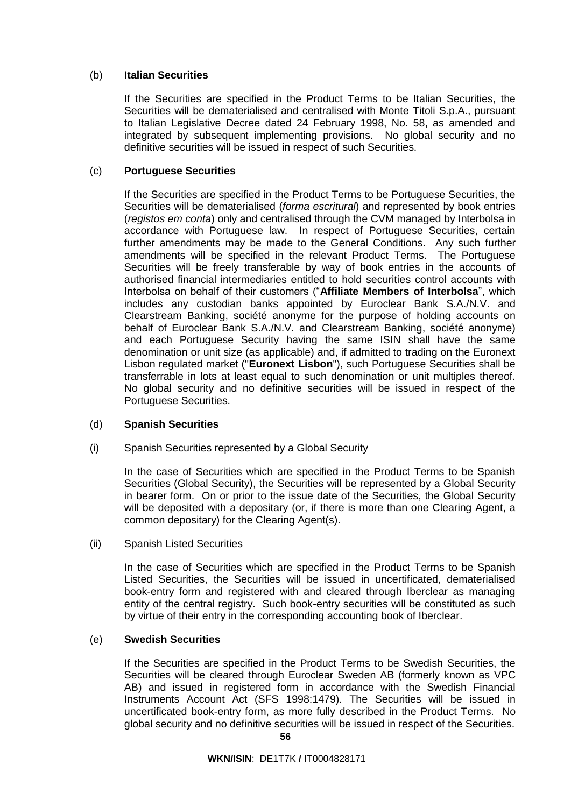## (b) **Italian Securities**

If the Securities are specified in the Product Terms to be Italian Securities, the Securities will be dematerialised and centralised with Monte Titoli S.p.A., pursuant to Italian Legislative Decree dated 24 February 1998, No. 58, as amended and integrated by subsequent implementing provisions. No global security and no definitive securities will be issued in respect of such Securities.

## (c) **Portuguese Securities**

If the Securities are specified in the Product Terms to be Portuguese Securities, the Securities will be dematerialised (*forma escritural*) and represented by book entries (*registos em conta*) only and centralised through the CVM managed by Interbolsa in accordance with Portuguese law. In respect of Portuguese Securities, certain further amendments may be made to the General Conditions. Any such further amendments will be specified in the relevant Product Terms. The Portuguese Securities will be freely transferable by way of book entries in the accounts of authorised financial intermediaries entitled to hold securities control accounts with Interbolsa on behalf of their customers ("**Affiliate Members of Interbolsa**", which includes any custodian banks appointed by Euroclear Bank S.A./N.V. and Clearstream Banking, société anonyme for the purpose of holding accounts on behalf of Euroclear Bank S.A./N.V. and Clearstream Banking, société anonyme) and each Portuguese Security having the same ISIN shall have the same denomination or unit size (as applicable) and, if admitted to trading on the Euronext Lisbon regulated market ("**Euronext Lisbon**"), such Portuguese Securities shall be transferrable in lots at least equal to such denomination or unit multiples thereof. No global security and no definitive securities will be issued in respect of the Portuguese Securities.

#### (d) **Spanish Securities**

(i) Spanish Securities represented by a Global Security

In the case of Securities which are specified in the Product Terms to be Spanish Securities (Global Security), the Securities will be represented by a Global Security in bearer form. On or prior to the issue date of the Securities, the Global Security will be deposited with a depositary (or, if there is more than one Clearing Agent, a common depositary) for the Clearing Agent(s).

(ii) Spanish Listed Securities

In the case of Securities which are specified in the Product Terms to be Spanish Listed Securities, the Securities will be issued in uncertificated, dematerialised book-entry form and registered with and cleared through Iberclear as managing entity of the central registry. Such book-entry securities will be constituted as such by virtue of their entry in the corresponding accounting book of Iberclear.

#### (e) **Swedish Securities**

If the Securities are specified in the Product Terms to be Swedish Securities, the Securities will be cleared through Euroclear Sweden AB (formerly known as VPC AB) and issued in registered form in accordance with the Swedish Financial Instruments Account Act (SFS 1998:1479). The Securities will be issued in uncertificated book-entry form, as more fully described in the Product Terms. No global security and no definitive securities will be issued in respect of the Securities.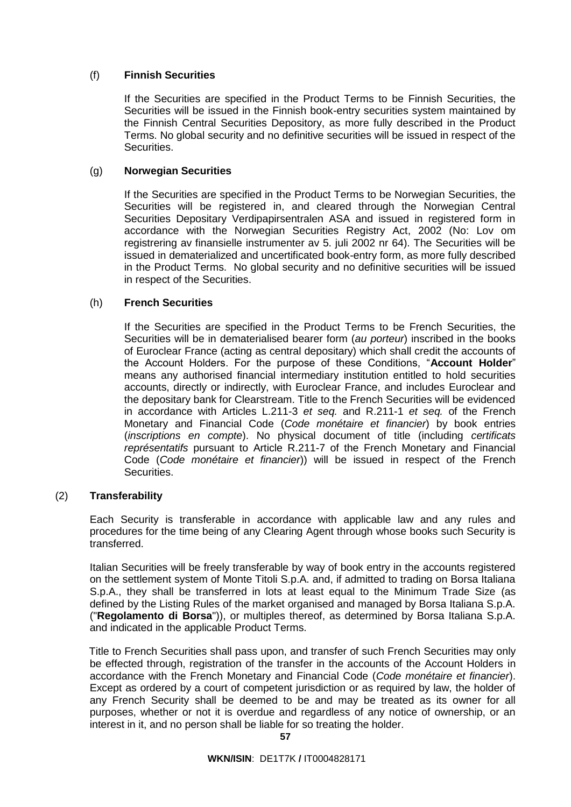## (f) **Finnish Securities**

If the Securities are specified in the Product Terms to be Finnish Securities, the Securities will be issued in the Finnish book-entry securities system maintained by the Finnish Central Securities Depository, as more fully described in the Product Terms. No global security and no definitive securities will be issued in respect of the Securities.

## (g) **Norwegian Securities**

If the Securities are specified in the Product Terms to be Norwegian Securities, the Securities will be registered in, and cleared through the Norwegian Central Securities Depositary Verdipapirsentralen ASA and issued in registered form in accordance with the Norwegian Securities Registry Act, 2002 (No: Lov om registrering av finansielle instrumenter av 5. juli 2002 nr 64). The Securities will be issued in dematerialized and uncertificated book-entry form, as more fully described in the Product Terms. No global security and no definitive securities will be issued in respect of the Securities.

## (h) **French Securities**

If the Securities are specified in the Product Terms to be French Securities, the Securities will be in dematerialised bearer form (*au porteur*) inscribed in the books of Euroclear France (acting as central depositary) which shall credit the accounts of the Account Holders. For the purpose of these Conditions, "**Account Holder**" means any authorised financial intermediary institution entitled to hold securities accounts, directly or indirectly, with Euroclear France, and includes Euroclear and the depositary bank for Clearstream. Title to the French Securities will be evidenced in accordance with Articles L.211-3 *et seq.* and R.211-1 *et seq.* of the French Monetary and Financial Code (*Code monétaire et financier*) by book entries (*inscriptions en compte*). No physical document of title (including *certificats représentatifs* pursuant to Article R.211-7 of the French Monetary and Financial Code (*Code monétaire et financier*)) will be issued in respect of the French Securities.

#### (2) **Transferability**

Each Security is transferable in accordance with applicable law and any rules and procedures for the time being of any Clearing Agent through whose books such Security is transferred.

Italian Securities will be freely transferable by way of book entry in the accounts registered on the settlement system of Monte Titoli S.p.A. and, if admitted to trading on Borsa Italiana S.p.A., they shall be transferred in lots at least equal to the Minimum Trade Size (as defined by the Listing Rules of the market organised and managed by Borsa Italiana S.p.A. ("**Regolamento di Borsa**")), or multiples thereof, as determined by Borsa Italiana S.p.A. and indicated in the applicable Product Terms.

Title to French Securities shall pass upon, and transfer of such French Securities may only be effected through, registration of the transfer in the accounts of the Account Holders in accordance with the French Monetary and Financial Code (*Code monétaire et financier*). Except as ordered by a court of competent jurisdiction or as required by law, the holder of any French Security shall be deemed to be and may be treated as its owner for all purposes, whether or not it is overdue and regardless of any notice of ownership, or an interest in it, and no person shall be liable for so treating the holder.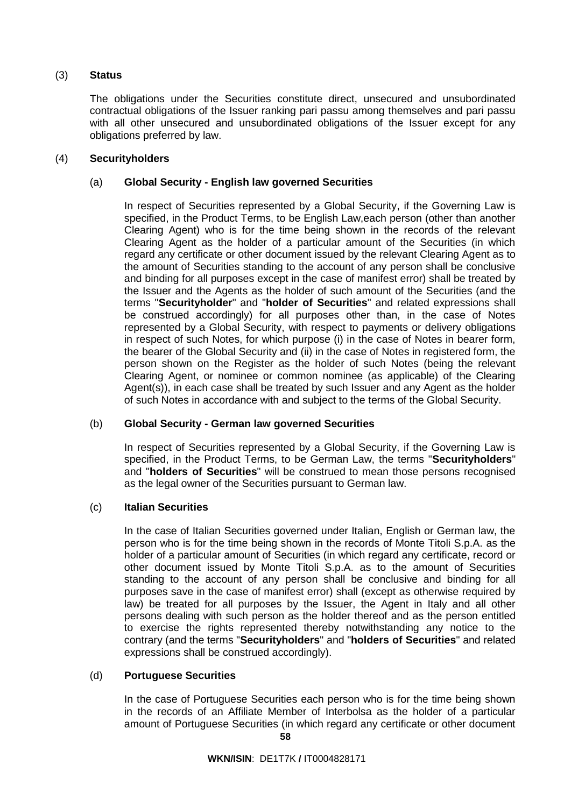## (3) **Status**

The obligations under the Securities constitute direct, unsecured and unsubordinated contractual obligations of the Issuer ranking pari passu among themselves and pari passu with all other unsecured and unsubordinated obligations of the Issuer except for any obligations preferred by law.

## (4) **Securityholders**

## (a) **Global Security - English law governed Securities**

In respect of Securities represented by a Global Security, if the Governing Law is specified, in the Product Terms, to be English Law,each person (other than another Clearing Agent) who is for the time being shown in the records of the relevant Clearing Agent as the holder of a particular amount of the Securities (in which regard any certificate or other document issued by the relevant Clearing Agent as to the amount of Securities standing to the account of any person shall be conclusive and binding for all purposes except in the case of manifest error) shall be treated by the Issuer and the Agents as the holder of such amount of the Securities (and the terms "**Securityholder**" and "**holder of Securities**" and related expressions shall be construed accordingly) for all purposes other than, in the case of Notes represented by a Global Security, with respect to payments or delivery obligations in respect of such Notes, for which purpose (i) in the case of Notes in bearer form, the bearer of the Global Security and (ii) in the case of Notes in registered form, the person shown on the Register as the holder of such Notes (being the relevant Clearing Agent, or nominee or common nominee (as applicable) of the Clearing Agent(s)), in each case shall be treated by such Issuer and any Agent as the holder of such Notes in accordance with and subject to the terms of the Global Security.

# (b) **Global Security - German law governed Securities**

In respect of Securities represented by a Global Security, if the Governing Law is specified, in the Product Terms, to be German Law, the terms "**Securityholders**" and "**holders of Securities**" will be construed to mean those persons recognised as the legal owner of the Securities pursuant to German law.

#### (c) **Italian Securities**

In the case of Italian Securities governed under Italian, English or German law, the person who is for the time being shown in the records of Monte Titoli S.p.A. as the holder of a particular amount of Securities (in which regard any certificate, record or other document issued by Monte Titoli S.p.A. as to the amount of Securities standing to the account of any person shall be conclusive and binding for all purposes save in the case of manifest error) shall (except as otherwise required by law) be treated for all purposes by the Issuer, the Agent in Italy and all other persons dealing with such person as the holder thereof and as the person entitled to exercise the rights represented thereby notwithstanding any notice to the contrary (and the terms "**Securityholders**" and "**holders of Securities**" and related expressions shall be construed accordingly).

### (d) **Portuguese Securities**

In the case of Portuguese Securities each person who is for the time being shown in the records of an Affiliate Member of Interbolsa as the holder of a particular amount of Portuguese Securities (in which regard any certificate or other document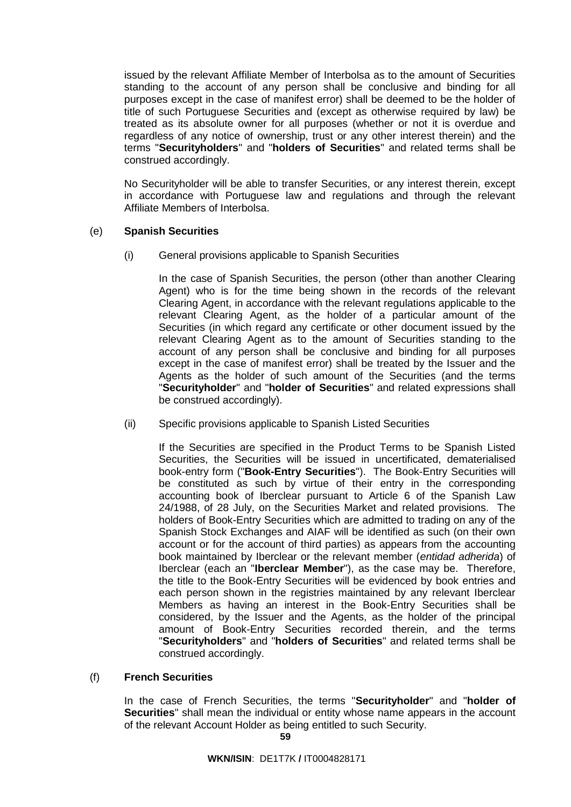issued by the relevant Affiliate Member of Interbolsa as to the amount of Securities standing to the account of any person shall be conclusive and binding for all purposes except in the case of manifest error) shall be deemed to be the holder of title of such Portuguese Securities and (except as otherwise required by law) be treated as its absolute owner for all purposes (whether or not it is overdue and regardless of any notice of ownership, trust or any other interest therein) and the terms "**Securityholders**" and "**holders of Securities**" and related terms shall be construed accordingly.

No Securityholder will be able to transfer Securities, or any interest therein, except in accordance with Portuguese law and regulations and through the relevant Affiliate Members of Interbolsa.

## (e) **Spanish Securities**

(i) General provisions applicable to Spanish Securities

In the case of Spanish Securities, the person (other than another Clearing Agent) who is for the time being shown in the records of the relevant Clearing Agent, in accordance with the relevant regulations applicable to the relevant Clearing Agent, as the holder of a particular amount of the Securities (in which regard any certificate or other document issued by the relevant Clearing Agent as to the amount of Securities standing to the account of any person shall be conclusive and binding for all purposes except in the case of manifest error) shall be treated by the Issuer and the Agents as the holder of such amount of the Securities (and the terms "**Securityholder**" and "**holder of Securities**" and related expressions shall be construed accordingly).

(ii) Specific provisions applicable to Spanish Listed Securities

If the Securities are specified in the Product Terms to be Spanish Listed Securities, the Securities will be issued in uncertificated, dematerialised book-entry form ("**Book-Entry Securities**"). The Book-Entry Securities will be constituted as such by virtue of their entry in the corresponding accounting book of Iberclear pursuant to Article 6 of the Spanish Law 24/1988, of 28 July, on the Securities Market and related provisions. The holders of Book-Entry Securities which are admitted to trading on any of the Spanish Stock Exchanges and AIAF will be identified as such (on their own account or for the account of third parties) as appears from the accounting book maintained by Iberclear or the relevant member (*entidad adherida*) of Iberclear (each an "**Iberclear Member**"), as the case may be. Therefore, the title to the Book-Entry Securities will be evidenced by book entries and each person shown in the registries maintained by any relevant Iberclear Members as having an interest in the Book-Entry Securities shall be considered, by the Issuer and the Agents, as the holder of the principal amount of Book-Entry Securities recorded therein, and the terms "**Securityholders**" and "**holders of Securities**" and related terms shall be construed accordingly.

# (f) **French Securities**

In the case of French Securities, the terms "**Securityholder**" and "**holder of Securities**" shall mean the individual or entity whose name appears in the account of the relevant Account Holder as being entitled to such Security.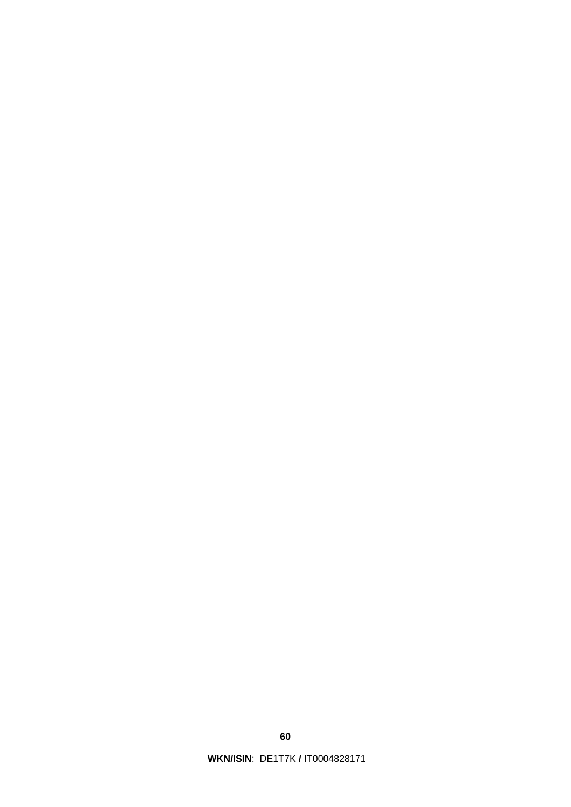**WKN/ISIN**: DE1T7K **/** IT0004828171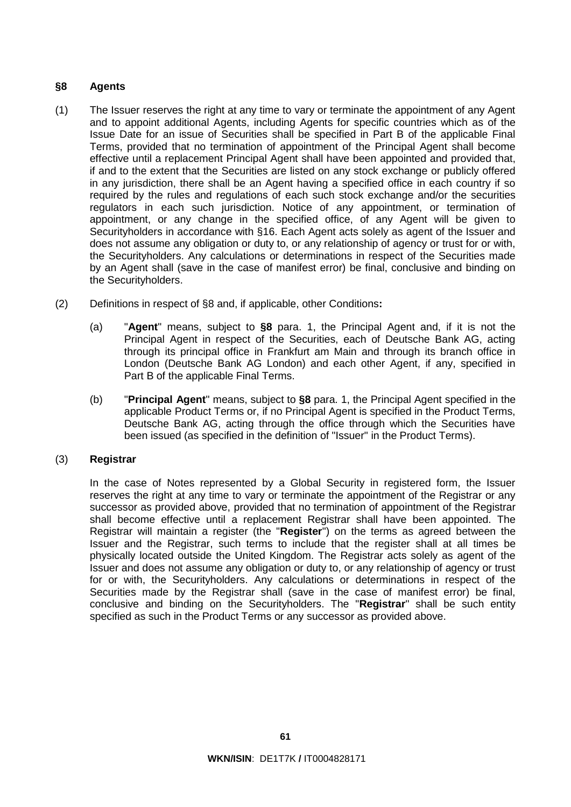# <span id="page-60-0"></span>**§8 Agents**

- (1) The Issuer reserves the right at any time to vary or terminate the appointment of any Agent and to appoint additional Agents, including Agents for specific countries which as of the Issue Date for an issue of Securities shall be specified in Part B of the applicable Final Terms, provided that no termination of appointment of the Principal Agent shall become effective until a replacement Principal Agent shall have been appointed and provided that, if and to the extent that the Securities are listed on any stock exchange or publicly offered in any jurisdiction, there shall be an Agent having a specified office in each country if so required by the rules and regulations of each such stock exchange and/or the securities regulators in each such jurisdiction. Notice of any appointment, or termination of appointment, or any change in the specified office, of any Agent will be given to Securityholders in accordance with [§16.](#page-70-0) Each Agent acts solely as agent of the Issuer and does not assume any obligation or duty to, or any relationship of agency or trust for or with, the Securityholders. Any calculations or determinations in respect of the Securities made by an Agent shall (save in the case of manifest error) be final, conclusive and binding on the Securityholders.
- (2) Definitions in respect of [§8](#page-60-0) and, if applicable, other Conditions**:**
	- (a) "**Agent**" means, subject to **[§8](#page-60-0)** para. 1, the Principal Agent and, if it is not the Principal Agent in respect of the Securities, each of Deutsche Bank AG, acting through its principal office in Frankfurt am Main and through its branch office in London (Deutsche Bank AG London) and each other Agent, if any, specified in Part B of the applicable Final Terms.
	- (b) "**Principal Agent**" means, subject to **[§8](#page-60-0)** para. 1, the Principal Agent specified in the applicable Product Terms or, if no Principal Agent is specified in the Product Terms, Deutsche Bank AG, acting through the office through which the Securities have been issued (as specified in the definition of "Issuer" in the Product Terms).

# (3) **Registrar**

In the case of Notes represented by a Global Security in registered form, the Issuer reserves the right at any time to vary or terminate the appointment of the Registrar or any successor as provided above, provided that no termination of appointment of the Registrar shall become effective until a replacement Registrar shall have been appointed. The Registrar will maintain a register (the "**Register**") on the terms as agreed between the Issuer and the Registrar, such terms to include that the register shall at all times be physically located outside the United Kingdom. The Registrar acts solely as agent of the Issuer and does not assume any obligation or duty to, or any relationship of agency or trust for or with, the Securityholders. Any calculations or determinations in respect of the Securities made by the Registrar shall (save in the case of manifest error) be final, conclusive and binding on the Securityholders. The "**Registrar**" shall be such entity specified as such in the Product Terms or any successor as provided above.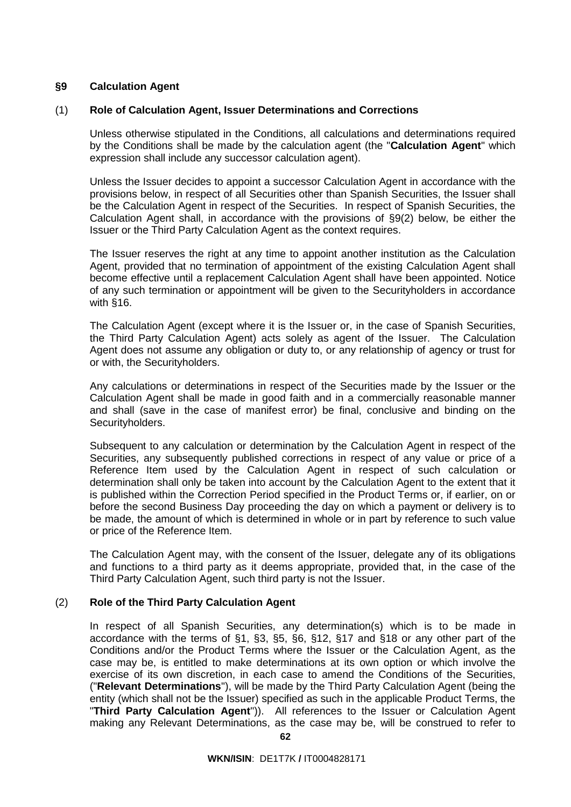## <span id="page-61-1"></span>**§9 Calculation Agent**

### (1) **Role of Calculation Agent, Issuer Determinations and Corrections**

Unless otherwise stipulated in the Conditions, all calculations and determinations required by the Conditions shall be made by the calculation agent (the "**Calculation Agent**" which expression shall include any successor calculation agent).

Unless the Issuer decides to appoint a successor Calculation Agent in accordance with the provisions below, in respect of all Securities other than Spanish Securities, the Issuer shall be the Calculation Agent in respect of the Securities. In respect of Spanish Securities, the Calculation Agent shall, in accordance with the provisions of [§9\(2\)](#page-61-0) below, be either the Issuer or the Third Party Calculation Agent as the context requires.

The Issuer reserves the right at any time to appoint another institution as the Calculation Agent, provided that no termination of appointment of the existing Calculation Agent shall become effective until a replacement Calculation Agent shall have been appointed. Notice of any such termination or appointment will be given to the Securityholders in accordance with [§16.](#page-70-0)

The Calculation Agent (except where it is the Issuer or, in the case of Spanish Securities, the Third Party Calculation Agent) acts solely as agent of the Issuer. The Calculation Agent does not assume any obligation or duty to, or any relationship of agency or trust for or with, the Securityholders.

Any calculations or determinations in respect of the Securities made by the Issuer or the Calculation Agent shall be made in good faith and in a commercially reasonable manner and shall (save in the case of manifest error) be final, conclusive and binding on the Securityholders.

Subsequent to any calculation or determination by the Calculation Agent in respect of the Securities, any subsequently published corrections in respect of any value or price of a Reference Item used by the Calculation Agent in respect of such calculation or determination shall only be taken into account by the Calculation Agent to the extent that it is published within the Correction Period specified in the Product Terms or, if earlier, on or before the second Business Day proceeding the day on which a payment or delivery is to be made, the amount of which is determined in whole or in part by reference to such value or price of the Reference Item.

The Calculation Agent may, with the consent of the Issuer, delegate any of its obligations and functions to a third party as it deems appropriate, provided that, in the case of the Third Party Calculation Agent, such third party is not the Issuer.

#### <span id="page-61-0"></span>(2) **Role of the Third Party Calculation Agent**

In respect of all Spanish Securities, any determination(s) which is to be made in accordance with the terms of [§1,](#page-11-0) [§3,](#page-23-0) [§5,](#page-31-0) [§6,](#page-39-1) [§12,](#page-66-0) [§17](#page-72-0) and [§18](#page-74-0) or any other part of the Conditions and/or the Product Terms where the Issuer or the Calculation Agent, as the case may be, is entitled to make determinations at its own option or which involve the exercise of its own discretion, in each case to amend the Conditions of the Securities, ("**Relevant Determinations**"), will be made by the Third Party Calculation Agent (being the entity (which shall not be the Issuer) specified as such in the applicable Product Terms, the "**Third Party Calculation Agent**")). All references to the Issuer or Calculation Agent making any Relevant Determinations, as the case may be, will be construed to refer to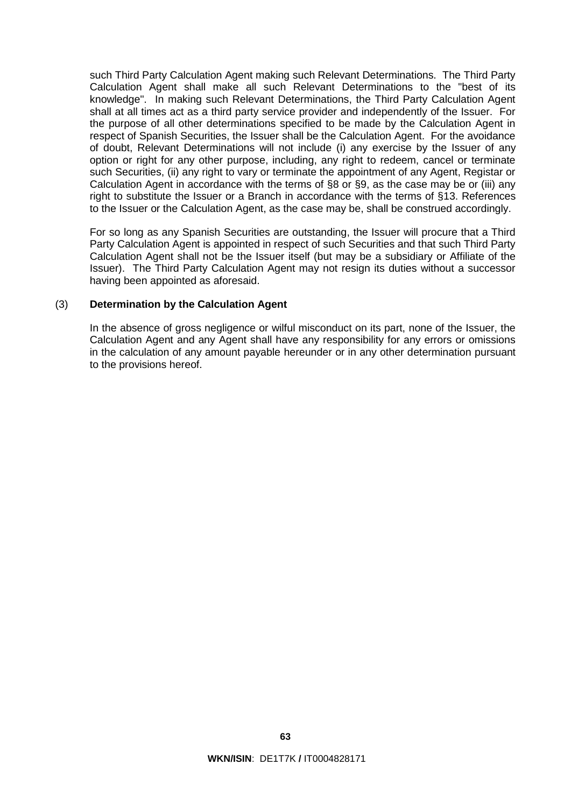such Third Party Calculation Agent making such Relevant Determinations. The Third Party Calculation Agent shall make all such Relevant Determinations to the "best of its knowledge". In making such Relevant Determinations, the Third Party Calculation Agent shall at all times act as a third party service provider and independently of the Issuer. For the purpose of all other determinations specified to be made by the Calculation Agent in respect of Spanish Securities, the Issuer shall be the Calculation Agent. For the avoidance of doubt, Relevant Determinations will not include (i) any exercise by the Issuer of any option or right for any other purpose, including, any right to redeem, cancel or terminate such Securities, (ii) any right to vary or terminate the appointment of any Agent, Registar or Calculation Agent in accordance with the terms of [§8](#page-60-0) or [§9,](#page-61-1) as the case may be or (iii) any right to substitute the Issuer or a Branch in accordance with the terms of [§13.](#page-67-0) References to the Issuer or the Calculation Agent, as the case may be, shall be construed accordingly.

For so long as any Spanish Securities are outstanding, the Issuer will procure that a Third Party Calculation Agent is appointed in respect of such Securities and that such Third Party Calculation Agent shall not be the Issuer itself (but may be a subsidiary or Affiliate of the Issuer). The Third Party Calculation Agent may not resign its duties without a successor having been appointed as aforesaid.

#### (3) **Determination by the Calculation Agent**

In the absence of gross negligence or wilful misconduct on its part, none of the Issuer, the Calculation Agent and any Agent shall have any responsibility for any errors or omissions in the calculation of any amount payable hereunder or in any other determination pursuant to the provisions hereof.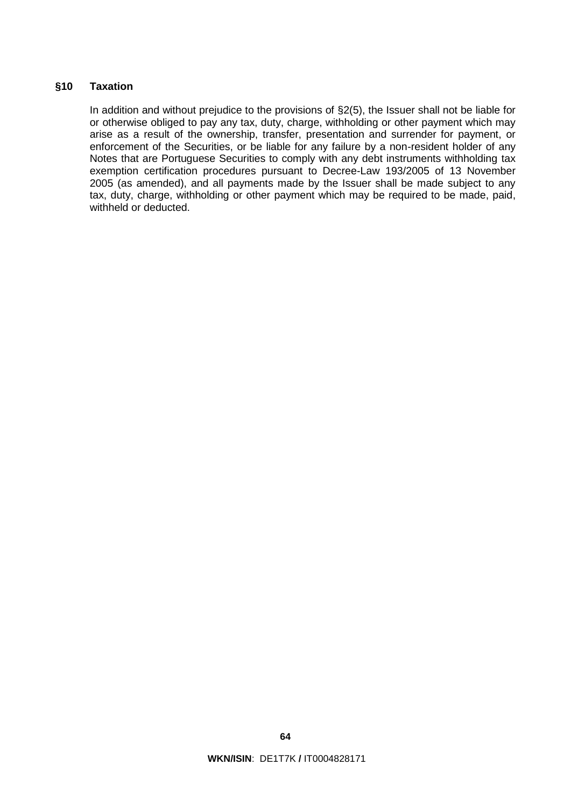## **§10 Taxation**

In addition and without prejudice to the provisions of [§2\(5\),](#page-21-0) the Issuer shall not be liable for or otherwise obliged to pay any tax, duty, charge, withholding or other payment which may arise as a result of the ownership, transfer, presentation and surrender for payment, or enforcement of the Securities, or be liable for any failure by a non-resident holder of any Notes that are Portuguese Securities to comply with any debt instruments withholding tax exemption certification procedures pursuant to Decree-Law 193/2005 of 13 November 2005 (as amended), and all payments made by the Issuer shall be made subject to any tax, duty, charge, withholding or other payment which may be required to be made, paid, withheld or deducted.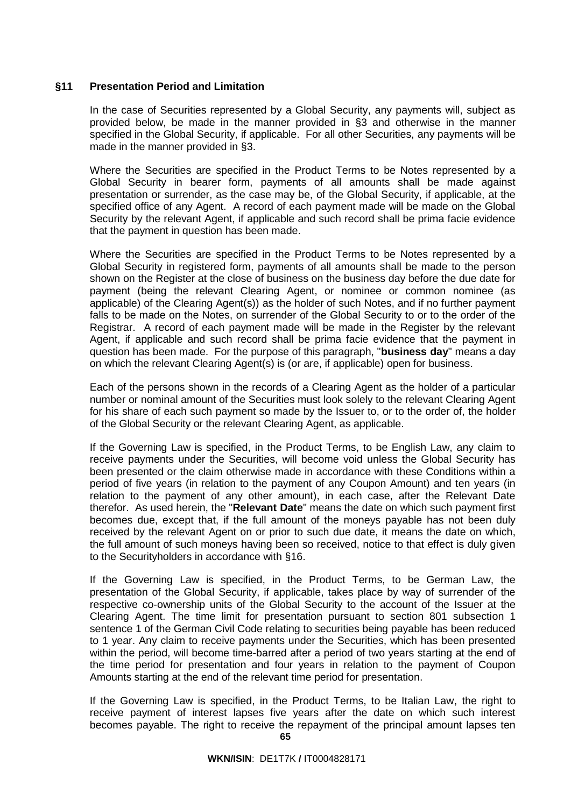## **§11 Presentation Period and Limitation**

In the case of Securities represented by a Global Security, any payments will, subject as provided below, be made in the manner provided in [§3](#page-23-0) and otherwise in the manner specified in the Global Security, if applicable. For all other Securities, any payments will be made in the manner provided in [§3.](#page-23-0)

Where the Securities are specified in the Product Terms to be Notes represented by a Global Security in bearer form, payments of all amounts shall be made against presentation or surrender, as the case may be, of the Global Security, if applicable, at the specified office of any Agent. A record of each payment made will be made on the Global Security by the relevant Agent, if applicable and such record shall be prima facie evidence that the payment in question has been made.

Where the Securities are specified in the Product Terms to be Notes represented by a Global Security in registered form, payments of all amounts shall be made to the person shown on the Register at the close of business on the business day before the due date for payment (being the relevant Clearing Agent, or nominee or common nominee (as applicable) of the Clearing Agent(s)) as the holder of such Notes, and if no further payment falls to be made on the Notes, on surrender of the Global Security to or to the order of the Registrar. A record of each payment made will be made in the Register by the relevant Agent, if applicable and such record shall be prima facie evidence that the payment in question has been made. For the purpose of this paragraph, "**business day**" means a day on which the relevant Clearing Agent(s) is (or are, if applicable) open for business.

Each of the persons shown in the records of a Clearing Agent as the holder of a particular number or nominal amount of the Securities must look solely to the relevant Clearing Agent for his share of each such payment so made by the Issuer to, or to the order of, the holder of the Global Security or the relevant Clearing Agent, as applicable.

If the Governing Law is specified, in the Product Terms, to be English Law, any claim to receive payments under the Securities, will become void unless the Global Security has been presented or the claim otherwise made in accordance with these Conditions within a period of five years (in relation to the payment of any Coupon Amount) and ten years (in relation to the payment of any other amount), in each case, after the Relevant Date therefor. As used herein, the "**Relevant Date**" means the date on which such payment first becomes due, except that, if the full amount of the moneys payable has not been duly received by the relevant Agent on or prior to such due date, it means the date on which, the full amount of such moneys having been so received, notice to that effect is duly given to the Securityholders in accordance with [§16.](#page-70-0)

If the Governing Law is specified, in the Product Terms, to be German Law, the presentation of the Global Security, if applicable, takes place by way of surrender of the respective co-ownership units of the Global Security to the account of the Issuer at the Clearing Agent. The time limit for presentation pursuant to section 801 subsection 1 sentence 1 of the German Civil Code relating to securities being payable has been reduced to 1 year. Any claim to receive payments under the Securities, which has been presented within the period, will become time-barred after a period of two years starting at the end of the time period for presentation and four years in relation to the payment of Coupon Amounts starting at the end of the relevant time period for presentation.

If the Governing Law is specified, in the Product Terms, to be Italian Law, the right to receive payment of interest lapses five years after the date on which such interest becomes payable. The right to receive the repayment of the principal amount lapses ten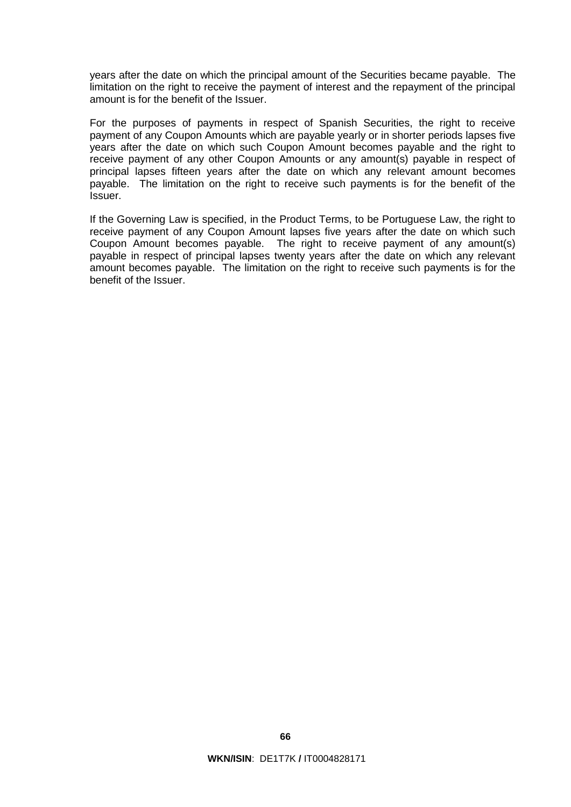years after the date on which the principal amount of the Securities became payable. The limitation on the right to receive the payment of interest and the repayment of the principal amount is for the benefit of the Issuer.

For the purposes of payments in respect of Spanish Securities, the right to receive payment of any Coupon Amounts which are payable yearly or in shorter periods lapses five years after the date on which such Coupon Amount becomes payable and the right to receive payment of any other Coupon Amounts or any amount(s) payable in respect of principal lapses fifteen years after the date on which any relevant amount becomes payable. The limitation on the right to receive such payments is for the benefit of the Issuer.

If the Governing Law is specified, in the Product Terms, to be Portuguese Law, the right to receive payment of any Coupon Amount lapses five years after the date on which such Coupon Amount becomes payable. The right to receive payment of any amount(s) payable in respect of principal lapses twenty years after the date on which any relevant amount becomes payable. The limitation on the right to receive such payments is for the benefit of the Issuer.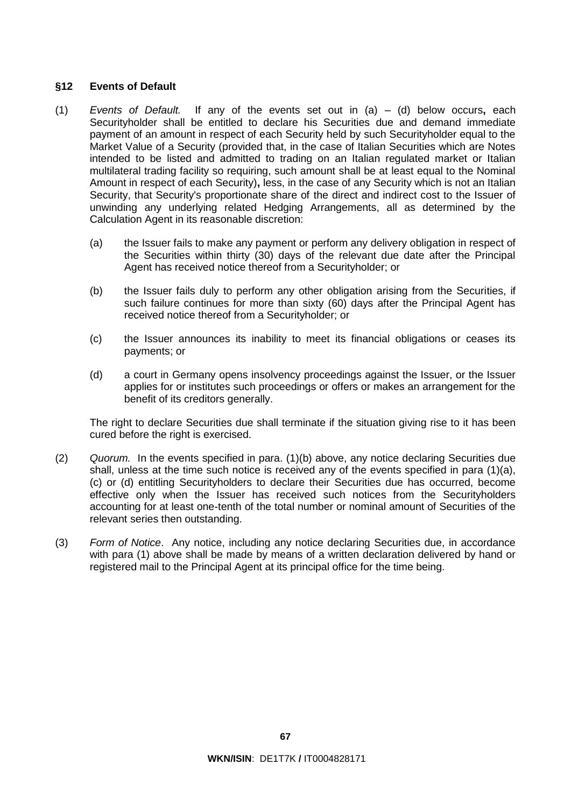# <span id="page-66-0"></span>**§12 Events of Default**

- <span id="page-66-5"></span><span id="page-66-2"></span>(1) *Events of Default.* If any of the events set out in (a) – (d) below occurs**,** each Securityholder shall be entitled to declare his Securities due and demand immediate payment of an amount in respect of each Security held by such Securityholder equal to the Market Value of a Security (provided that, in the case of Italian Securities which are Notes intended to be listed and admitted to trading on an Italian regulated market or Italian multilateral trading facility so requiring, such amount shall be at least equal to the Nominal Amount in respect of each Security)**,** less, in the case of any Security which is not an Italian Security, that Security's proportionate share of the direct and indirect cost to the Issuer of unwinding any underlying related Hedging Arrangements, all as determined by the Calculation Agent in its reasonable discretion:
	- (a) the Issuer fails to make any payment or perform any delivery obligation in respect of the Securities within thirty (30) days of the relevant due date after the Principal Agent has received notice thereof from a Securityholder; or
	- (b) the Issuer fails duly to perform any other obligation arising from the Securities, if such failure continues for more than sixty (60) days after the Principal Agent has received notice thereof from a Securityholder; or
	- (c) the Issuer announces its inability to meet its financial obligations or ceases its payments; or
	- (d) a court in Germany opens insolvency proceedings against the Issuer, or the Issuer applies for or institutes such proceedings or offers or makes an arrangement for the benefit of its creditors generally.

<span id="page-66-4"></span><span id="page-66-3"></span><span id="page-66-1"></span>The right to declare Securities due shall terminate if the situation giving rise to it has been cured before the right is exercised.

- (2) *Quorum.* In the events specified in para. [\(1\)\(b\) above,](#page-66-1) any notice declaring Securities due shall, unless at the time such notice is received any of the events specified in para [\(1\)\(a\),](#page-66-2) [\(c\)](#page-66-3) or [\(d\)](#page-66-4) entitling Securityholders to declare their Securities due has occurred, become effective only when the Issuer has received such notices from the Securityholders accounting for at least one-tenth of the total number or nominal amount of Securities of the relevant series then outstanding.
- (3) *Form of Notice*. Any notice, including any notice declaring Securities due, in accordance with para [\(1\) above](#page-66-5) shall be made by means of a written declaration delivered by hand or registered mail to the Principal Agent at its principal office for the time being.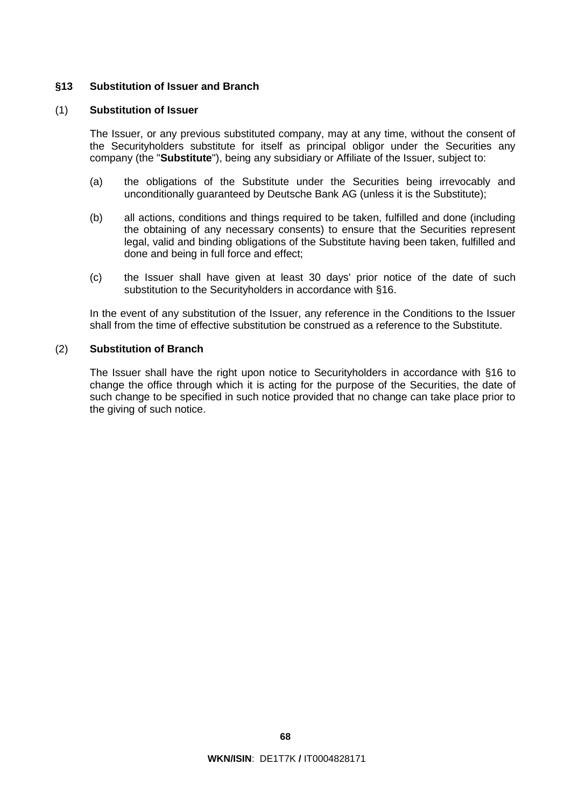## <span id="page-67-0"></span>**§13 Substitution of Issuer and Branch**

#### (1) **Substitution of Issuer**

The Issuer, or any previous substituted company, may at any time, without the consent of the Securityholders substitute for itself as principal obligor under the Securities any company (the "**Substitute**"), being any subsidiary or Affiliate of the Issuer, subject to:

- (a) the obligations of the Substitute under the Securities being irrevocably and unconditionally guaranteed by Deutsche Bank AG (unless it is the Substitute);
- (b) all actions, conditions and things required to be taken, fulfilled and done (including the obtaining of any necessary consents) to ensure that the Securities represent legal, valid and binding obligations of the Substitute having been taken, fulfilled and done and being in full force and effect;
- (c) the Issuer shall have given at least 30 days' prior notice of the date of such substitution to the Securityholders in accordance with [§16.](#page-70-0)

In the event of any substitution of the Issuer, any reference in the Conditions to the Issuer shall from the time of effective substitution be construed as a reference to the Substitute.

#### (2) **Substitution of Branch**

The Issuer shall have the right upon notice to Securityholders in accordance with [§16](#page-70-0) to change the office through which it is acting for the purpose of the Securities, the date of such change to be specified in such notice provided that no change can take place prior to the giving of such notice.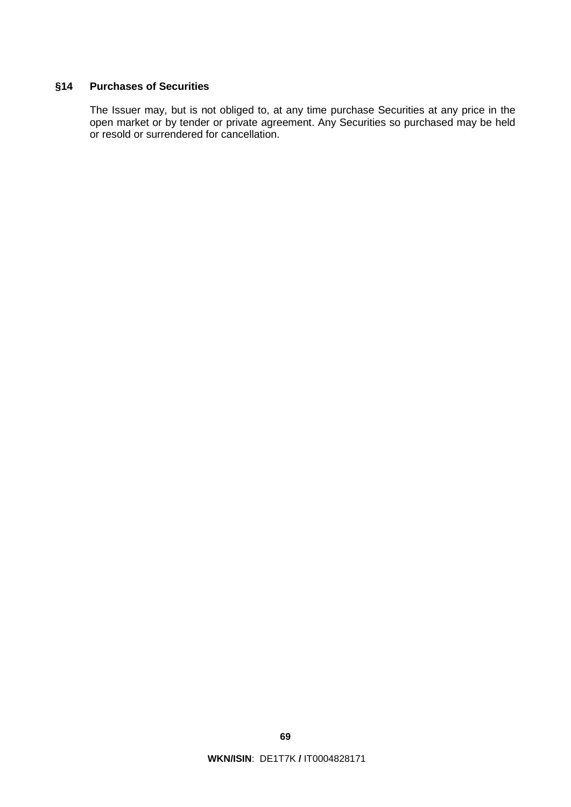### **§14 Purchases of Securities**

The Issuer may, but is not obliged to, at any time purchase Securities at any price in the open market or by tender or private agreement. Any Securities so purchased may be held or resold or surrendered for cancellation.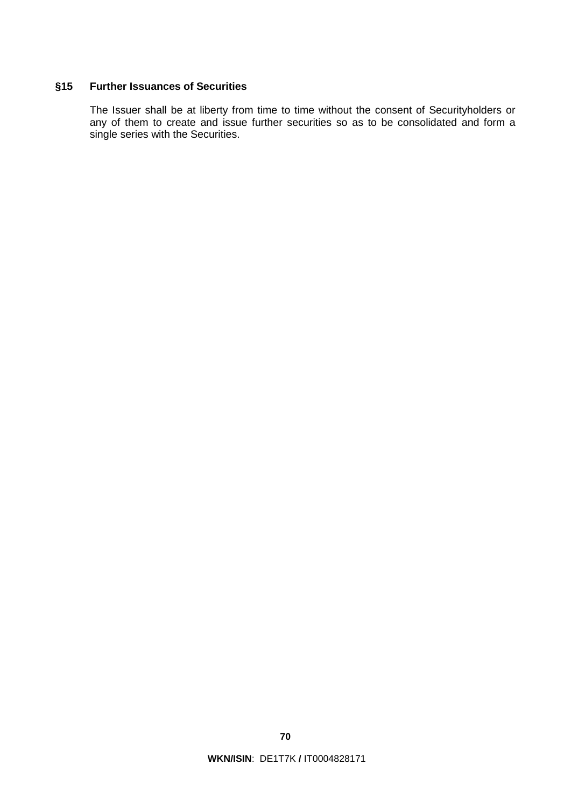### **§15 Further Issuances of Securities**

The Issuer shall be at liberty from time to time without the consent of Securityholders or any of them to create and issue further securities so as to be consolidated and form a single series with the Securities.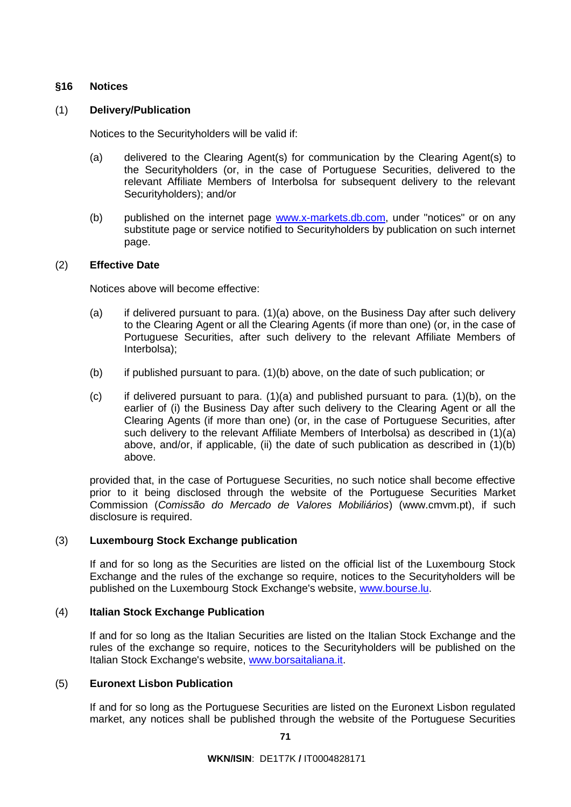## <span id="page-70-0"></span>**§16 Notices**

### <span id="page-70-1"></span>(1) **Delivery/Publication**

Notices to the Securityholders will be valid if:

- (a) delivered to the Clearing Agent(s) for communication by the Clearing Agent(s) to the Securityholders (or, in the case of Portuguese Securities, delivered to the relevant Affiliate Members of Interbolsa for subsequent delivery to the relevant Securityholders); and/or
- <span id="page-70-2"></span>(b) published on the internet page [www.x-markets.db.com,](http://www.x-markets.db.com/) under "notices" or on any substitute page or service notified to Securityholders by publication on such internet page.

#### (2) **Effective Date**

Notices above will become effective:

- (a) if delivered pursuant to para. [\(1\)\(a\) above,](#page-70-1) on the Business Day after such delivery to the Clearing Agent or all the Clearing Agents (if more than one) (or, in the case of Portuguese Securities, after such delivery to the relevant Affiliate Members of Interbolsa);
- (b) if published pursuant to para.  $(1)(b)$  above, on the date of such publication; or
- $(c)$  if delivered pursuant to para. [\(1\)\(a\)](#page-70-1) and published pursuant to para. [\(1\)\(b\),](#page-70-2) on the earlier of (i) the Business Day after such delivery to the Clearing Agent or all the Clearing Agents (if more than one) (or, in the case of Portuguese Securities, after such delivery to the relevant Affiliate Members of Interbolsa) as described in (1)(a) above, and/or, if applicable, (ii) the date of such publication as described in (1)(b) above.

provided that, in the case of Portuguese Securities, no such notice shall become effective prior to it being disclosed through the website of the Portuguese Securities Market Commission (*Comissão do Mercado de Valores Mobiliários*) (www.cmvm.pt), if such disclosure is required.

# (3) **Luxembourg Stock Exchange publication**

If and for so long as the Securities are listed on the official list of the Luxembourg Stock Exchange and the rules of the exchange so require, notices to the Securityholders will be published on the Luxembourg Stock Exchange's website, [www.bourse.lu.](http://www.bourse.lu/)

#### (4) **Italian Stock Exchange Publication**

If and for so long as the Italian Securities are listed on the Italian Stock Exchange and the rules of the exchange so require, notices to the Securityholders will be published on the Italian Stock Exchange's website, [www.borsaitaliana.it.](http://www.borsaitaliana.it/)

# (5) **Euronext Lisbon Publication**

If and for so long as the Portuguese Securities are listed on the Euronext Lisbon regulated market, any notices shall be published through the website of the Portuguese Securities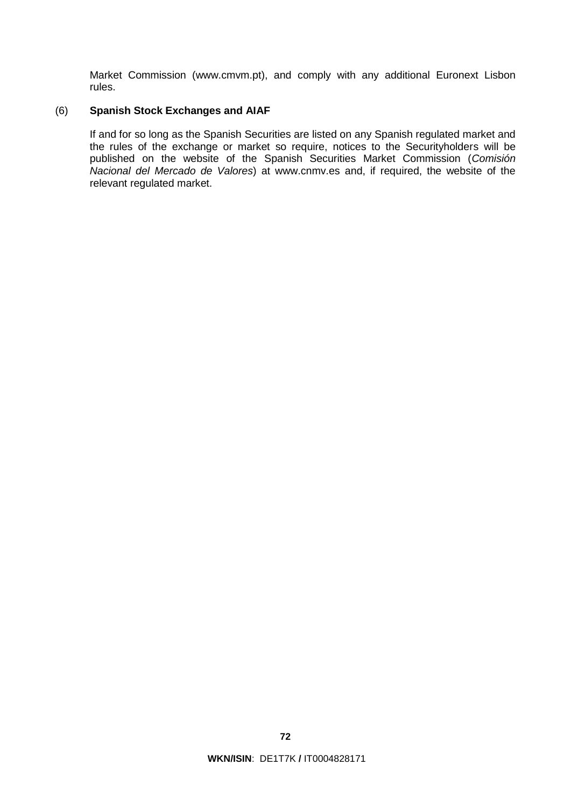Market Commission (www.cmvm.pt), and comply with any additional Euronext Lisbon rules.

# (6) **Spanish Stock Exchanges and AIAF**

If and for so long as the Spanish Securities are listed on any Spanish regulated market and the rules of the exchange or market so require, notices to the Securityholders will be published on the website of the Spanish Securities Market Commission (*Comisión Nacional del Mercado de Valores*) at www.cnmv.es and, if required, the website of the relevant regulated market.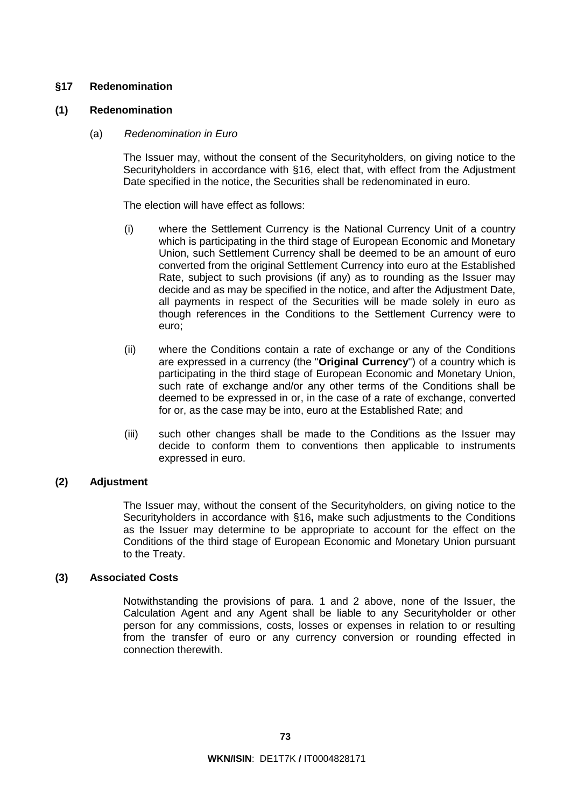## <span id="page-72-0"></span>**§17 Redenomination**

### **(1) Redenomination**

#### (a) *Redenomination in Euro*

The Issuer may, without the consent of the Securityholders, on giving notice to the Securityholders in accordance with [§16,](#page-70-0) elect that, with effect from the Adjustment Date specified in the notice, the Securities shall be redenominated in euro.

The election will have effect as follows:

- (i) where the Settlement Currency is the National Currency Unit of a country which is participating in the third stage of European Economic and Monetary Union, such Settlement Currency shall be deemed to be an amount of euro converted from the original Settlement Currency into euro at the Established Rate, subject to such provisions (if any) as to rounding as the Issuer may decide and as may be specified in the notice, and after the Adjustment Date, all payments in respect of the Securities will be made solely in euro as though references in the Conditions to the Settlement Currency were to euro;
- <span id="page-72-1"></span>(ii) where the Conditions contain a rate of exchange or any of the Conditions are expressed in a currency (the "**Original Currency**") of a country which is participating in the third stage of European Economic and Monetary Union, such rate of exchange and/or any other terms of the Conditions shall be deemed to be expressed in or, in the case of a rate of exchange, converted for or, as the case may be into, euro at the Established Rate; and
- (iii) such other changes shall be made to the Conditions as the Issuer may decide to conform them to conventions then applicable to instruments expressed in euro.

## **(2) Adjustment**

The Issuer may, without the consent of the Securityholders, on giving notice to the Securityholders in accordance with [§16](#page-70-0)**,** make such adjustments to the Conditions as the Issuer may determine to be appropriate to account for the effect on the Conditions of the third stage of European Economic and Monetary Union pursuant to the Treaty.

#### **(3) Associated Costs**

Notwithstanding the provisions of para. 1 and 2 above, none of the Issuer, the Calculation Agent and any Agent shall be liable to any Securityholder or other person for any commissions, costs, losses or expenses in relation to or resulting from the transfer of euro or any currency conversion or rounding effected in connection therewith.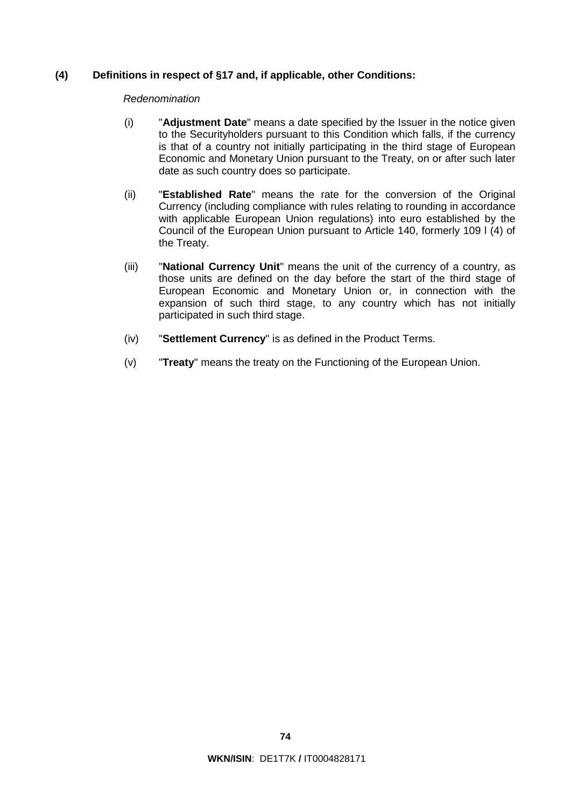# **(4) Definitions in respect of [§17](#page-72-0) and, if applicable, other Conditions:**

#### *Redenomination*

- <span id="page-73-0"></span>(i) "**Adjustment Date**" means a date specified by the Issuer in the notice given to the Securityholders pursuant to this Condition which falls, if the currency is that of a country not initially participating in the third stage of European Economic and Monetary Union pursuant to the Treaty, on or after such later date as such country does so participate.
- <span id="page-73-1"></span>(ii) "**Established Rate**" means the rate for the conversion of the Original Currency (including compliance with rules relating to rounding in accordance with applicable European Union regulations) into euro established by the Council of the European Union pursuant to Article 140, formerly 109 l (4) of the Treaty.
- <span id="page-73-2"></span>(iii) "**National Currency Unit**" means the unit of the currency of a country, as those units are defined on the day before the start of the third stage of European Economic and Monetary Union or, in connection with the expansion of such third stage, to any country which has not initially participated in such third stage.
- <span id="page-73-3"></span>(iv) "**Settlement Currency**" is as defined in the Product Terms.
- <span id="page-73-4"></span>(v) "**Treaty**" means the treaty on the Functioning of the European Union.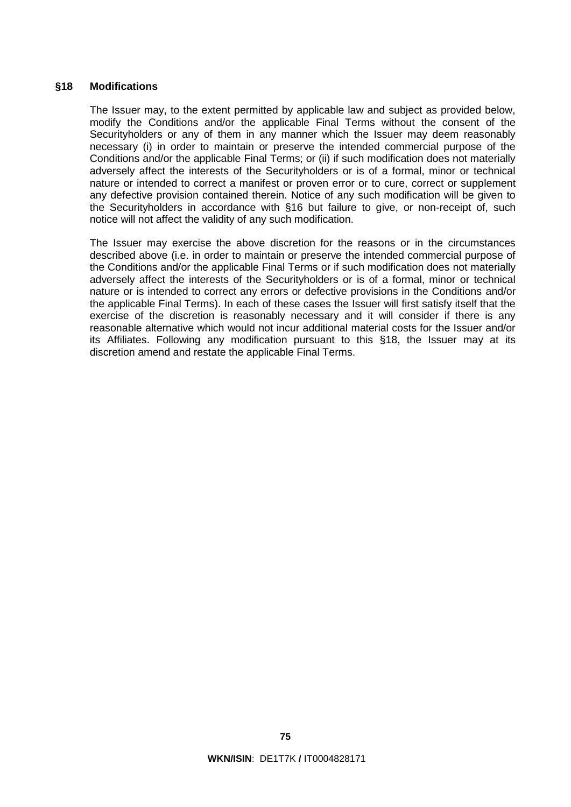### **§18 Modifications**

The Issuer may, to the extent permitted by applicable law and subject as provided below, modify the Conditions and/or the applicable Final Terms without the consent of the Securityholders or any of them in any manner which the Issuer may deem reasonably necessary (i) in order to maintain or preserve the intended commercial purpose of the Conditions and/or the applicable Final Terms; or (ii) if such modification does not materially adversely affect the interests of the Securityholders or is of a formal, minor or technical nature or intended to correct a manifest or proven error or to cure, correct or supplement any defective provision contained therein. Notice of any such modification will be given to the Securityholders in accordance with [§16](#page-70-0) but failure to give, or non-receipt of, such notice will not affect the validity of any such modification.

The Issuer may exercise the above discretion for the reasons or in the circumstances described above (i.e. in order to maintain or preserve the intended commercial purpose of the Conditions and/or the applicable Final Terms or if such modification does not materially adversely affect the interests of the Securityholders or is of a formal, minor or technical nature or is intended to correct any errors or defective provisions in the Conditions and/or the applicable Final Terms). In each of these cases the Issuer will first satisfy itself that the exercise of the discretion is reasonably necessary and it will consider if there is any reasonable alternative which would not incur additional material costs for the Issuer and/or its Affiliates. Following any modification pursuant to this §18, the Issuer may at its discretion amend and restate the applicable Final Terms.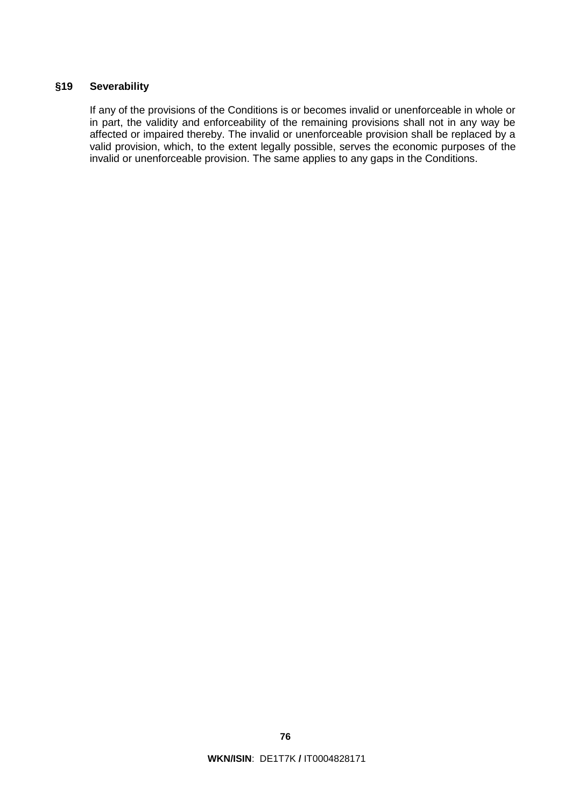### **§19 Severability**

If any of the provisions of the Conditions is or becomes invalid or unenforceable in whole or in part, the validity and enforceability of the remaining provisions shall not in any way be affected or impaired thereby. The invalid or unenforceable provision shall be replaced by a valid provision, which, to the extent legally possible, serves the economic purposes of the invalid or unenforceable provision. The same applies to any gaps in the Conditions.

**76**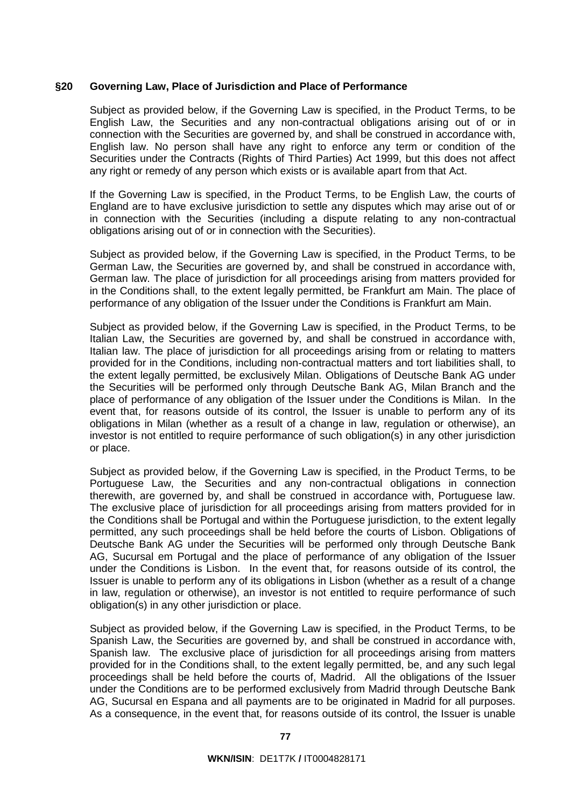#### **§20 Governing Law, Place of Jurisdiction and Place of Performance**

Subject as provided below, if the Governing Law is specified, in the Product Terms, to be English Law, the Securities and any non-contractual obligations arising out of or in connection with the Securities are governed by, and shall be construed in accordance with, English law. No person shall have any right to enforce any term or condition of the Securities under the Contracts (Rights of Third Parties) Act 1999, but this does not affect any right or remedy of any person which exists or is available apart from that Act.

If the Governing Law is specified, in the Product Terms, to be English Law, the courts of England are to have exclusive jurisdiction to settle any disputes which may arise out of or in connection with the Securities (including a dispute relating to any non-contractual obligations arising out of or in connection with the Securities).

Subject as provided below, if the Governing Law is specified, in the Product Terms, to be German Law, the Securities are governed by, and shall be construed in accordance with, German law. The place of jurisdiction for all proceedings arising from matters provided for in the Conditions shall, to the extent legally permitted, be Frankfurt am Main. The place of performance of any obligation of the Issuer under the Conditions is Frankfurt am Main.

Subject as provided below, if the Governing Law is specified, in the Product Terms, to be Italian Law, the Securities are governed by, and shall be construed in accordance with, Italian law. The place of jurisdiction for all proceedings arising from or relating to matters provided for in the Conditions, including non-contractual matters and tort liabilities shall, to the extent legally permitted, be exclusively Milan. Obligations of Deutsche Bank AG under the Securities will be performed only through Deutsche Bank AG, Milan Branch and the place of performance of any obligation of the Issuer under the Conditions is Milan. In the event that, for reasons outside of its control, the Issuer is unable to perform any of its obligations in Milan (whether as a result of a change in law, regulation or otherwise), an investor is not entitled to require performance of such obligation(s) in any other jurisdiction or place.

Subject as provided below, if the Governing Law is specified, in the Product Terms, to be Portuguese Law, the Securities and any non-contractual obligations in connection therewith, are governed by, and shall be construed in accordance with, Portuguese law. The exclusive place of jurisdiction for all proceedings arising from matters provided for in the Conditions shall be Portugal and within the Portuguese jurisdiction, to the extent legally permitted, any such proceedings shall be held before the courts of Lisbon. Obligations of Deutsche Bank AG under the Securities will be performed only through Deutsche Bank AG, Sucursal em Portugal and the place of performance of any obligation of the Issuer under the Conditions is Lisbon. In the event that, for reasons outside of its control, the Issuer is unable to perform any of its obligations in Lisbon (whether as a result of a change in law, regulation or otherwise), an investor is not entitled to require performance of such obligation(s) in any other jurisdiction or place.

Subject as provided below, if the Governing Law is specified, in the Product Terms, to be Spanish Law, the Securities are governed by, and shall be construed in accordance with, Spanish law. The exclusive place of jurisdiction for all proceedings arising from matters provided for in the Conditions shall, to the extent legally permitted, be, and any such legal proceedings shall be held before the courts of, Madrid. All the obligations of the Issuer under the Conditions are to be performed exclusively from Madrid through Deutsche Bank AG, Sucursal en Espana and all payments are to be originated in Madrid for all purposes. As a consequence, in the event that, for reasons outside of its control, the Issuer is unable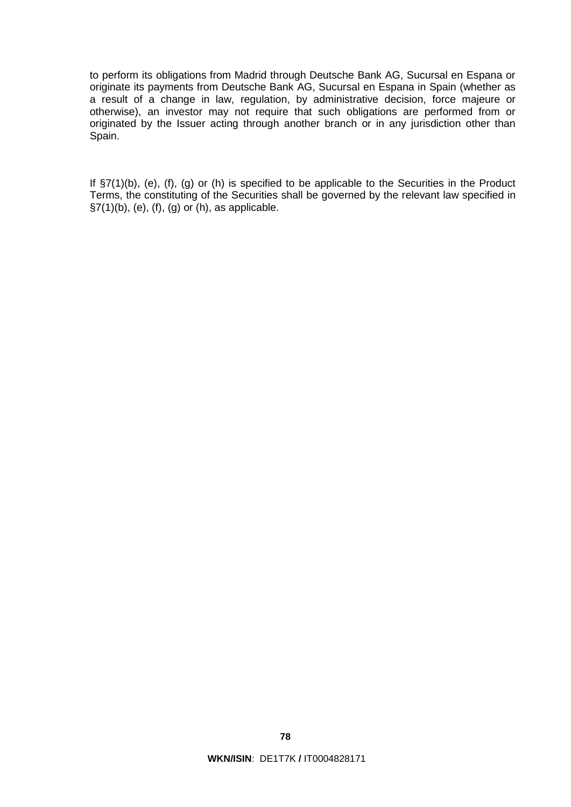to perform its obligations from Madrid through Deutsche Bank AG, Sucursal en Espana or originate its payments from Deutsche Bank AG, Sucursal en Espana in Spain (whether as a result of a change in law, regulation, by administrative decision, force majeure or otherwise), an investor may not require that such obligations are performed from or originated by the Issuer acting through another branch or in any jurisdiction other than Spain.

If [§7\(1\)\(b\),](#page-55-0) [\(e\),](#page-55-1) [\(f\),](#page-56-0) [\(g\)](#page-56-1) or (h) is specified to be applicable to the Securities in the Product Terms, the constituting of the Securities shall be governed by the relevant law specified in [§7\(1\)\(b\),](#page-55-0) [\(e\),](#page-55-1) [\(f\),](#page-56-0) [\(g\)](#page-56-1) or (h), as applicable.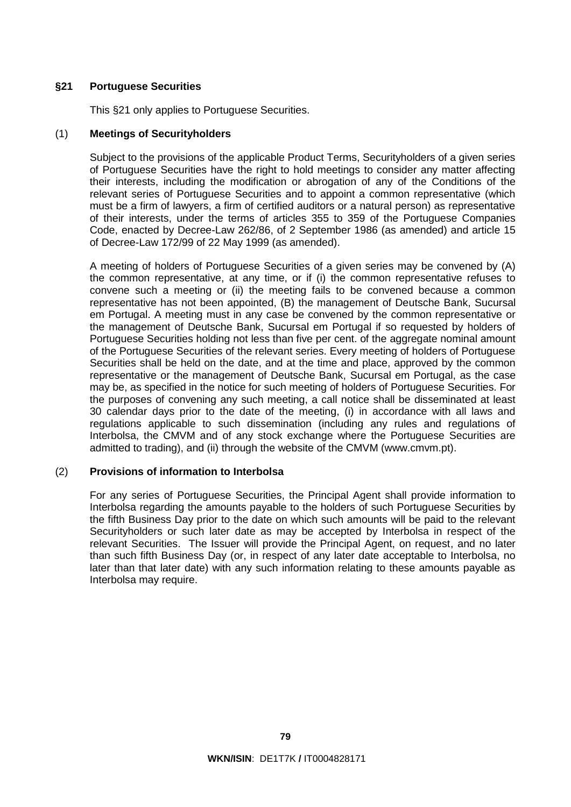# **§21 Portuguese Securities**

This §21 only applies to Portuguese Securities.

## (1) **Meetings of Securityholders**

Subject to the provisions of the applicable Product Terms, Securityholders of a given series of Portuguese Securities have the right to hold meetings to consider any matter affecting their interests, including the modification or abrogation of any of the Conditions of the relevant series of Portuguese Securities and to appoint a common representative (which must be a firm of lawyers, a firm of certified auditors or a natural person) as representative of their interests, under the terms of articles 355 to 359 of the Portuguese Companies Code, enacted by Decree-Law 262/86, of 2 September 1986 (as amended) and article 15 of Decree-Law 172/99 of 22 May 1999 (as amended).

A meeting of holders of Portuguese Securities of a given series may be convened by (A) the common representative, at any time, or if (i) the common representative refuses to convene such a meeting or (ii) the meeting fails to be convened because a common representative has not been appointed, (B) the management of Deutsche Bank, Sucursal em Portugal. A meeting must in any case be convened by the common representative or the management of Deutsche Bank, Sucursal em Portugal if so requested by holders of Portuguese Securities holding not less than five per cent. of the aggregate nominal amount of the Portuguese Securities of the relevant series. Every meeting of holders of Portuguese Securities shall be held on the date, and at the time and place, approved by the common representative or the management of Deutsche Bank, Sucursal em Portugal, as the case may be, as specified in the notice for such meeting of holders of Portuguese Securities. For the purposes of convening any such meeting, a call notice shall be disseminated at least 30 calendar days prior to the date of the meeting, (i) in accordance with all laws and regulations applicable to such dissemination (including any rules and regulations of Interbolsa, the CMVM and of any stock exchange where the Portuguese Securities are admitted to trading), and (ii) through the website of the CMVM (www.cmvm.pt).

## (2) **Provisions of information to Interbolsa**

For any series of Portuguese Securities, the Principal Agent shall provide information to Interbolsa regarding the amounts payable to the holders of such Portuguese Securities by the fifth Business Day prior to the date on which such amounts will be paid to the relevant Securityholders or such later date as may be accepted by Interbolsa in respect of the relevant Securities. The Issuer will provide the Principal Agent, on request, and no later than such fifth Business Day (or, in respect of any later date acceptable to Interbolsa, no later than that later date) with any such information relating to these amounts payable as Interbolsa may require.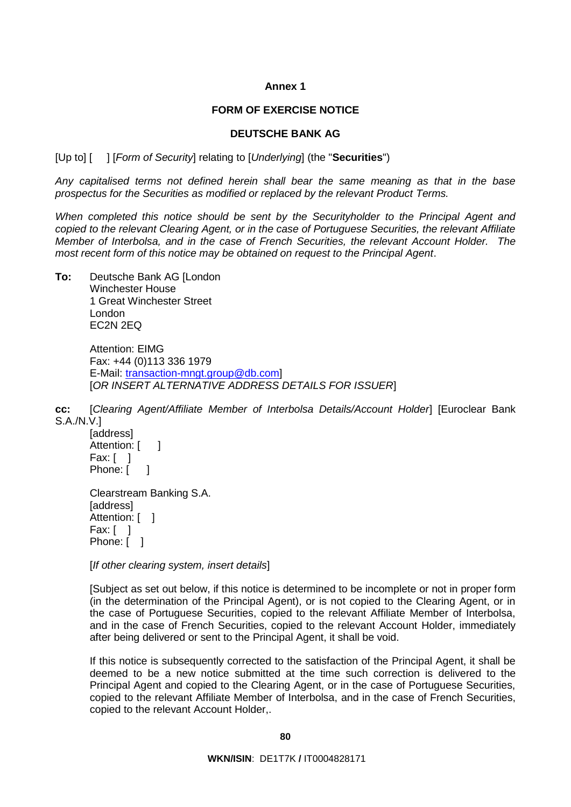#### **Annex 1**

### **FORM OF EXERCISE NOTICE**

## **DEUTSCHE BANK AG**

[Up to] [ ] [*Form of Security*] relating to [*Underlying*] (the "**Securities**")

*Any capitalised terms not defined herein shall bear the same meaning as that in the base prospectus for the Securities as modified or replaced by the relevant Product Terms.*

*When completed this notice should be sent by the Securityholder to the Principal Agent and copied to the relevant Clearing Agent, or in the case of Portuguese Securities, the relevant Affiliate Member of Interbolsa, and in the case of French Securities, the relevant Account Holder. The most recent form of this notice may be obtained on request to the Principal Agent*.

**To:** Deutsche Bank AG [London Winchester House 1 Great Winchester Street London EC2N 2EQ

> Attention: EIMG Fax: +44 (0)113 336 1979 E-Mail: [transaction-mngt.group@db.com\]](mailto:transaction-mngt.group@db.com) [*OR INSERT ALTERNATIVE ADDRESS DETAILS FOR ISSUER*]

**cc:** [*Clearing Agent/Affiliate Member of Interbolsa Details/Account Holder*] [Euroclear Bank S.A./N.V.]

[address] Attention: [ ] Fax: [ ] Phone: [ ]

Clearstream Banking S.A. [address] Attention: [ ] Fax:  $\lceil \quad \rceil$ Phone: [ ]

[*If other clearing system, insert details*]

[Subject as set out below, if this notice is determined to be incomplete or not in proper form (in the determination of the Principal Agent), or is not copied to the Clearing Agent, or in the case of Portuguese Securities, copied to the relevant Affiliate Member of Interbolsa, and in the case of French Securities, copied to the relevant Account Holder, immediately after being delivered or sent to the Principal Agent, it shall be void.

If this notice is subsequently corrected to the satisfaction of the Principal Agent, it shall be deemed to be a new notice submitted at the time such correction is delivered to the Principal Agent and copied to the Clearing Agent, or in the case of Portuguese Securities, copied to the relevant Affiliate Member of Interbolsa, and in the case of French Securities, copied to the relevant Account Holder,.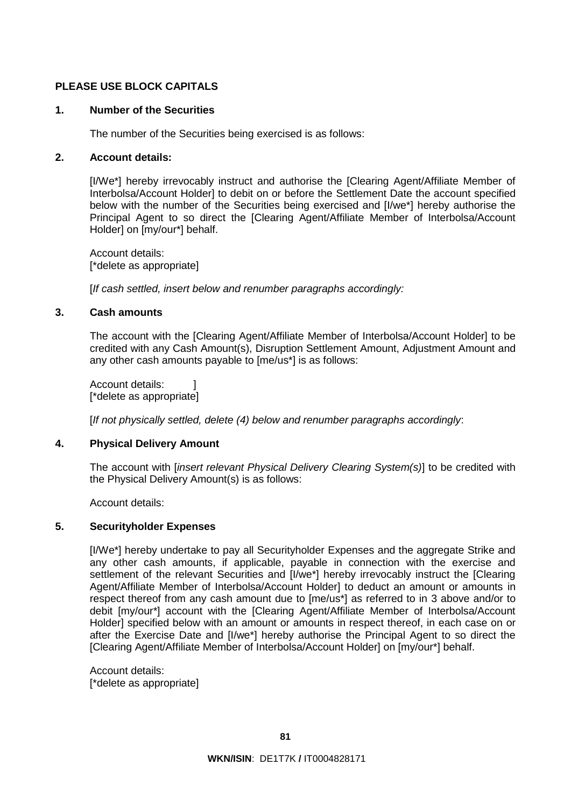# **PLEASE USE BLOCK CAPITALS**

## **1. Number of the Securities**

The number of the Securities being exercised is as follows:

## **2. Account details:**

[I/We\*] hereby irrevocably instruct and authorise the [Clearing Agent/Affiliate Member of Interbolsa/Account Holder] to debit on or before the Settlement Date the account specified below with the number of the Securities being exercised and [I/we\*] hereby authorise the Principal Agent to so direct the [Clearing Agent/Affiliate Member of Interbolsa/Account Holder] on [my/our\*] behalf.

Account details: [\*delete as appropriate]

[*If cash settled, insert below and renumber paragraphs accordingly:*

### <span id="page-80-0"></span>**3. Cash amounts**

The account with the [Clearing Agent/Affiliate Member of Interbolsa/Account Holder] to be credited with any Cash Amount(s), Disruption Settlement Amount, Adjustment Amount and any other cash amounts payable to [me/us\*] is as follows:

Account details: 1 [\*delete as appropriate]

[*If not physically settled, delete (4) below and renumber paragraphs accordingly*:

## **4. Physical Delivery Amount**

The account with [*insert relevant Physical Delivery Clearing System(s)*] to be credited with the Physical Delivery Amount(s) is as follows:

Account details:

## **5. Securityholder Expenses**

[I/We\*] hereby undertake to pay all Securityholder Expenses and the aggregate Strike and any other cash amounts, if applicable, payable in connection with the exercise and settlement of the relevant Securities and [I/we<sup>\*</sup>] hereby irrevocably instruct the [Clearing Agent/Affiliate Member of Interbolsa/Account Holder] to deduct an amount or amounts in respect thereof from any cash amount due to [me/us\*] as referred to in [3 above](#page-80-0) and/or to debit [my/our\*] account with the [Clearing Agent/Affiliate Member of Interbolsa/Account Holder] specified below with an amount or amounts in respect thereof, in each case on or after the Exercise Date and [I/we\*] hereby authorise the Principal Agent to so direct the [Clearing Agent/Affiliate Member of Interbolsa/Account Holder] on [my/our\*] behalf.

Account details: [\*delete as appropriate]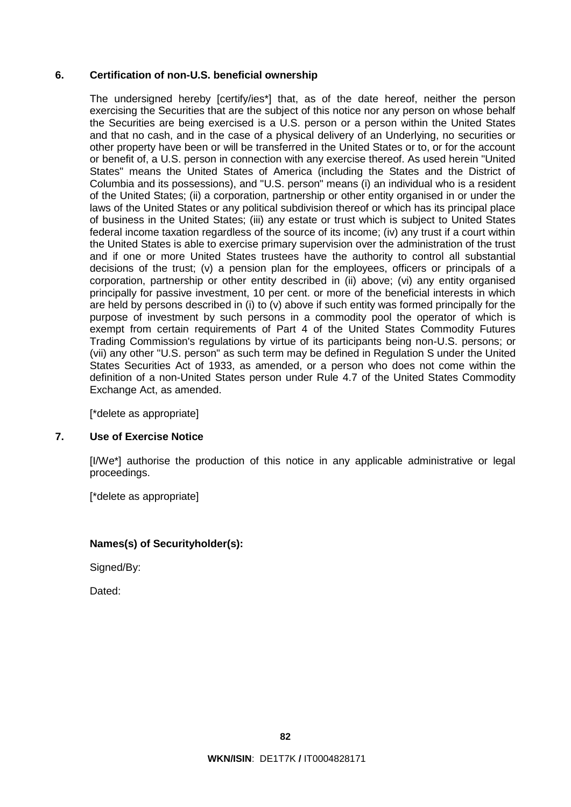## **6. Certification of non-U.S. beneficial ownership**

The undersigned hereby [certify/ies\*] that, as of the date hereof, neither the person exercising the Securities that are the subject of this notice nor any person on whose behalf the Securities are being exercised is a U.S. person or a person within the United States and that no cash, and in the case of a physical delivery of an Underlying, no securities or other property have been or will be transferred in the United States or to, or for the account or benefit of, a U.S. person in connection with any exercise thereof. As used herein "United States" means the United States of America (including the States and the District of Columbia and its possessions), and "U.S. person" means (i) an individual who is a resident of the United States; (ii) a corporation, partnership or other entity organised in or under the laws of the United States or any political subdivision thereof or which has its principal place of business in the United States; (iii) any estate or trust which is subject to United States federal income taxation regardless of the source of its income; (iv) any trust if a court within the United States is able to exercise primary supervision over the administration of the trust and if one or more United States trustees have the authority to control all substantial decisions of the trust; (v) a pension plan for the employees, officers or principals of a corporation, partnership or other entity described in (ii) above; (vi) any entity organised principally for passive investment, 10 per cent. or more of the beneficial interests in which are held by persons described in (i) to (v) above if such entity was formed principally for the purpose of investment by such persons in a commodity pool the operator of which is exempt from certain requirements of Part 4 of the United States Commodity Futures Trading Commission's regulations by virtue of its participants being non-U.S. persons; or (vii) any other "U.S. person" as such term may be defined in Regulation S under the United States Securities Act of 1933, as amended, or a person who does not come within the definition of a non-United States person under Rule 4.7 of the United States Commodity Exchange Act, as amended.

[\*delete as appropriate]

#### **7. Use of Exercise Notice**

[I/We\*] authorise the production of this notice in any applicable administrative or legal proceedings.

[\*delete as appropriate]

## **Names(s) of Securityholder(s):**

Signed/By:

Dated: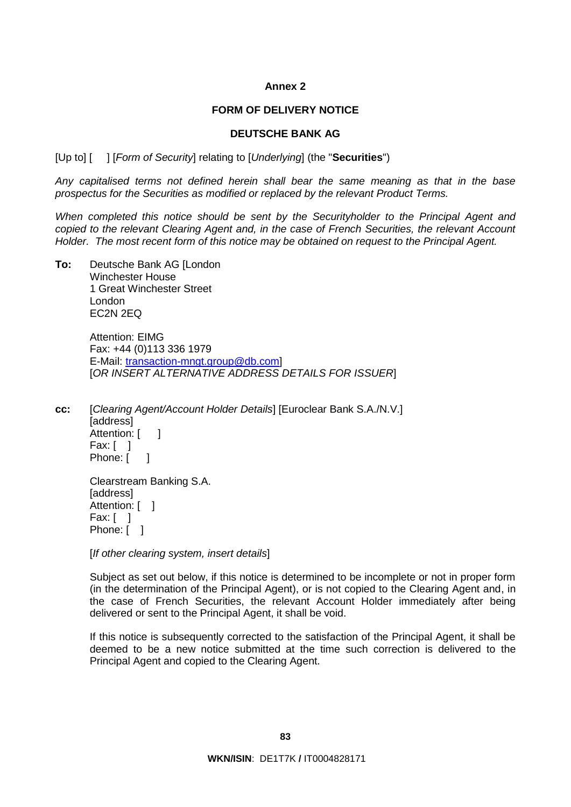#### **Annex 2**

### **FORM OF DELIVERY NOTICE**

## **DEUTSCHE BANK AG**

#### [Up to] [ ] [*Form of Security*] relating to [*Underlying*] (the "**Securities**")

*Any capitalised terms not defined herein shall bear the same meaning as that in the base prospectus for the Securities as modified or replaced by the relevant Product Terms.*

*When completed this notice should be sent by the Securityholder to the Principal Agent and copied to the relevant Clearing Agent and, in the case of French Securities, the relevant Account Holder. The most recent form of this notice may be obtained on request to the Principal Agent.*

**To:** Deutsche Bank AG [London Winchester House 1 Great Winchester Street London EC2N 2EQ

> Attention: EIMG Fax: +44 (0)113 336 1979 E-Mail: [transaction-mngt.group@db.com\]](mailto:transaction-mngt.group@db.com) [*OR INSERT ALTERNATIVE ADDRESS DETAILS FOR ISSUER*]

**cc:** [*Clearing Agent/Account Holder Details*] [Euroclear Bank S.A./N.V.] [address] Attention: [ ] Fax: [ ] Phone: [ ]

Clearstream Banking S.A. [address] Attention: [ ] Fax: [ ] Phone: [ ]

[*If other clearing system, insert details*]

Subject as set out below, if this notice is determined to be incomplete or not in proper form (in the determination of the Principal Agent), or is not copied to the Clearing Agent and, in the case of French Securities, the relevant Account Holder immediately after being delivered or sent to the Principal Agent, it shall be void.

If this notice is subsequently corrected to the satisfaction of the Principal Agent, it shall be deemed to be a new notice submitted at the time such correction is delivered to the Principal Agent and copied to the Clearing Agent.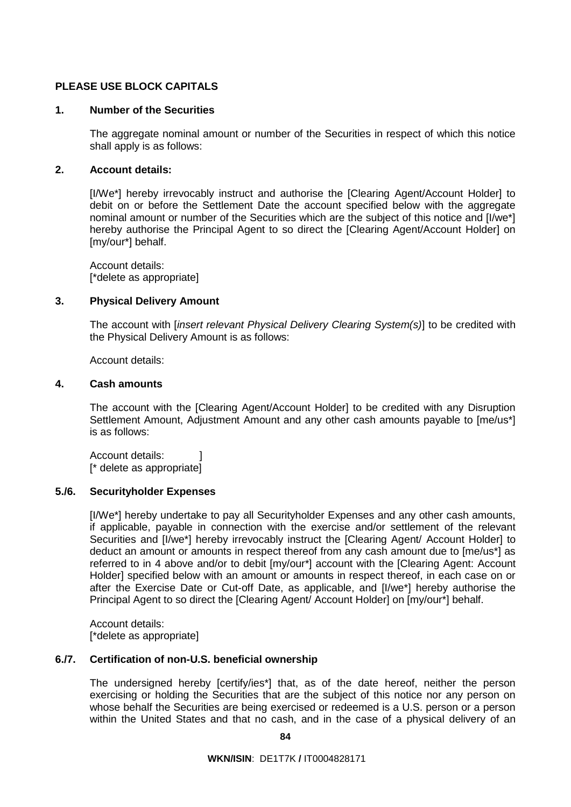### **PLEASE USE BLOCK CAPITALS**

#### **1. Number of the Securities**

The aggregate nominal amount or number of the Securities in respect of which this notice shall apply is as follows:

### **2. Account details:**

[I/We\*] hereby irrevocably instruct and authorise the [Clearing Agent/Account Holder] to debit on or before the Settlement Date the account specified below with the aggregate nominal amount or number of the Securities which are the subject of this notice and [I/we\*] hereby authorise the Principal Agent to so direct the [Clearing Agent/Account Holder] on [my/our\*] behalf.

Account details: [\*delete as appropriate]

## **3. Physical Delivery Amount**

The account with [*insert relevant Physical Delivery Clearing System(s)*] to be credited with the Physical Delivery Amount is as follows:

Account details:

# <span id="page-83-0"></span>**4. Cash amounts**

The account with the [Clearing Agent/Account Holder] to be credited with any Disruption Settlement Amount, Adjustment Amount and any other cash amounts payable to [me/us\*] is as follows:

Account details: [\* delete as appropriate]

# **5./6. Securityholder Expenses**

[I/We\*] hereby undertake to pay all Securityholder Expenses and any other cash amounts, if applicable, payable in connection with the exercise and/or settlement of the relevant Securities and [I/we\*] hereby irrevocably instruct the [Clearing Agent/ Account Holder] to deduct an amount or amounts in respect thereof from any cash amount due to [me/us\*] as referred to in [4 above](#page-83-0) and/or to debit [my/our\*] account with the [Clearing Agent: Account Holder] specified below with an amount or amounts in respect thereof, in each case on or after the Exercise Date or Cut-off Date, as applicable, and [I/we\*] hereby authorise the Principal Agent to so direct the [Clearing Agent/ Account Holder] on [my/our\*] behalf.

Account details: [\*delete as appropriate]

## **6./7. Certification of non-U.S. beneficial ownership**

The undersigned hereby [certify/ies\*] that, as of the date hereof, neither the person exercising or holding the Securities that are the subject of this notice nor any person on whose behalf the Securities are being exercised or redeemed is a U.S. person or a person within the United States and that no cash, and in the case of a physical delivery of an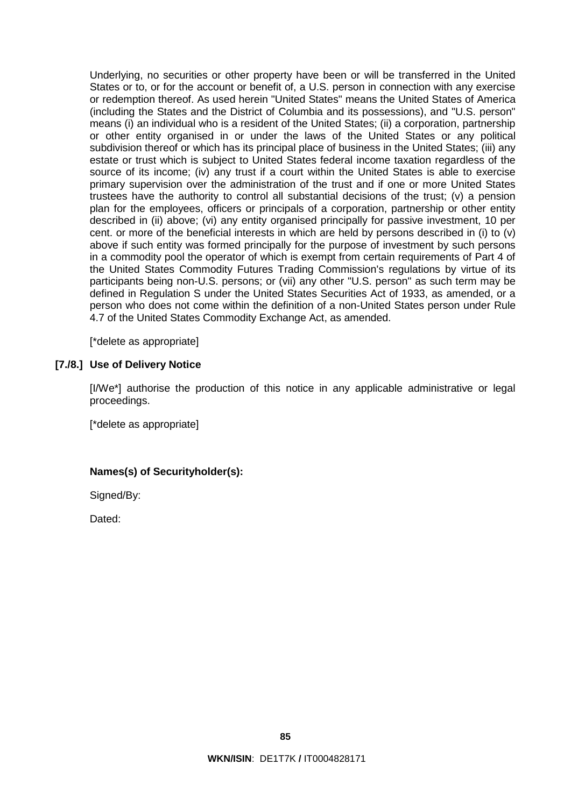Underlying, no securities or other property have been or will be transferred in the United States or to, or for the account or benefit of, a U.S. person in connection with any exercise or redemption thereof. As used herein "United States" means the United States of America (including the States and the District of Columbia and its possessions), and "U.S. person" means (i) an individual who is a resident of the United States; (ii) a corporation, partnership or other entity organised in or under the laws of the United States or any political subdivision thereof or which has its principal place of business in the United States; (iii) any estate or trust which is subject to United States federal income taxation regardless of the source of its income; (iv) any trust if a court within the United States is able to exercise primary supervision over the administration of the trust and if one or more United States trustees have the authority to control all substantial decisions of the trust; (v) a pension plan for the employees, officers or principals of a corporation, partnership or other entity described in (ii) above; (vi) any entity organised principally for passive investment, 10 per cent. or more of the beneficial interests in which are held by persons described in (i) to (v) above if such entity was formed principally for the purpose of investment by such persons in a commodity pool the operator of which is exempt from certain requirements of Part 4 of the United States Commodity Futures Trading Commission's regulations by virtue of its participants being non-U.S. persons; or (vii) any other "U.S. person" as such term may be defined in Regulation S under the United States Securities Act of 1933, as amended, or a person who does not come within the definition of a non-United States person under Rule 4.7 of the United States Commodity Exchange Act, as amended.

[\*delete as appropriate]

# **[7./8.] Use of Delivery Notice**

[I/We\*] authorise the production of this notice in any applicable administrative or legal proceedings.

[\*delete as appropriate]

## **Names(s) of Securityholder(s):**

Signed/By:

Dated: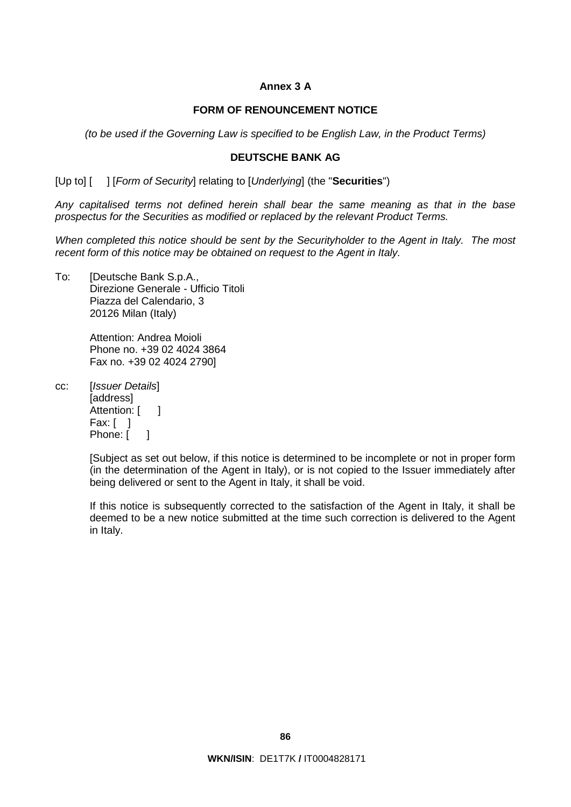## **Annex 3 A**

## **FORM OF RENOUNCEMENT NOTICE**

*(to be used if the Governing Law is specified to be English Law, in the Product Terms)*

## **DEUTSCHE BANK AG**

[Up to] [ ] [*Form of Security*] relating to [*Underlying*] (the "**Securities**")

*Any capitalised terms not defined herein shall bear the same meaning as that in the base prospectus for the Securities as modified or replaced by the relevant Product Terms.*

*When completed this notice should be sent by the Securityholder to the Agent in Italy. The most recent form of this notice may be obtained on request to the Agent in Italy.*

To: [Deutsche Bank S.p.A., Direzione Generale - Ufficio Titoli Piazza del Calendario, 3 20126 Milan (Italy)

> Attention: Andrea Moioli Phone no. +39 02 4024 3864 Fax no. +39 02 4024 2790]

cc: [*Issuer Details*] [address] Attention: [ ] Fax:  $\lceil \quad \rceil$ Phone: [ ]

> [Subject as set out below, if this notice is determined to be incomplete or not in proper form (in the determination of the Agent in Italy), or is not copied to the Issuer immediately after being delivered or sent to the Agent in Italy, it shall be void.

> If this notice is subsequently corrected to the satisfaction of the Agent in Italy, it shall be deemed to be a new notice submitted at the time such correction is delivered to the Agent in Italy.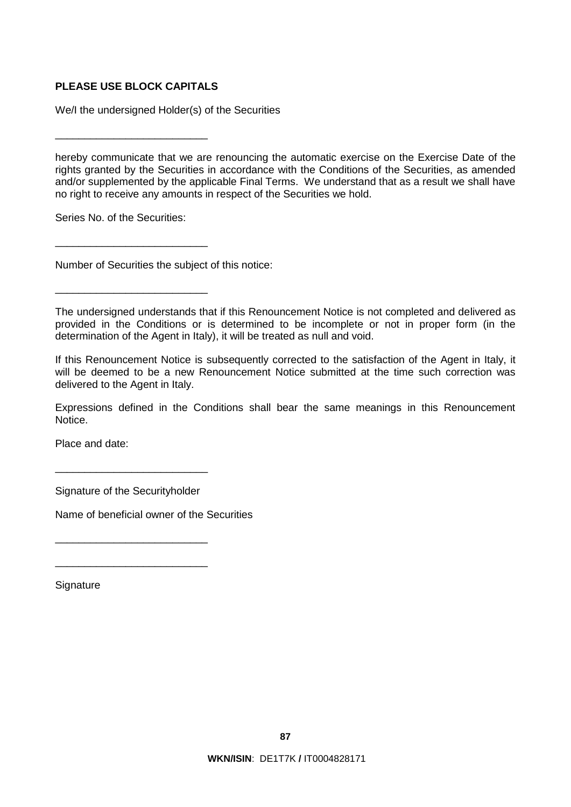## **PLEASE USE BLOCK CAPITALS**

\_\_\_\_\_\_\_\_\_\_\_\_\_\_\_\_\_\_\_\_\_\_\_\_\_\_

We/I the undersigned Holder(s) of the Securities

hereby communicate that we are renouncing the automatic exercise on the Exercise Date of the rights granted by the Securities in accordance with the Conditions of the Securities, as amended and/or supplemented by the applicable Final Terms. We understand that as a result we shall have no right to receive any amounts in respect of the Securities we hold.

Series No. of the Securities:

\_\_\_\_\_\_\_\_\_\_\_\_\_\_\_\_\_\_\_\_\_\_\_\_\_\_

\_\_\_\_\_\_\_\_\_\_\_\_\_\_\_\_\_\_\_\_\_\_\_\_\_\_

Number of Securities the subject of this notice:

The undersigned understands that if this Renouncement Notice is not completed and delivered as provided in the Conditions or is determined to be incomplete or not in proper form (in the determination of the Agent in Italy), it will be treated as null and void.

If this Renouncement Notice is subsequently corrected to the satisfaction of the Agent in Italy, it will be deemed to be a new Renouncement Notice submitted at the time such correction was delivered to the Agent in Italy.

Expressions defined in the Conditions shall bear the same meanings in this Renouncement Notice.

Place and date:

Signature of the Securityholder

\_\_\_\_\_\_\_\_\_\_\_\_\_\_\_\_\_\_\_\_\_\_\_\_\_\_

\_\_\_\_\_\_\_\_\_\_\_\_\_\_\_\_\_\_\_\_\_\_\_\_\_\_

Name of beneficial owner of the Securities

\_\_\_\_\_\_\_\_\_\_\_\_\_\_\_\_\_\_\_\_\_\_\_\_\_\_

**Signature**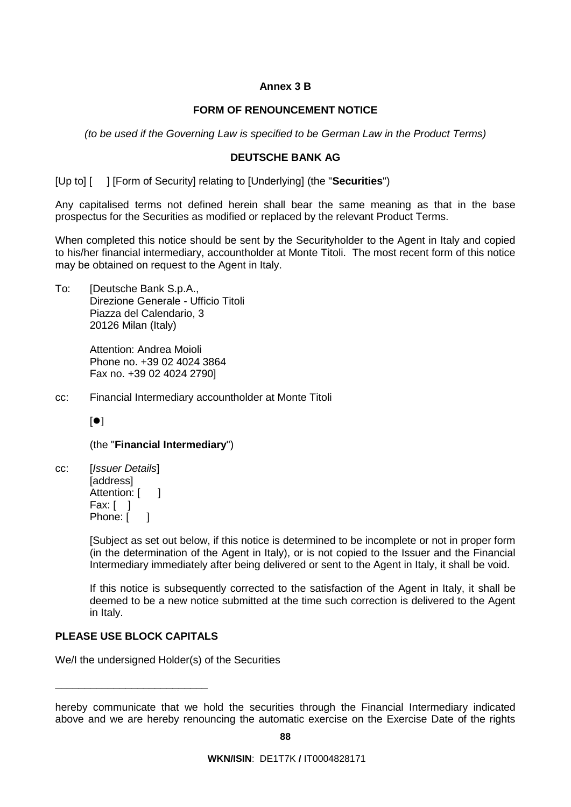# **Annex 3 B**

# **FORM OF RENOUNCEMENT NOTICE**

*(to be used if the Governing Law is specified to be German Law in the Product Terms)*

# **DEUTSCHE BANK AG**

[Up to] [ ] [Form of Security] relating to [Underlying] (the "**Securities**")

Any capitalised terms not defined herein shall bear the same meaning as that in the base prospectus for the Securities as modified or replaced by the relevant Product Terms.

When completed this notice should be sent by the Securityholder to the Agent in Italy and copied to his/her financial intermediary, accountholder at Monte Titoli. The most recent form of this notice may be obtained on request to the Agent in Italy.

To: [Deutsche Bank S.p.A., Direzione Generale - Ufficio Titoli Piazza del Calendario, 3 20126 Milan (Italy)

> Attention: Andrea Moioli Phone no. +39 02 4024 3864 Fax no. +39 02 4024 2790]

cc: Financial Intermediary accountholder at Monte Titoli

 $[•]$ 

## (the "**Financial Intermediary**")

cc: [*Issuer Details*] [address] Attention: [ ] Fax:  $\lceil \quad \rceil$ Phone: [ ]

> [Subject as set out below, if this notice is determined to be incomplete or not in proper form (in the determination of the Agent in Italy), or is not copied to the Issuer and the Financial Intermediary immediately after being delivered or sent to the Agent in Italy, it shall be void.

> If this notice is subsequently corrected to the satisfaction of the Agent in Italy, it shall be deemed to be a new notice submitted at the time such correction is delivered to the Agent in Italy.

# **PLEASE USE BLOCK CAPITALS**

\_\_\_\_\_\_\_\_\_\_\_\_\_\_\_\_\_\_\_\_\_\_\_\_\_\_

We/I the undersigned Holder(s) of the Securities

hereby communicate that we hold the securities through the Financial Intermediary indicated above and we are hereby renouncing the automatic exercise on the Exercise Date of the rights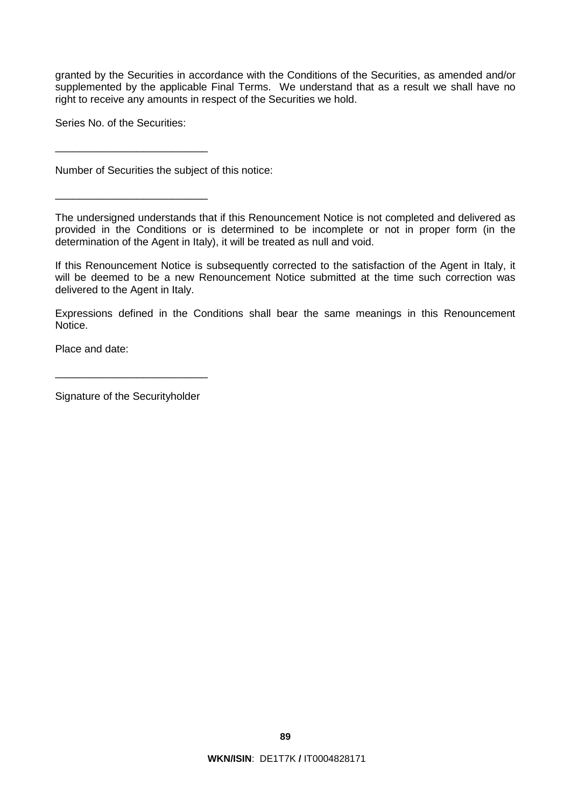granted by the Securities in accordance with the Conditions of the Securities, as amended and/or supplemented by the applicable Final Terms. We understand that as a result we shall have no right to receive any amounts in respect of the Securities we hold.

Series No. of the Securities:

\_\_\_\_\_\_\_\_\_\_\_\_\_\_\_\_\_\_\_\_\_\_\_\_\_\_

\_\_\_\_\_\_\_\_\_\_\_\_\_\_\_\_\_\_\_\_\_\_\_\_\_\_

Number of Securities the subject of this notice:

The undersigned understands that if this Renouncement Notice is not completed and delivered as provided in the Conditions or is determined to be incomplete or not in proper form (in the determination of the Agent in Italy), it will be treated as null and void.

If this Renouncement Notice is subsequently corrected to the satisfaction of the Agent in Italy, it will be deemed to be a new Renouncement Notice submitted at the time such correction was delivered to the Agent in Italy.

Expressions defined in the Conditions shall bear the same meanings in this Renouncement Notice.

Place and date:

\_\_\_\_\_\_\_\_\_\_\_\_\_\_\_\_\_\_\_\_\_\_\_\_\_\_ Signature of the Securityholder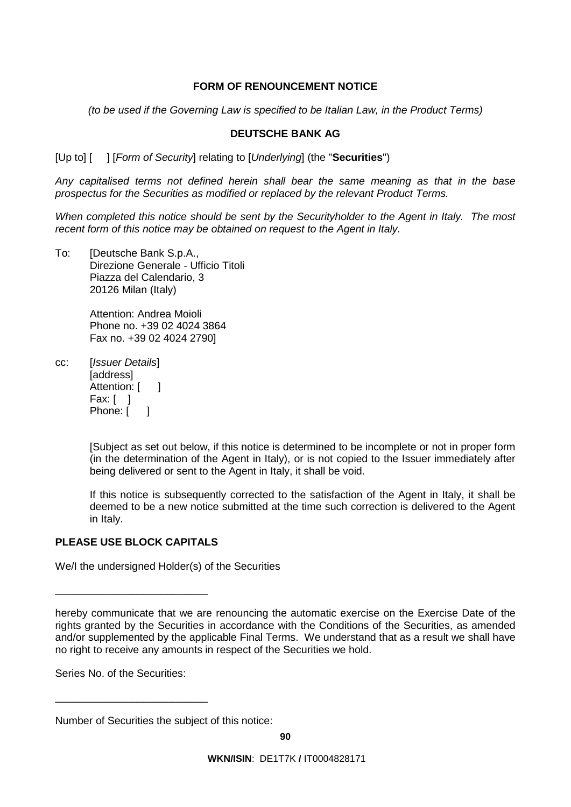## **FORM OF RENOUNCEMENT NOTICE**

*(to be used if the Governing Law is specified to be Italian Law, in the Product Terms)*

# **DEUTSCHE BANK AG**

[Up to] [ ] [*Form of Security*] relating to [*Underlying*] (the "**Securities**")

*Any capitalised terms not defined herein shall bear the same meaning as that in the base prospectus for the Securities as modified or replaced by the relevant Product Terms.*

*When completed this notice should be sent by the Securityholder to the Agent in Italy. The most recent form of this notice may be obtained on request to the Agent in Italy.*

To: [Deutsche Bank S.p.A., Direzione Generale - Ufficio Titoli Piazza del Calendario, 3 20126 Milan (Italy)

> Attention: Andrea Moioli Phone no. +39 02 4024 3864 Fax no. +39 02 4024 2790]

cc: [*Issuer Details*] **[address]** Attention: [ ] Fax: [ ] Phone: [ ]

> [Subject as set out below, if this notice is determined to be incomplete or not in proper form (in the determination of the Agent in Italy), or is not copied to the Issuer immediately after being delivered or sent to the Agent in Italy, it shall be void.

> If this notice is subsequently corrected to the satisfaction of the Agent in Italy, it shall be deemed to be a new notice submitted at the time such correction is delivered to the Agent in Italy.

# **PLEASE USE BLOCK CAPITALS**

\_\_\_\_\_\_\_\_\_\_\_\_\_\_\_\_\_\_\_\_\_\_\_\_\_\_

We/I the undersigned Holder(s) of the Securities

Series No. of the Securities:

\_\_\_\_\_\_\_\_\_\_\_\_\_\_\_\_\_\_\_\_\_\_\_\_\_\_

hereby communicate that we are renouncing the automatic exercise on the Exercise Date of the rights granted by the Securities in accordance with the Conditions of the Securities, as amended and/or supplemented by the applicable Final Terms. We understand that as a result we shall have no right to receive any amounts in respect of the Securities we hold.

Number of Securities the subject of this notice: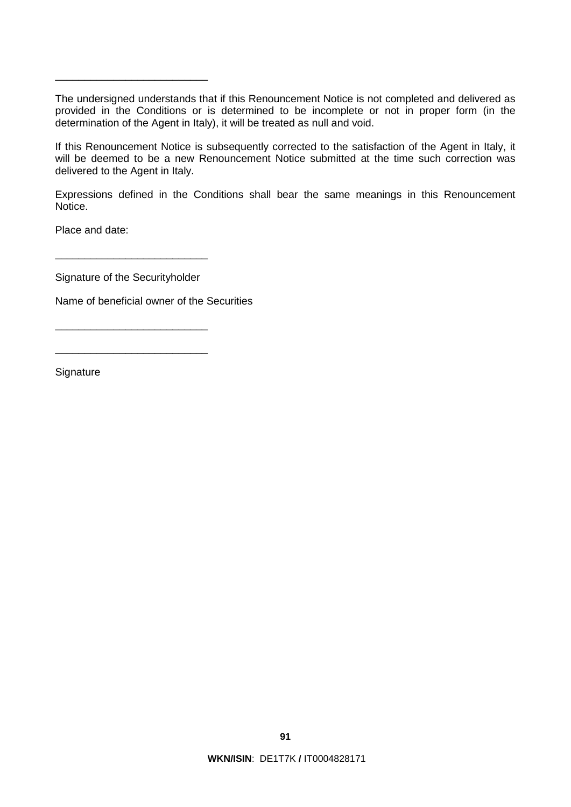The undersigned understands that if this Renouncement Notice is not completed and delivered as provided in the Conditions or is determined to be incomplete or not in proper form (in the determination of the Agent in Italy), it will be treated as null and void.

If this Renouncement Notice is subsequently corrected to the satisfaction of the Agent in Italy, it will be deemed to be a new Renouncement Notice submitted at the time such correction was delivered to the Agent in Italy.

Expressions defined in the Conditions shall bear the same meanings in this Renouncement Notice.

Place and date:

Signature of the Securityholder

\_\_\_\_\_\_\_\_\_\_\_\_\_\_\_\_\_\_\_\_\_\_\_\_\_\_

\_\_\_\_\_\_\_\_\_\_\_\_\_\_\_\_\_\_\_\_\_\_\_\_\_\_

\_\_\_\_\_\_\_\_\_\_\_\_\_\_\_\_\_\_\_\_\_\_\_\_\_\_

\_\_\_\_\_\_\_\_\_\_\_\_\_\_\_\_\_\_\_\_\_\_\_\_\_\_

Name of beneficial owner of the Securities

**Signature**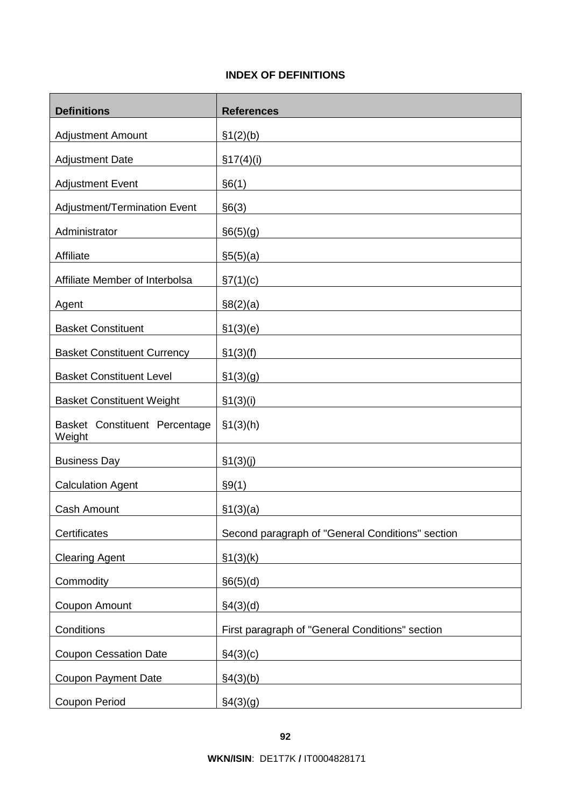# **INDEX OF DEFINITIONS**

| <b>Definitions</b>                      | <b>References</b>                                |
|-----------------------------------------|--------------------------------------------------|
| <b>Adjustment Amount</b>                | \$1(2)(b)                                        |
| <b>Adjustment Date</b>                  | \$17(4)(i)                                       |
| <b>Adjustment Event</b>                 | §6(1)                                            |
| Adjustment/Termination Event            | §6(3)                                            |
| Administrator                           | §6(5)(g)                                         |
| Affiliate                               | \$5(5)(a)                                        |
| Affiliate Member of Interbolsa          | $\S7(1)(c)$                                      |
| Agent                                   | \$8(2)(a)                                        |
| <b>Basket Constituent</b>               | \$1(3)(e)                                        |
| <b>Basket Constituent Currency</b>      | $\S1(3)(f)$                                      |
| <b>Basket Constituent Level</b>         | $\S1(3)(g)$                                      |
| <b>Basket Constituent Weight</b>        | \$1(3)(i)                                        |
| Basket Constituent Percentage<br>Weight | \$1(3)(h)                                        |
| <b>Business Day</b>                     | \$1(3)(j)                                        |
| <b>Calculation Agent</b>                | §9(1)                                            |
| Cash Amount                             | \$1(3)(a)                                        |
| Certificates                            | Second paragraph of "General Conditions" section |
| <b>Clearing Agent</b>                   | \$1(3)(k)                                        |
| Commodity                               | §6(5)(d)                                         |
| Coupon Amount                           | $\frac{54(3)(d)}{2}$                             |
| Conditions                              | First paragraph of "General Conditions" section  |
| <b>Coupon Cessation Date</b>            | $\frac{54(3)(c)}{2}$                             |
| <b>Coupon Payment Date</b>              | $\frac{\mathsf{S4}}{\mathsf{S4}}$ (b)            |
| Coupon Period                           | $\frac{\$4(3)(g)}{g}$                            |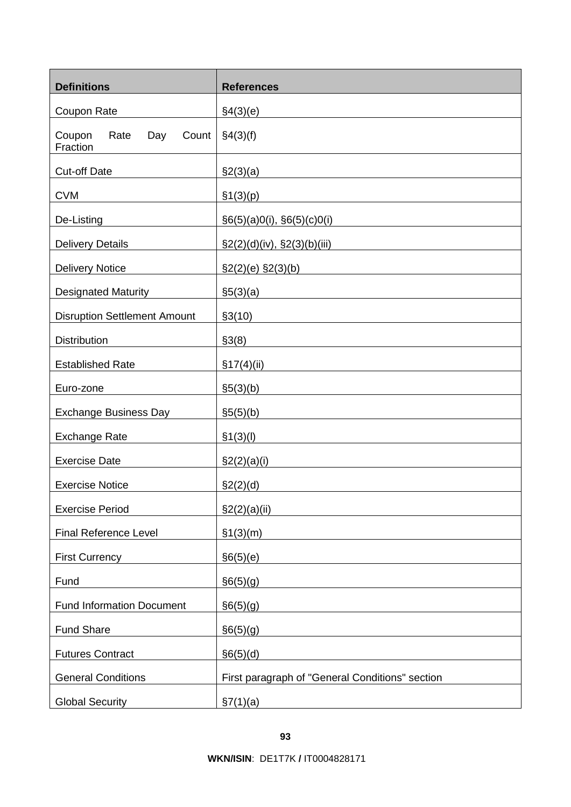| <b>Definitions</b>                         | <b>References</b>                               |
|--------------------------------------------|-------------------------------------------------|
| Coupon Rate                                | $\frac{$(3)(e)}{2}$                             |
| Coupon<br>Rate<br>Day<br>Count<br>Fraction | §4(3)(f)                                        |
| <b>Cut-off Date</b>                        | \$2(3)(a)                                       |
| <b>CVM</b>                                 | \$1(3)(p)                                       |
| De-Listing                                 | $\S6(5)(a)0(i)$ , $\S6(5)(c)0(i)$               |
| <b>Delivery Details</b>                    | $\S2(2)(d)(iv), \S2(3)(b)(iii)$                 |
| <b>Delivery Notice</b>                     | $\S2(2)(e) \S2(3)(b)$                           |
| <b>Designated Maturity</b>                 | \$5(3)(a)                                       |
| <b>Disruption Settlement Amount</b>        | \$3(10)                                         |
| <b>Distribution</b>                        | \$3(8)                                          |
| <b>Established Rate</b>                    | \$17(4)(ii)                                     |
| Euro-zone                                  | \$5(3)(b)                                       |
| <b>Exchange Business Day</b>               | \$5(5)(b)                                       |
| <b>Exchange Rate</b>                       | \$1(3)(1)                                       |
| <b>Exercise Date</b>                       | $\S2(2)(a)(i)$                                  |
| <b>Exercise Notice</b>                     | \$2(2)(d)                                       |
| <b>Exercise Period</b>                     | $\S2(2)(a)(ii)$                                 |
| <b>Final Reference Level</b>               | \$1(3)(m)                                       |
| <b>First Currency</b>                      | §6(5)(e)                                        |
| Fund                                       | §6(5)(g)                                        |
| <b>Fund Information Document</b>           | §6(5)(g)                                        |
| <b>Fund Share</b>                          | §6(5)(g)                                        |
| <b>Futures Contract</b>                    | §6(5)(d)                                        |
| <b>General Conditions</b>                  | First paragraph of "General Conditions" section |
| <b>Global Security</b>                     | $\S7(1)(a)$                                     |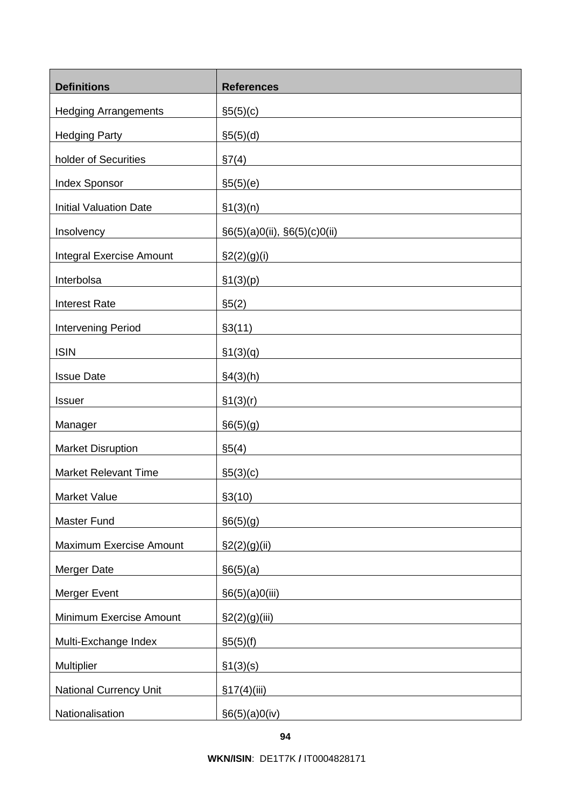| <b>Definitions</b>            | <b>References</b>                   |
|-------------------------------|-------------------------------------|
| <b>Hedging Arrangements</b>   | \$5(5)(c)                           |
| <b>Hedging Party</b>          | \$5(5)(d)                           |
| holder of Securities          | \$7(4)                              |
| <b>Index Sponsor</b>          | \$5(5)(e)                           |
| <b>Initial Valuation Date</b> | \$1(3)(n)                           |
| Insolvency                    | $\S6(5)(a)0(ii)$ , $\S6(5)(c)0(ii)$ |
| Integral Exercise Amount      | $\frac{\frac{6}{2}(2)(g)(i)}{2}$    |
| Interbolsa                    | \$1(3)(p)                           |
| <b>Interest Rate</b>          | \$5(2)                              |
| <b>Intervening Period</b>     | \$3(11)                             |
| <b>ISIN</b>                   | \$1(3)(q)                           |
| <b>Issue Date</b>             | §4(3)(h)                            |
| Issuer                        | \$1(3)(r)                           |
| Manager                       | §6(5)(g)                            |
| <b>Market Disruption</b>      | \$5(4)                              |
| <b>Market Relevant Time</b>   | $\S5(3)(c)$                         |
| Market Value                  | \$3(10)                             |
| Master Fund                   | §6(5)(g)                            |
| Maximum Exercise Amount       | $\frac{\frac{52(2)}{9}}{i}$         |
| Merger Date                   | §6(5)(a)                            |
| Merger Event                  | §6(5)(a)0(iii)                      |
| Minimum Exercise Amount       | $\S2(2)(g)(iii)$                    |
| Multi-Exchange Index          | \$5(5)(f)                           |
| <b>Multiplier</b>             | \$1(3)(s)                           |
| <b>National Currency Unit</b> | \$17(4)(iii)                        |
| Nationalisation               | §6(5)(a)0(iv)                       |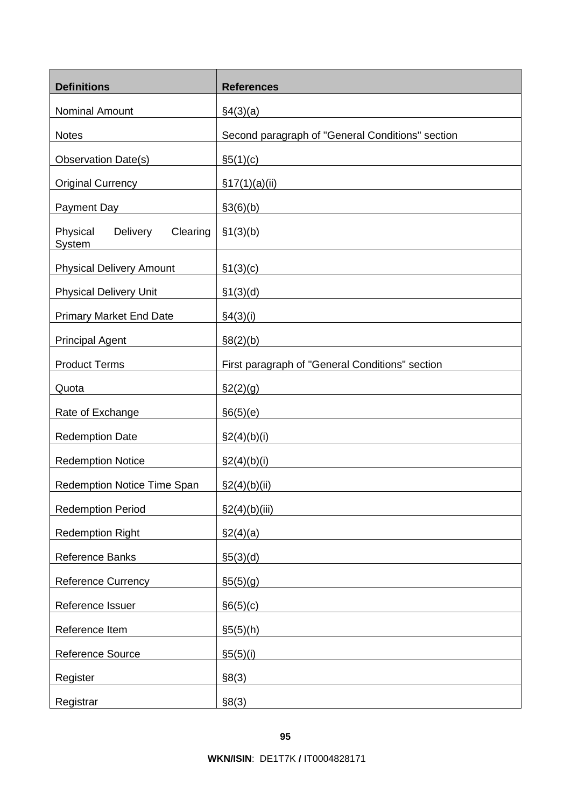| <b>Definitions</b>                         | <b>References</b>                                |
|--------------------------------------------|--------------------------------------------------|
| Nominal Amount                             | $\frac{54(3)(a)}{2}$                             |
| <b>Notes</b>                               | Second paragraph of "General Conditions" section |
| <b>Observation Date(s)</b>                 | \$5(1)(c)                                        |
| <b>Original Currency</b>                   | \$17(1)(a)(ii)                                   |
| Payment Day                                | \$3(6)(b)                                        |
| Physical<br>Delivery<br>Clearing<br>System | \$1(3)(b)                                        |
| <b>Physical Delivery Amount</b>            | \$1(3)(c)                                        |
| <b>Physical Delivery Unit</b>              | \$1(3)(d)                                        |
| <b>Primary Market End Date</b>             | $\frac{54(3)(i)}{2}$                             |
| <b>Principal Agent</b>                     | §8(2)(b)                                         |
| <b>Product Terms</b>                       | First paragraph of "General Conditions" section  |
| Quota                                      | $\frac{2(2)}{9}$                                 |
| Rate of Exchange                           | §6(5)(e)                                         |
| <b>Redemption Date</b>                     | $\frac{2(4)}{b(i)}$                              |
| <b>Redemption Notice</b>                   | $\frac{2(4)}{b(i)}$                              |
| Redemption Notice Time Span                | $\S2(4)(b)(ii)$                                  |
| <b>Redemption Period</b>                   | $\S2(4)(b)(iii)$                                 |
| <b>Redemption Right</b>                    | \$2(4)(a)                                        |
| Reference Banks                            | \$5(3)(d)                                        |
| <b>Reference Currency</b>                  | \$5(5)(g)                                        |
| Reference Issuer                           | §6(5)(c)                                         |
| Reference Item                             | \$5(5)(h)                                        |
| Reference Source                           | \$5(5)(i)                                        |
| Register                                   | \$8(3)                                           |
| Registrar                                  | \$8(3)                                           |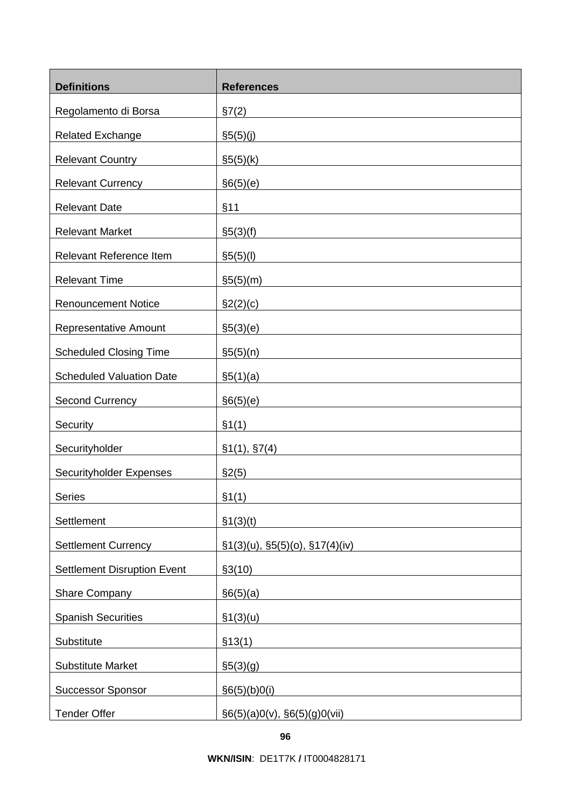| <b>Definitions</b>                 | <b>References</b>                   |
|------------------------------------|-------------------------------------|
| Regolamento di Borsa               | $\S7(2)$                            |
| <b>Related Exchange</b>            | \$5(5)(j)                           |
| <b>Relevant Country</b>            | \$5(5)(k)                           |
| <b>Relevant Currency</b>           | §6(5)(e)                            |
| <b>Relevant Date</b>               | §11                                 |
| <b>Relevant Market</b>             | \$5(3)(f)                           |
| Relevant Reference Item            | \$5(5)(1)                           |
| <b>Relevant Time</b>               | \$5(5)(m)                           |
| <b>Renouncement Notice</b>         | $\frac{2}{2}(2)(c)$                 |
| Representative Amount              | \$5(3)(e)                           |
| <b>Scheduled Closing Time</b>      | \$5(5)(n)                           |
| <b>Scheduled Valuation Date</b>    | \$5(1)(a)                           |
| Second Currency                    | §6(5)(e)                            |
| Security                           | \$1(1)                              |
| Securityholder                     | §1(1), §7(4)                        |
| Securityholder Expenses            | \$2(5)                              |
| <b>Series</b>                      | \$1(1)                              |
| Settlement                         | \$1(3)(t)                           |
| <b>Settlement Currency</b>         | $\S1(3)(u), \S5(5)(o), \S17(4)(iv)$ |
| <b>Settlement Disruption Event</b> | \$3(10)                             |
| Share Company                      | §6(5)(a)                            |
| <b>Spanish Securities</b>          | \$1(3)(u)                           |
| Substitute                         | \$13(1)                             |
| <b>Substitute Market</b>           | \$5(3)(g)                           |
| <b>Successor Sponsor</b>           | §6(5)(b)0(i)                        |
| <b>Tender Offer</b>                | $\S6(5)(a)0(v), \S6(5)(g)0(vii)$    |